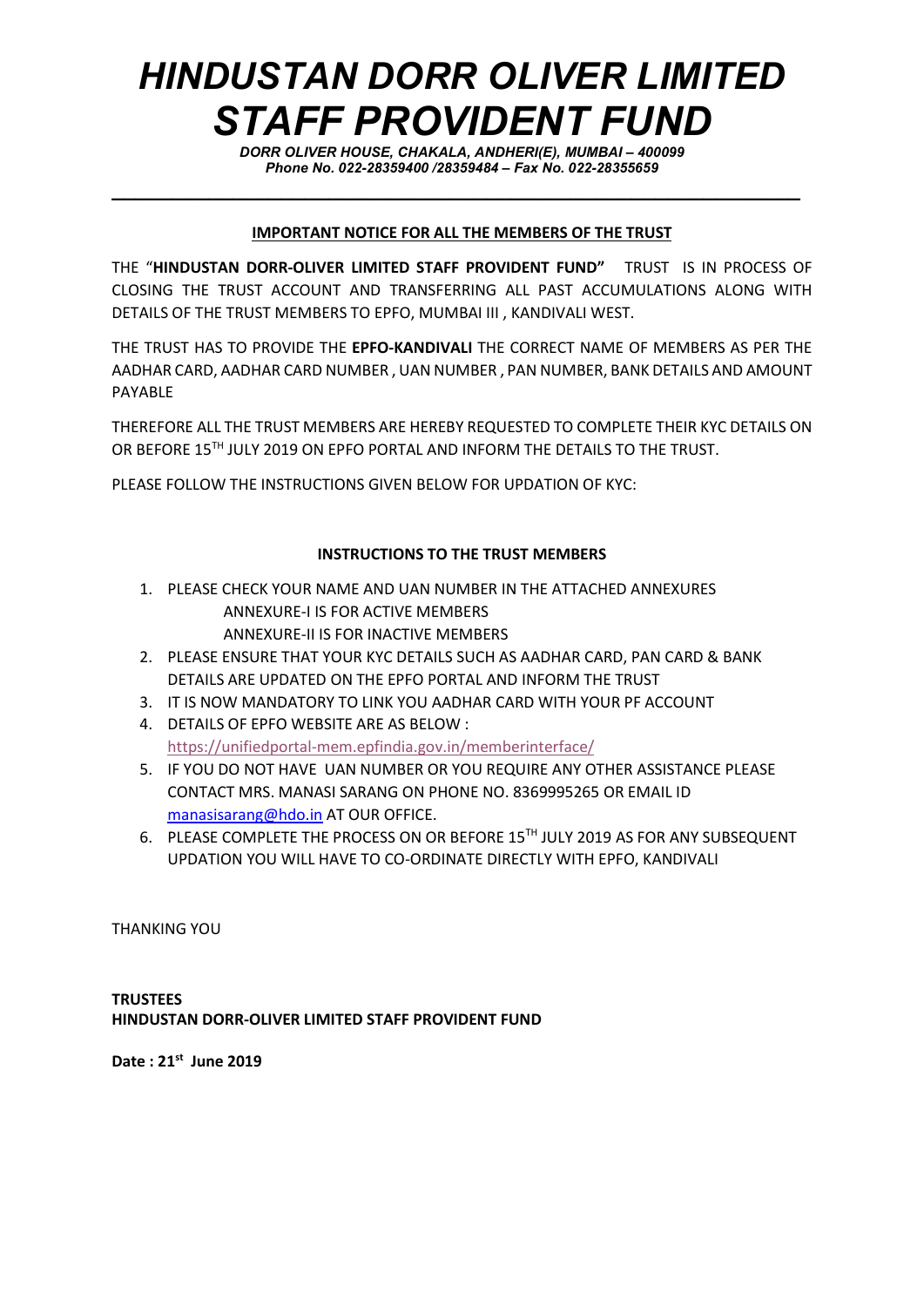## HINDUSTAN DORR OLIVER LIMITED STAFF PROVIDENT FUND

DORR OLIVER HOUSE, CHAKALA, ANDHERI(E), MUMBAI – 400099 Phone No. 022-28359400 /28359484 – Fax No. 022-28355659

## IMPORTANT NOTICE FOR ALL THE MEMBERS OF THE TRUST

 $\_$  , and the set of the set of the set of the set of the set of the set of the set of the set of the set of the set of the set of the set of the set of the set of the set of the set of the set of the set of the set of th

THE "HINDUSTAN DORR-OLIVER LIMITED STAFF PROVIDENT FUND" TRUST IS IN PROCESS OF CLOSING THE TRUST ACCOUNT AND TRANSFERRING ALL PAST ACCUMULATIONS ALONG WITH DETAILS OF THE TRUST MEMBERS TO EPFO, MUMBAI III , KANDIVALI WEST.

THE TRUST HAS TO PROVIDE THE EPFO-KANDIVALI THE CORRECT NAME OF MEMBERS AS PER THE AADHAR CARD, AADHAR CARD NUMBER , UAN NUMBER , PAN NUMBER, BANK DETAILS AND AMOUNT PAYABLE

THEREFORE ALL THE TRUST MEMBERS ARE HEREBY REQUESTED TO COMPLETE THEIR KYC DETAILS ON OR BEFORE 15TH JULY 2019 ON EPFO PORTAL AND INFORM THE DETAILS TO THE TRUST.

PLEASE FOLLOW THE INSTRUCTIONS GIVEN BELOW FOR UPDATION OF KYC:

## INSTRUCTIONS TO THE TRUST MEMBERS

- 1. PLEASE CHECK YOUR NAME AND UAN NUMBER IN THE ATTACHED ANNEXURES ANNEXURE-I IS FOR ACTIVE MEMBERS ANNEXURE-II IS FOR INACTIVE MEMBERS
- 2. PLEASE ENSURE THAT YOUR KYC DETAILS SUCH AS AADHAR CARD, PAN CARD & BANK DETAILS ARE UPDATED ON THE EPFO PORTAL AND INFORM THE TRUST
- 3. IT IS NOW MANDATORY TO LINK YOU AADHAR CARD WITH YOUR PF ACCOUNT
- 4. DETAILS OF EPFO WEBSITE ARE AS BELOW :

https://unifiedportal-mem.epfindia.gov.in/memberinterface/

- 5. IF YOU DO NOT HAVE UAN NUMBER OR YOU REQUIRE ANY OTHER ASSISTANCE PLEASE CONTACT MRS. MANASI SARANG ON PHONE NO. 8369995265 OR EMAIL ID manasisarang@hdo.in AT OUR OFFICE.
- 6. PLEASE COMPLETE THE PROCESS ON OR BEFORE 15TH JULY 2019 AS FOR ANY SUBSEQUENT UPDATION YOU WILL HAVE TO CO-ORDINATE DIRECTLY WITH EPFO, KANDIVALI

THANKING YOU

**TRUSTEES** HINDUSTAN DORR-OLIVER LIMITED STAFF PROVIDENT FUND

Date: 21st June 2019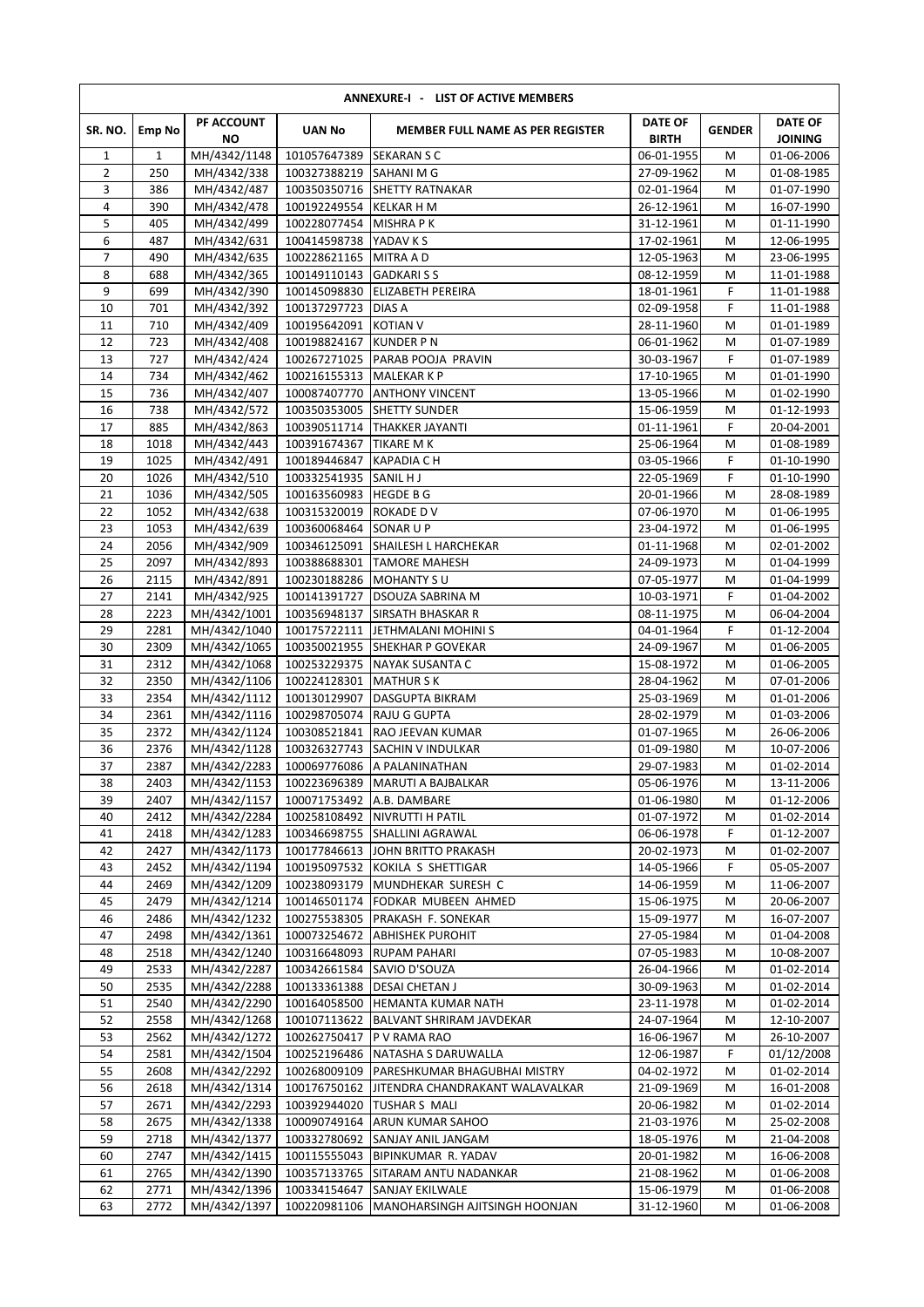|                |              |                              |                                         | ANNEXURE-I - LIST OF ACTIVE MEMBERS                 |                                |               |                                  |
|----------------|--------------|------------------------------|-----------------------------------------|-----------------------------------------------------|--------------------------------|---------------|----------------------------------|
| SR. NO.        | Emp No       | PF ACCOUNT<br><b>NO</b>      | <b>UAN No</b>                           | <b>MEMBER FULL NAME AS PER REGISTER</b>             | <b>DATE OF</b><br><b>BIRTH</b> | <b>GENDER</b> | <b>DATE OF</b><br><b>JOINING</b> |
| $\mathbf{1}$   | $\mathbf{1}$ | MH/4342/1148                 | 101057647389                            | <b>SEKARAN S C</b>                                  | 06-01-1955                     | M             | 01-06-2006                       |
| $\overline{2}$ | 250          | MH/4342/338                  | 100327388219                            | SAHANI M G                                          | 27-09-1962                     | M             | 01-08-1985                       |
| 3<br>4         | 386<br>390   | MH/4342/487<br>MH/4342/478   | 100350350716<br>100192249554 KELKAR H M | <b>SHETTY RATNAKAR</b>                              | 02-01-1964<br>26-12-1961       | M<br>M        | 01-07-1990<br>16-07-1990         |
| 5              | 405          | MH/4342/499                  | 100228077454 MISHRA PK                  |                                                     | 31-12-1961                     | M             | 01-11-1990                       |
| 6              | 487          | MH/4342/631                  | 100414598738 YADAV K S                  |                                                     | 17-02-1961                     | M             | 12-06-1995                       |
| 7              | 490          | MH/4342/635                  | 100228621165                            | <b>MITRA A D</b>                                    | 12-05-1963                     | M             | 23-06-1995                       |
| 8              | 688          | MH/4342/365                  | 100149110143                            | <b>GADKARISS</b>                                    | 08-12-1959                     | M             | 11-01-1988                       |
| 9              | 699          | MH/4342/390                  | 100145098830                            | <b>ELIZABETH PEREIRA</b>                            | 18-01-1961                     | F             | 11-01-1988                       |
| 10             | 701          | MH/4342/392                  | 100137297723 DIAS A                     |                                                     | 02-09-1958                     | F             | 11-01-1988                       |
| 11             | 710          | MH/4342/409                  | 100195642091                            | <b>KOTIAN V</b>                                     | 28-11-1960                     | M             | 01-01-1989                       |
| 12             | 723          | MH/4342/408                  | 100198824167                            | <b>KUNDER PN</b>                                    | 06-01-1962                     | M             | 01-07-1989                       |
| 13             | 727          | MH/4342/424                  | 100267271025                            | PARAB POOJA PRAVIN                                  | 30-03-1967                     | F             | 01-07-1989                       |
| 14<br>15       | 734<br>736   | MH/4342/462<br>MH/4342/407   | 100216155313                            | <b>MALEKAR K P</b><br>100087407770 ANTHONY VINCENT  | 17-10-1965<br>13-05-1966       | M<br>M        | 01-01-1990<br>01-02-1990         |
| 16             | 738          | MH/4342/572                  | 100350353005                            | <b>SHETTY SUNDER</b>                                | 15-06-1959                     | M             | 01-12-1993                       |
| 17             | 885          | MH/4342/863                  | 100390511714                            | <b>THAKKER JAYANTI</b>                              | 01-11-1961                     | F             | 20-04-2001                       |
| 18             | 1018         | MH/4342/443                  | 100391674367                            | <b>TIKARE MK</b>                                    | 25-06-1964                     | M             | 01-08-1989                       |
| 19             | 1025         | MH/4342/491                  | 100189446847                            | <b>KAPADIA CH</b>                                   | 03-05-1966                     | F             | 01-10-1990                       |
| 20             | 1026         | MH/4342/510                  | 100332541935                            | SANIL HJ                                            | 22-05-1969                     | F             | 01-10-1990                       |
| 21             | 1036         | MH/4342/505                  | 100163560983                            | <b>HEGDE B G</b>                                    | 20-01-1966                     | М             | 28-08-1989                       |
| 22             | 1052         | MH/4342/638                  | 100315320019                            | ROKADE D V                                          | 07-06-1970                     | M             | 01-06-1995                       |
| 23             | 1053         | MH/4342/639                  | 100360068464 SONAR U P                  |                                                     | 23-04-1972                     | M             | 01-06-1995                       |
| 24             | 2056         | MH/4342/909                  |                                         | 100346125091 SHAILESH L HARCHEKAR                   | 01-11-1968                     | M             | 02-01-2002                       |
| 25             | 2097<br>2115 | MH/4342/893                  | 100388688301                            | <b>TAMORE MAHESH</b>                                | 24-09-1973                     | М             | 01-04-1999                       |
| 26<br>27       | 2141         | MH/4342/891<br>MH/4342/925   | 100230188286<br>100141391727            | MOHANTY SU<br><b>DSOUZA SABRINA M</b>               | 07-05-1977                     | M<br>F        | 01-04-1999<br>01-04-2002         |
| 28             | 2223         | MH/4342/1001                 | 100356948137                            | <b>SIRSATH BHASKAR R</b>                            | 10-03-1971<br>08-11-1975       | M             | 06-04-2004                       |
| 29             | 2281         | MH/4342/1040                 | 100175722111                            | JETHMALANI MOHINI S                                 | 04-01-1964                     | F             | 01-12-2004                       |
| 30             | 2309         | MH/4342/1065                 | 100350021955                            | <b>SHEKHAR P GOVEKAR</b>                            | 24-09-1967                     | M             | 01-06-2005                       |
| 31             | 2312         | MH/4342/1068                 | 100253229375                            | NAYAK SUSANTA C                                     | 15-08-1972                     | M             | 01-06-2005                       |
| 32             | 2350         | MH/4342/1106                 | 100224128301                            | <b>MATHUR S K</b>                                   | 28-04-1962                     | M             | 07-01-2006                       |
| 33             | 2354         | MH/4342/1112                 | 100130129907                            | <b>DASGUPTA BIKRAM</b>                              | 25-03-1969                     | M             | 01-01-2006                       |
| 34             | 2361         | MH/4342/1116                 | 100298705074                            | <b>RAJU G GUPTA</b>                                 | 28-02-1979                     | M             | 01-03-2006                       |
| 35             | 2372         | MH/4342/1124                 | 100308521841                            | <b>RAO JEEVAN KUMAR</b>                             | 01-07-1965                     | M             | 26-06-2006                       |
| 36             | 2376         | MH/4342/1128                 | 100326327743                            | SACHIN V INDULKAR                                   | 01-09-1980                     | M             | 10-07-2006                       |
| 37<br>38       | 2387<br>2403 | MH/4342/2283<br>MH/4342/1153 | 100069776086                            | A PALANINATHAN<br>100223696389   MARUTI A BAJBALKAR | 29-07-1983<br>05-06-1976       | M<br>М        | 01-02-2014<br>13-11-2006         |
| 39             | 2407         | MH/4342/1157                 | 100071753492 A.B. DAMBARE               |                                                     | 01-06-1980                     | М             | 01-12-2006                       |
| 40             | 2412         | MH/4342/2284                 |                                         | 100258108492   NIVRUTTI H PATIL                     | 01-07-1972                     | M             | 01-02-2014                       |
| 41             | 2418         | MH/4342/1283                 |                                         | 100346698755 SHALLINI AGRAWAL                       | 06-06-1978                     | F             | 01-12-2007                       |
| 42             | 2427         | MH/4342/1173                 | 100177846613                            | JOHN BRITTO PRAKASH                                 | 20-02-1973                     | M             | 01-02-2007                       |
| 43             | 2452         | MH/4342/1194                 |                                         | 100195097532 KOKILA S SHETTIGAR                     | 14-05-1966                     | F.            | 05-05-2007                       |
| 44             | 2469         | MH/4342/1209                 | 100238093179                            | MUNDHEKAR SURESH C                                  | 14-06-1959                     | M             | 11-06-2007                       |
| 45             | 2479         | MH/4342/1214                 |                                         | 100146501174 FODKAR MUBEEN AHMED                    | 15-06-1975                     | м             | 20-06-2007                       |
| 46             | 2486         | MH/4342/1232                 | 100275538305                            | PRAKASH F. SONEKAR                                  | 15-09-1977                     | М             | 16-07-2007                       |
| 47<br>48       | 2498<br>2518 | MH/4342/1361<br>MH/4342/1240 | 100073254672<br>100316648093            | <b>ABHISHEK PUROHIT</b><br><b>RUPAM PAHARI</b>      | 27-05-1984<br>07-05-1983       | M<br>М        | 01-04-2008<br>10-08-2007         |
| 49             | 2533         | MH/4342/2287                 | 100342661584                            | SAVIO D'SOUZA                                       | 26-04-1966                     | M             | 01-02-2014                       |
| 50             | 2535         | MH/4342/2288                 | 100133361388                            | <b>DESAI CHETAN J</b>                               | 30-09-1963                     | M             | 01-02-2014                       |
| 51             | 2540         | MH/4342/2290                 | 100164058500                            | <b>HEMANTA KUMAR NATH</b>                           | 23-11-1978                     | М             | 01-02-2014                       |
| 52             | 2558         | MH/4342/1268                 | 100107113622                            | <b>BALVANT SHRIRAM JAVDEKAR</b>                     | 24-07-1964                     | M             | 12-10-2007                       |
| 53             | 2562         | MH/4342/1272                 | 100262750417                            | P V RAMA RAO                                        | 16-06-1967                     | M             | 26-10-2007                       |
| 54             | 2581         | MH/4342/1504                 | 100252196486                            | NATASHA S DARUWALLA                                 | 12-06-1987                     | F.            | 01/12/2008                       |
| 55             | 2608         | MH/4342/2292                 | 100268009109                            | PARESHKUMAR BHAGUBHAI MISTRY                        | 04-02-1972                     | M             | 01-02-2014                       |
| 56             | 2618         | MH/4342/1314                 | 100176750162                            | JITENDRA CHANDRAKANT WALAVALKAR                     | 21-09-1969                     | M             | 16-01-2008                       |
| 57             | 2671         | MH/4342/2293                 | 100392944020                            | <b>TUSHAR S MALI</b>                                | 20-06-1982                     | м             | 01-02-2014                       |
| 58<br>59       | 2675         | MH/4342/1338                 | 100090749164                            | ARUN KUMAR SAHOO                                    | 21-03-1976                     | M             | 25-02-2008                       |
| 60             | 2718<br>2747 | MH/4342/1377<br>MH/4342/1415 | 100332780692<br>100115555043            | SANJAY ANIL JANGAM<br><b>BIPINKUMAR R. YADAV</b>    | 18-05-1976<br>20-01-1982       | M<br>м        | 21-04-2008<br>16-06-2008         |
| 61             | 2765         | MH/4342/1390                 |                                         | 100357133765 SITARAM ANTU NADANKAR                  | 21-08-1962                     | M             | 01-06-2008                       |
| 62             | 2771         | MH/4342/1396                 | 100334154647                            | <b>SANJAY EKILWALE</b>                              | 15-06-1979                     | М             | 01-06-2008                       |
| 63             | 2772         | MH/4342/1397                 | 100220981106                            | MANOHARSINGH AJITSINGH HOONJAN                      | 31-12-1960                     | М             | 01-06-2008                       |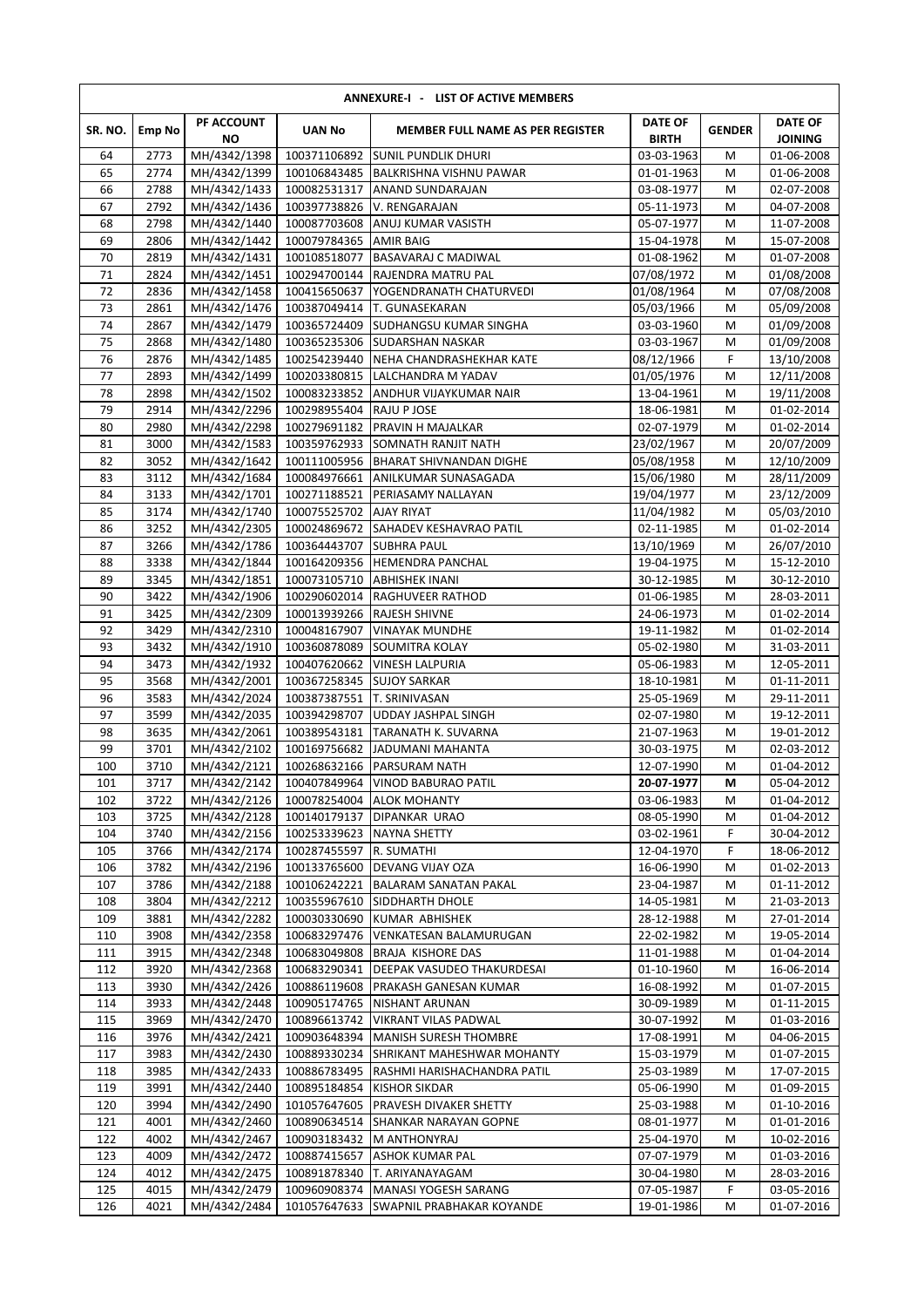| ANNEXURE-I - LIST OF ACTIVE MEMBERS |               |                              |                                           |                                                                                 |                                |               |                                  |  |  |  |  |
|-------------------------------------|---------------|------------------------------|-------------------------------------------|---------------------------------------------------------------------------------|--------------------------------|---------------|----------------------------------|--|--|--|--|
| SR. NO.                             | <b>Emp No</b> | PF ACCOUNT<br>ΝO             | <b>UAN No</b>                             | <b>MEMBER FULL NAME AS PER REGISTER</b>                                         | <b>DATE OF</b><br><b>BIRTH</b> | <b>GENDER</b> | <b>DATE OF</b><br><b>JOINING</b> |  |  |  |  |
| 64                                  | 2773          | MH/4342/1398                 | 100371106892                              | <b>SUNIL PUNDLIK DHURI</b>                                                      | 03-03-1963                     | M             | 01-06-2008                       |  |  |  |  |
| 65<br>66                            | 2774<br>2788  | MH/4342/1399<br>MH/4342/1433 | 100082531317                              | 100106843485 BALKRISHNA VISHNU PAWAR<br><b>ANAND SUNDARAJAN</b>                 | 01-01-1963<br>03-08-1977       | M<br>M        | 01-06-2008<br>02-07-2008         |  |  |  |  |
| 67                                  | 2792          | MH/4342/1436                 |                                           | 100397738826 V. RENGARAJAN                                                      | 05-11-1973                     | M             | 04-07-2008                       |  |  |  |  |
| 68                                  | 2798          | MH/4342/1440                 |                                           | 100087703608 ANUJ KUMAR VASISTH                                                 | 05-07-1977                     | M             | 11-07-2008                       |  |  |  |  |
| 69                                  | 2806          | MH/4342/1442                 | 100079784365                              | <b>AMIR BAIG</b>                                                                | 15-04-1978                     | M             | 15-07-2008                       |  |  |  |  |
| 70                                  | 2819          | MH/4342/1431                 | 100108518077                              | <b>BASAVARAJ C MADIWAL</b>                                                      | 01-08-1962                     | M             | 01-07-2008                       |  |  |  |  |
| 71                                  | 2824          | MH/4342/1451                 | 100294700144                              | RAJENDRA MATRU PAL                                                              | 07/08/1972                     | M             | 01/08/2008                       |  |  |  |  |
| 72                                  | 2836          | MH/4342/1458                 | 100415650637                              | YOGENDRANATH CHATURVEDI                                                         | 01/08/1964                     | M             | 07/08/2008                       |  |  |  |  |
| 73                                  | 2861          | MH/4342/1476                 |                                           | 100387049414 T. GUNASEKARAN                                                     | 05/03/1966                     | M             | 05/09/2008                       |  |  |  |  |
| 74                                  | 2867          | MH/4342/1479                 |                                           | 100365724409 SUDHANGSU KUMAR SINGHA                                             | 03-03-1960                     | М             | 01/09/2008                       |  |  |  |  |
| 75<br>76                            | 2868<br>2876  | MH/4342/1480<br>MH/4342/1485 |                                           | 100365235306 SUDARSHAN NASKAR<br>100254239440 NEHA CHANDRASHEKHAR KATE          | 03-03-1967<br>08/12/1966       | M<br>F        | 01/09/2008<br>13/10/2008         |  |  |  |  |
| 77                                  | 2893          | MH/4342/1499                 |                                           | 100203380815  LALCHANDRA M YADAV                                                | 01/05/1976                     | М             | 12/11/2008                       |  |  |  |  |
| 78                                  | 2898          | MH/4342/1502                 |                                           | 100083233852 ANDHUR VIJAYKUMAR NAIR                                             | 13-04-1961                     | М             | 19/11/2008                       |  |  |  |  |
| 79                                  | 2914          | MH/4342/2296                 | 100298955404 RAJU P JOSE                  |                                                                                 | 18-06-1981                     | М             | 01-02-2014                       |  |  |  |  |
| 80                                  | 2980          | MH/4342/2298                 |                                           | 100279691182 PRAVIN H MAJALKAR                                                  | 02-07-1979                     | M             | 01-02-2014                       |  |  |  |  |
| 81                                  | 3000          | MH/4342/1583                 |                                           | 100359762933 SOMNATH RANJIT NATH                                                | 23/02/1967                     | M             | 20/07/2009                       |  |  |  |  |
| 82                                  | 3052          | MH/4342/1642                 |                                           | 100111005956 BHARAT SHIVNANDAN DIGHE                                            | 05/08/1958                     | M             | 12/10/2009                       |  |  |  |  |
| 83                                  | 3112          | MH/4342/1684                 | 100084976661                              | ANILKUMAR SUNASAGADA                                                            | 15/06/1980                     | M             | 28/11/2009                       |  |  |  |  |
| 84                                  | 3133          | MH/4342/1701                 | 100271188521                              | PERIASAMY NALLAYAN                                                              | 19/04/1977                     | M             | 23/12/2009                       |  |  |  |  |
| 85                                  | 3174          | MH/4342/1740                 | 100075525702 AJAY RIYAT                   |                                                                                 | 11/04/1982                     | М             | 05/03/2010                       |  |  |  |  |
| 86                                  | 3252          | MH/4342/2305                 |                                           | 100024869672 SAHADEV KESHAVRAO PATIL                                            | 02-11-1985                     | M             | 01-02-2014                       |  |  |  |  |
| 87                                  | 3266          | MH/4342/1786                 | 100364443707 SUBHRA PAUL                  |                                                                                 | 13/10/1969                     | M             | 26/07/2010                       |  |  |  |  |
| 88                                  | 3338          | MH/4342/1844                 |                                           | 100164209356 HEMENDRA PANCHAL                                                   | 19-04-1975                     | M             | 15-12-2010                       |  |  |  |  |
| 89                                  | 3345          | MH/4342/1851                 | 100073105710                              | <b>ABHISHEK INANI</b>                                                           | 30-12-1985                     | M             | 30-12-2010                       |  |  |  |  |
| 90<br>91                            | 3422<br>3425  | MH/4342/1906<br>MH/4342/2309 | 100013939266 RAJESH SHIVNE                | 100290602014 RAGHUVEER RATHOD                                                   | 01-06-1985<br>24-06-1973       | M<br>M        | 28-03-2011<br>01-02-2014         |  |  |  |  |
| 92                                  | 3429          | MH/4342/2310                 | 100048167907                              | <b>VINAYAK MUNDHE</b>                                                           | 19-11-1982                     | M             | 01-02-2014                       |  |  |  |  |
| 93                                  | 3432          | MH/4342/1910                 | 100360878089                              | <b>SOUMITRA KOLAY</b>                                                           | 05-02-1980                     | M             | 31-03-2011                       |  |  |  |  |
| 94                                  | 3473          | MH/4342/1932                 | 100407620662                              | <b>VINESH LALPURIA</b>                                                          | 05-06-1983                     | M             | 12-05-2011                       |  |  |  |  |
| 95                                  | 3568          | MH/4342/2001                 | 100367258345                              | <b>SUJOY SARKAR</b>                                                             | 18-10-1981                     | M             | 01-11-2011                       |  |  |  |  |
| 96                                  | 3583          | MH/4342/2024                 | 100387387551                              | <b>T. SRINIVASAN</b>                                                            | 25-05-1969                     | M             | 29-11-2011                       |  |  |  |  |
| 97                                  | 3599          | MH/4342/2035                 | 100394298707                              | <b>UDDAY JASHPAL SINGH</b>                                                      | 02-07-1980                     | M             | 19-12-2011                       |  |  |  |  |
| 98                                  | 3635          | MH/4342/2061                 | 100389543181                              | TARANATH K. SUVARNA                                                             | 21-07-1963                     | M             | 19-01-2012                       |  |  |  |  |
| 99                                  | 3701          | MH/4342/2102                 | 100169756682                              | JADUMANI MAHANTA                                                                | 30-03-1975                     | M             | 02-03-2012                       |  |  |  |  |
| 100                                 | 3710          | MH/4342/2121                 | 100268632166                              | <b>PARSURAM NATH</b>                                                            | 12-07-1990                     | M             | 01-04-2012                       |  |  |  |  |
| 101                                 | 3717          | MH/4342/2142                 |                                           | 100407849964   VINOD BABURAO PATIL                                              | 20-07-1977                     | M             | 05-04-2012                       |  |  |  |  |
| 102                                 | 3722          | MH/4342/2126                 |                                           | 100078254004 ALOK MOHANTY                                                       | 03-06-1983                     | М             | 01-04-2012                       |  |  |  |  |
| 103<br>104                          | 3725<br>3740  | MH/4342/2128<br>MH/4342/2156 | 100140179137<br>100253339623 NAYNA SHETTY | <b>DIPANKAR URAO</b>                                                            | 08-05-1990<br>03-02-1961       | м<br>F        | 01-04-2012<br>30-04-2012         |  |  |  |  |
| 105                                 | 3766          | MH/4342/2174                 | 100287455597                              | R. SUMATHI                                                                      | 12-04-1970                     | F.            | 18-06-2012                       |  |  |  |  |
| 106                                 | 3782          | MH/4342/2196                 |                                           | 100133765600 DEVANG VIJAY OZA                                                   | 16-06-1990                     | M             | 01-02-2013                       |  |  |  |  |
| 107                                 | 3786          | MH/4342/2188                 | 100106242221                              | <b>BALARAM SANATAN PAKAL</b>                                                    | 23-04-1987                     | M             | 01-11-2012                       |  |  |  |  |
| 108                                 | 3804          | MH/4342/2212                 |                                           | 100355967610 SIDDHARTH DHOLE                                                    | 14-05-1981                     | М             | 21-03-2013                       |  |  |  |  |
| 109                                 | 3881          | MH/4342/2282                 | 100030330690                              | KUMAR ABHISHEK                                                                  | 28-12-1988                     | M             | 27-01-2014                       |  |  |  |  |
| 110                                 | 3908          | MH/4342/2358                 | 100683297476                              | VENKATESAN BALAMURUGAN                                                          | 22-02-1982                     | M             | 19-05-2014                       |  |  |  |  |
| 111                                 | 3915          | MH/4342/2348                 | 100683049808                              | <b>BRAJA KISHORE DAS</b>                                                        | 11-01-1988                     | M             | 01-04-2014                       |  |  |  |  |
| 112                                 | 3920          | MH/4342/2368                 | 100683290341                              | <b>DEEPAK VASUDEO THAKURDESAI</b>                                               | 01-10-1960                     | М             | 16-06-2014                       |  |  |  |  |
| 113                                 | 3930          | MH/4342/2426                 | 100886119608                              | <b>PRAKASH GANESAN KUMAR</b>                                                    | 16-08-1992                     | M             | 01-07-2015                       |  |  |  |  |
| 114                                 | 3933          | MH/4342/2448                 | 100905174765                              | <b>NISHANT ARUNAN</b>                                                           | 30-09-1989                     | м             | 01-11-2015                       |  |  |  |  |
| 115                                 | 3969          | MH/4342/2470                 | 100896613742                              | <b>VIKRANT VILAS PADWAL</b>                                                     | 30-07-1992                     | M             | 01-03-2016<br>04-06-2015         |  |  |  |  |
| 116<br>117                          | 3976<br>3983  | MH/4342/2421<br>MH/4342/2430 |                                           | 100903648394   MANISH SURESH THOMBRE<br>100889330234 SHRIKANT MAHESHWAR MOHANTY | 17-08-1991<br>15-03-1979       | М<br>М        | 01-07-2015                       |  |  |  |  |
| 118                                 | 3985          | MH/4342/2433                 |                                           | 100886783495   RASHMI HARISHACHANDRA PATIL                                      | 25-03-1989                     | M             | 17-07-2015                       |  |  |  |  |
| 119                                 | 3991          | MH/4342/2440                 | 100895184854 KISHOR SIKDAR                |                                                                                 | 05-06-1990                     | М             | 01-09-2015                       |  |  |  |  |
| 120                                 | 3994          | MH/4342/2490                 | 101057647605                              | <b>PRAVESH DIVAKER SHETTY</b>                                                   | 25-03-1988                     | M             | 01-10-2016                       |  |  |  |  |
| 121                                 | 4001          | MH/4342/2460                 |                                           | 100890634514 SHANKAR NARAYAN GOPNE                                              | 08-01-1977                     | M             | 01-01-2016                       |  |  |  |  |
| 122                                 | 4002          | MH/4342/2467                 | 100903183432                              | <b>M ANTHONYRAJ</b>                                                             | 25-04-1970                     | M             | 10-02-2016                       |  |  |  |  |
| 123                                 | 4009          | MH/4342/2472                 | 100887415657                              | <b>ASHOK KUMAR PAL</b>                                                          | 07-07-1979                     | М             | 01-03-2016                       |  |  |  |  |
| 124                                 | 4012          | MH/4342/2475                 |                                           | 100891878340 T. ARIYANAYAGAM                                                    | 30-04-1980                     | M             | 28-03-2016                       |  |  |  |  |
| 125                                 | 4015          | MH/4342/2479                 | 100960908374                              | MANASI YOGESH SARANG                                                            | 07-05-1987                     | F.            | 03-05-2016                       |  |  |  |  |
| 126                                 | 4021          | MH/4342/2484                 | 101057647633                              | SWAPNIL PRABHAKAR KOYANDE                                                       | 19-01-1986                     | М             | 01-07-2016                       |  |  |  |  |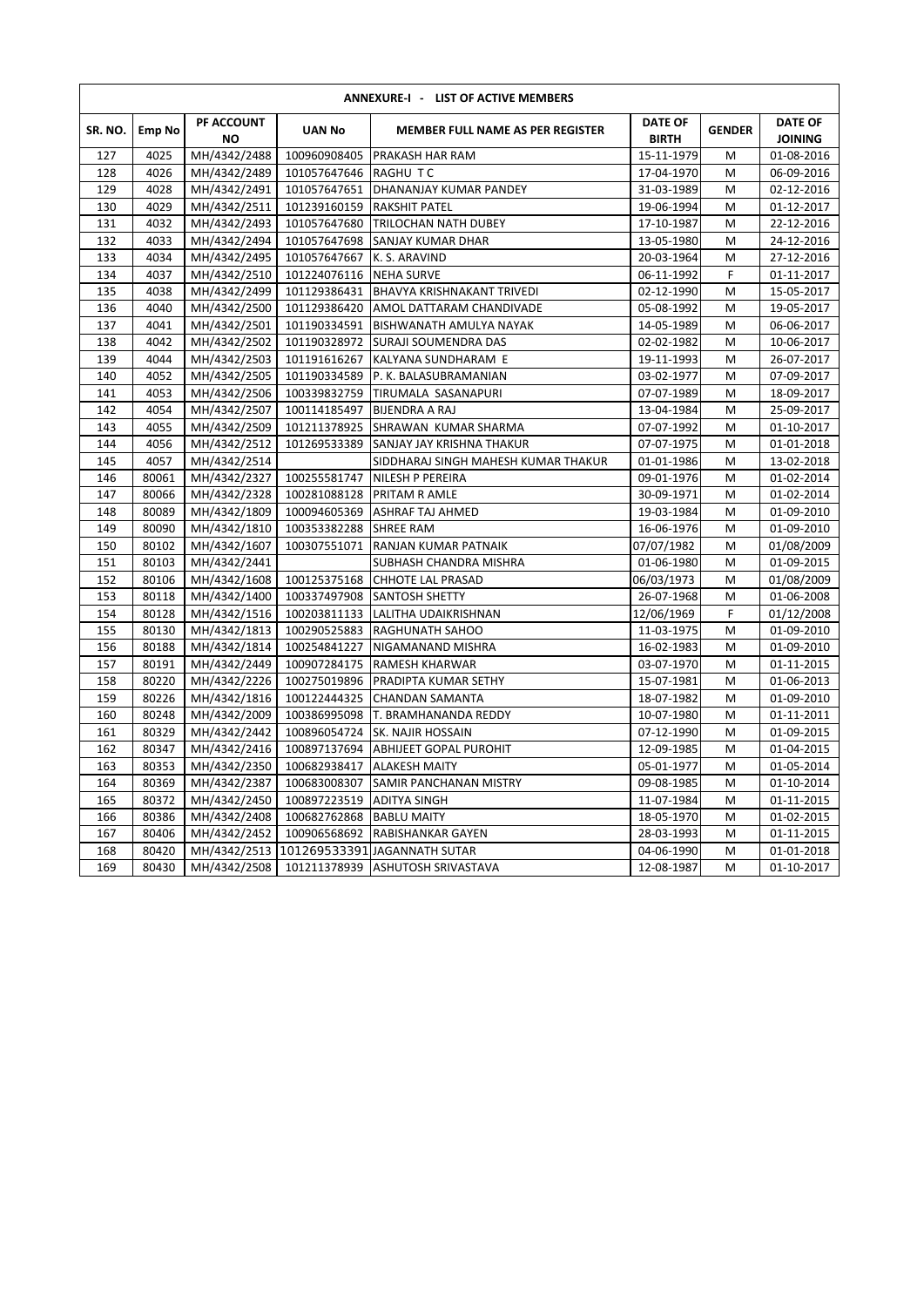| ANNEXURE-I - LIST OF ACTIVE MEMBERS |               |                         |                            |                                         |                                |               |                                  |  |  |  |  |  |
|-------------------------------------|---------------|-------------------------|----------------------------|-----------------------------------------|--------------------------------|---------------|----------------------------------|--|--|--|--|--|
| SR. NO.                             | <b>Emp No</b> | PF ACCOUNT<br><b>NO</b> | <b>UAN No</b>              | <b>MEMBER FULL NAME AS PER REGISTER</b> | <b>DATE OF</b><br><b>BIRTH</b> | <b>GENDER</b> | <b>DATE OF</b><br><b>JOINING</b> |  |  |  |  |  |
| 127                                 | 4025          | MH/4342/2488            | 100960908405               | PRAKASH HAR RAM                         | 15-11-1979                     | M             | 01-08-2016                       |  |  |  |  |  |
| 128                                 | 4026          | MH/4342/2489            | 101057647646 RAGHU TC      |                                         | 17-04-1970                     | M             | 06-09-2016                       |  |  |  |  |  |
| 129                                 | 4028          | MH/4342/2491            | 101057647651               | <b>DHANANJAY KUMAR PANDEY</b>           | 31-03-1989                     | M             | 02-12-2016                       |  |  |  |  |  |
| 130                                 | 4029          | MH/4342/2511            | 101239160159 RAKSHIT PATEL |                                         | 19-06-1994                     | M             | 01-12-2017                       |  |  |  |  |  |
| 131                                 | 4032          | MH/4342/2493            | 101057647680               | <b>TRILOCHAN NATH DUBEY</b>             | 17-10-1987                     | M             | 22-12-2016                       |  |  |  |  |  |
| 132                                 | 4033          | MH/4342/2494            | 101057647698               | SANJAY KUMAR DHAR                       | 13-05-1980                     | M             | 24-12-2016                       |  |  |  |  |  |
| 133                                 | 4034          | MH/4342/2495            | 101057647667               | K. S. ARAVIND                           | 20-03-1964                     | M             | 27-12-2016                       |  |  |  |  |  |
| 134                                 | 4037          | MH/4342/2510            | 101224076116 NEHA SURVE    |                                         | 06-11-1992                     | F             | 01-11-2017                       |  |  |  |  |  |
| 135                                 | 4038          | MH/4342/2499            |                            | 101129386431 BHAVYA KRISHNAKANT TRIVEDI | 02-12-1990                     | M             | 15-05-2017                       |  |  |  |  |  |
| 136                                 | 4040          | MH/4342/2500            |                            | 101129386420 AMOL DATTARAM CHANDIVADE   | 05-08-1992                     | M             | 19-05-2017                       |  |  |  |  |  |
| 137                                 | 4041          | MH/4342/2501            | 101190334591               | <b>BISHWANATH AMULYA NAYAK</b>          | 14-05-1989                     | M             | 06-06-2017                       |  |  |  |  |  |
| 138                                 | 4042          | MH/4342/2502            | 101190328972               | SURAJI SOUMENDRA DAS                    | 02-02-1982                     | M             | 10-06-2017                       |  |  |  |  |  |
| 139                                 | 4044          | MH/4342/2503            | 101191616267               | KALYANA SUNDHARAM E                     | 19-11-1993                     | M             | 26-07-2017                       |  |  |  |  |  |
| 140                                 | 4052          | MH/4342/2505            |                            | 101190334589 P. K. BALASUBRAMANIAN      | 03-02-1977                     | M             | 07-09-2017                       |  |  |  |  |  |
| 141                                 | 4053          | MH/4342/2506            | 100339832759               | <b>TIRUMALA SASANAPURI</b>              | 07-07-1989                     | M             | 18-09-2017                       |  |  |  |  |  |
| 142                                 | 4054          | MH/4342/2507            | 100114185497               | <b>BIJENDRA A RAJ</b>                   | 13-04-1984                     | M             | 25-09-2017                       |  |  |  |  |  |
| 143                                 | 4055          | MH/4342/2509            | 101211378925               | SHRAWAN KUMAR SHARMA                    | 07-07-1992                     | M             | 01-10-2017                       |  |  |  |  |  |
| 144                                 | 4056          | MH/4342/2512            | 101269533389               | SANJAY JAY KRISHNA THAKUR               | 07-07-1975                     | M             | 01-01-2018                       |  |  |  |  |  |
| 145                                 | 4057          | MH/4342/2514            |                            | SIDDHARAJ SINGH MAHESH KUMAR THAKUR     | 01-01-1986                     | M             | 13-02-2018                       |  |  |  |  |  |
| 146                                 | 80061         | MH/4342/2327            |                            | 100255581747 NILESH P PEREIRA           | 09-01-1976                     | M             | 01-02-2014                       |  |  |  |  |  |
| 147                                 | 80066         | MH/4342/2328            |                            | 100281088128 PRITAM R AMLE              | 30-09-1971                     | M             | 01-02-2014                       |  |  |  |  |  |
| 148                                 | 80089         | MH/4342/1809            | 100094605369               | <b>ASHRAF TAJ AHMED</b>                 | 19-03-1984                     | M             | 01-09-2010                       |  |  |  |  |  |
| 149                                 | 80090         | MH/4342/1810            | 100353382288               | <b>SHREE RAM</b>                        | 16-06-1976                     | M             | 01-09-2010                       |  |  |  |  |  |
| 150                                 | 80102         | MH/4342/1607            | 100307551071               | RANJAN KUMAR PATNAIK                    | 07/07/1982                     | M             | 01/08/2009                       |  |  |  |  |  |
| 151                                 | 80103         | MH/4342/2441            |                            | SUBHASH CHANDRA MISHRA                  | 01-06-1980                     | M             | 01-09-2015                       |  |  |  |  |  |
| 152                                 | 80106         | MH/4342/1608            | 100125375168               | <b>CHHOTE LAL PRASAD</b>                | 06/03/1973                     | M             | 01/08/2009                       |  |  |  |  |  |
| 153                                 | 80118         | MH/4342/1400            | 100337497908               | <b>SANTOSH SHETTY</b>                   | 26-07-1968                     | M             | 01-06-2008                       |  |  |  |  |  |
| 154                                 | 80128         | MH/4342/1516            | 100203811133               | LALITHA UDAIKRISHNAN                    | 12/06/1969                     | F             | 01/12/2008                       |  |  |  |  |  |
| 155                                 | 80130         | MH/4342/1813            |                            | 100290525883 RAGHUNATH SAHOO            | 11-03-1975                     | M             | 01-09-2010                       |  |  |  |  |  |
| 156                                 | 80188         | MH/4342/1814            |                            | 100254841227 NIGAMANAND MISHRA          | 16-02-1983                     | M             | 01-09-2010                       |  |  |  |  |  |
| 157                                 | 80191         | MH/4342/2449            | 100907284175               | <b>RAMESH KHARWAR</b>                   | 03-07-1970                     | M             | 01-11-2015                       |  |  |  |  |  |
| 158                                 | 80220         | MH/4342/2226            | 100275019896               | PRADIPTA KUMAR SETHY                    | 15-07-1981                     | M             | 01-06-2013                       |  |  |  |  |  |
| 159                                 | 80226         | MH/4342/1816            | 100122444325               | <b>CHANDAN SAMANTA</b>                  | 18-07-1982                     | M             | 01-09-2010                       |  |  |  |  |  |
| 160                                 | 80248         | MH/4342/2009            |                            | 100386995098 T. BRAMHANANDA REDDY       | 10-07-1980                     | M             | 01-11-2011                       |  |  |  |  |  |
| 161                                 | 80329         | MH/4342/2442            |                            | 100896054724 SK. NAJIR HOSSAIN          | 07-12-1990                     | M             | 01-09-2015                       |  |  |  |  |  |
| 162                                 | 80347         | MH/4342/2416            | 100897137694               | <b>ABHIJEET GOPAL PUROHIT</b>           | 12-09-1985                     | M             | 01-04-2015                       |  |  |  |  |  |
| 163                                 | 80353         | MH/4342/2350            | 100682938417               | <b>ALAKESH MAITY</b>                    | 05-01-1977                     | M             | 01-05-2014                       |  |  |  |  |  |
| 164                                 | 80369         | MH/4342/2387            | 100683008307               | <b>SAMIR PANCHANAN MISTRY</b>           | 09-08-1985                     | M             | 01-10-2014                       |  |  |  |  |  |
| 165                                 | 80372         | MH/4342/2450            | 100897223519               | <b>ADITYA SINGH</b>                     | 11-07-1984                     | M             | 01-11-2015                       |  |  |  |  |  |
| 166                                 | 80386         | MH/4342/2408            | 100682762868 BABLU MAITY   |                                         | 18-05-1970                     | M             | 01-02-2015                       |  |  |  |  |  |
| 167                                 | 80406         | MH/4342/2452            | 100906568692               | <b>RABISHANKAR GAYEN</b>                | 28-03-1993                     | M             | 01-11-2015                       |  |  |  |  |  |
| 168                                 | 80420         | MH/4342/2513            |                            | 101269533391 JAGANNATH SUTAR            | 04-06-1990                     | M             | 01-01-2018                       |  |  |  |  |  |
| 169                                 | 80430         | MH/4342/2508            |                            | 101211378939 ASHUTOSH SRIVASTAVA        | 12-08-1987                     | M             | 01-10-2017                       |  |  |  |  |  |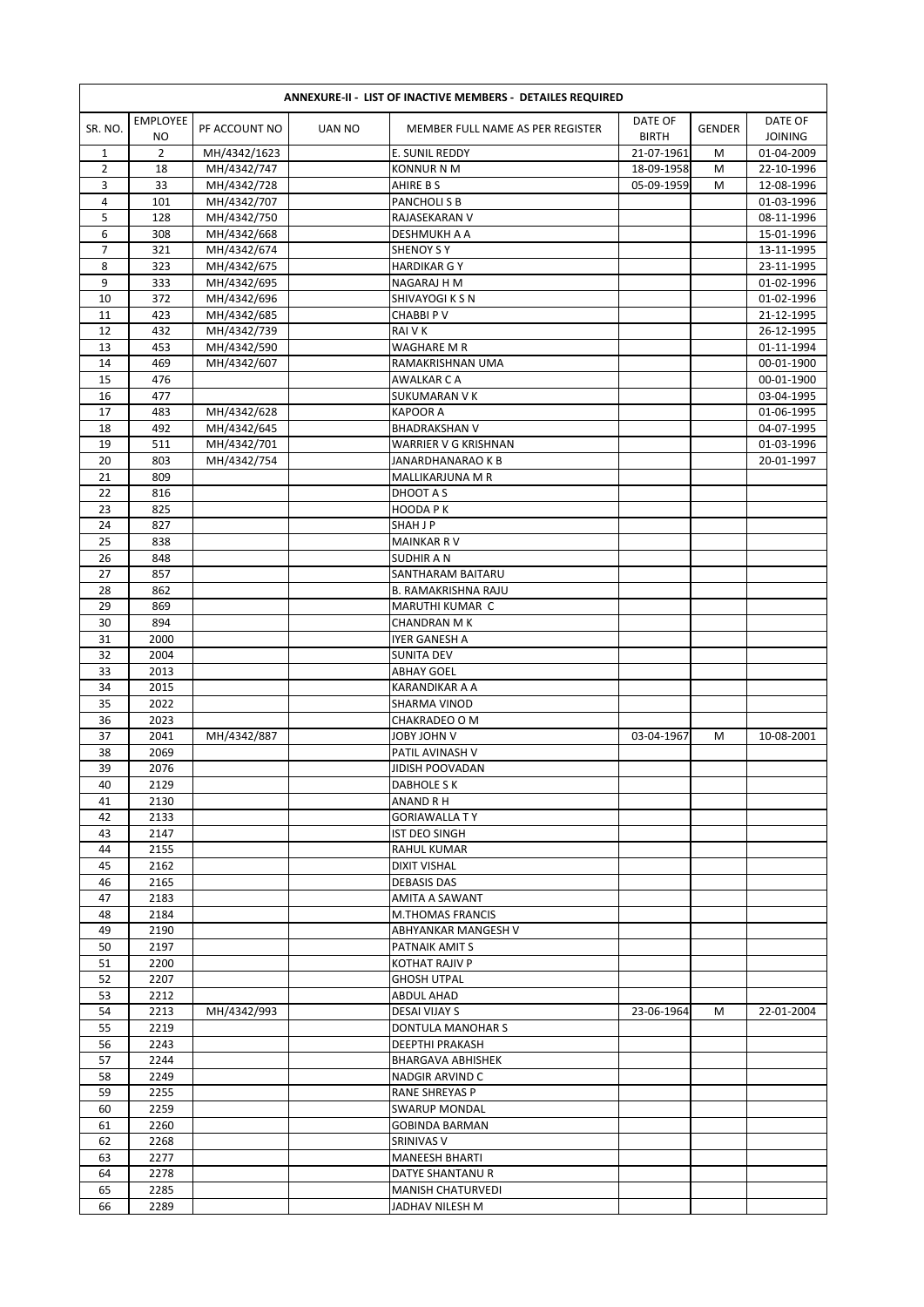|                | <b>EMPLOYEE</b> |                            |               |                                           | DATE OF      |               | DATE OF                  |
|----------------|-----------------|----------------------------|---------------|-------------------------------------------|--------------|---------------|--------------------------|
| SR. NO.        | NO              | PF ACCOUNT NO              | <b>UAN NO</b> | MEMBER FULL NAME AS PER REGISTER          | <b>BIRTH</b> | <b>GENDER</b> | <b>JOINING</b>           |
| 1              | $\overline{2}$  | MH/4342/1623               |               | E. SUNIL REDDY                            | 21-07-1961   | M             | 01-04-2009               |
| $\overline{2}$ | 18              | MH/4342/747                |               | <b>KONNUR N M</b>                         | 18-09-1958   | M             | 22-10-1996               |
| 3              | 33              | MH/4342/728                |               | AHIRE B S                                 | 05-09-1959   | М             | 12-08-1996               |
| 4              | 101             | MH/4342/707                |               | PANCHOLI S B                              |              |               | 01-03-1996               |
| 5              | 128             | MH/4342/750                |               | RAJASEKARAN V                             |              |               | 08-11-1996               |
| 6<br>7         | 308<br>321      | MH/4342/668                |               | DESHMUKH A A<br><b>SHENOY S Y</b>         |              |               | 15-01-1996<br>13-11-1995 |
| 8              | 323             | MH/4342/674<br>MH/4342/675 |               | <b>HARDIKAR G Y</b>                       |              |               | 23-11-1995               |
| 9              | 333             | MH/4342/695                |               | NAGARAJ H M                               |              |               | 01-02-1996               |
| 10             | 372             | MH/4342/696                |               | SHIVAYOGI K S N                           |              |               | 01-02-1996               |
| 11             | 423             | MH/4342/685                |               | CHABBI P V                                |              |               | 21-12-1995               |
| 12             | 432             | MH/4342/739                |               | RAI V K                                   |              |               | 26-12-1995               |
| 13             | 453             | MH/4342/590                |               | <b>WAGHARE M R</b>                        |              |               | 01-11-1994               |
| 14             | 469             | MH/4342/607                |               | RAMAKRISHNAN UMA                          |              |               | 00-01-1900               |
| 15             | 476             |                            |               | <b>AWALKAR C A</b>                        |              |               | 00-01-1900               |
| 16             | 477             |                            |               | <b>SUKUMARAN V K</b>                      |              |               | 03-04-1995               |
| 17             | 483             | MH/4342/628                |               | <b>KAPOOR A</b>                           |              |               | 01-06-1995               |
| 18             | 492             | MH/4342/645                |               | <b>BHADRAKSHAN V</b>                      |              |               | 04-07-1995               |
| 19             | 511             | MH/4342/701                |               | <b>WARRIER V G KRISHNAN</b>               |              |               | 01-03-1996               |
| 20             | 803             | MH/4342/754                |               | JANARDHANARAO K B                         |              |               | 20-01-1997               |
| 21             | 809             |                            |               | MALLIKARJUNA M R                          |              |               |                          |
| 22             | 816             |                            |               | DHOOT A S                                 |              |               |                          |
| 23             | 825             |                            |               | HOODA P K                                 |              |               |                          |
| 24             | 827             |                            |               | <b>SHAH J P</b>                           |              |               |                          |
| 25<br>26       | 838<br>848      |                            |               | <b>MAINKAR RV</b><br><b>SUDHIR A N</b>    |              |               |                          |
| 27             | 857             |                            |               | SANTHARAM BAITARU                         |              |               |                          |
| 28             | 862             |                            |               | <b>B. RAMAKRISHNA RAJU</b>                |              |               |                          |
| 29             | 869             |                            |               | MARUTHI KUMAR C                           |              |               |                          |
| 30             | 894             |                            |               | <b>CHANDRAN M K</b>                       |              |               |                          |
| 31             | 2000            |                            |               | IYER GANESH A                             |              |               |                          |
| 32             | 2004            |                            |               | <b>SUNITA DEV</b>                         |              |               |                          |
| 33             | 2013            |                            |               | <b>ABHAY GOEL</b>                         |              |               |                          |
| 34             | 2015            |                            |               | KARANDIKAR A A                            |              |               |                          |
| 35             | 2022            |                            |               | SHARMA VINOD                              |              |               |                          |
| 36             | 2023            |                            |               | CHAKRADEO O M                             |              |               |                          |
| 37             | 2041            | MH/4342/887                |               | V MHOL YAOL                               | 03-04-1967   | M             | 10-08-2001               |
| 38             | 2069            |                            |               | PATIL AVINASH V                           |              |               |                          |
| 39             | 2076            |                            |               | JIDISH POOVADAN                           |              |               |                          |
| 40             | 2129            |                            |               | DABHOLE S K                               |              |               |                          |
| 41             | 2130            |                            |               | ANAND R H                                 |              |               |                          |
| 42             | 2133            |                            |               | <b>GORIAWALLA TY</b>                      |              |               |                          |
| 43             | 2147            |                            |               | <b>IST DEO SINGH</b>                      |              |               |                          |
| 44             | 2155            |                            |               | <b>RAHUL KUMAR</b>                        |              |               |                          |
| 45<br>46       | 2162<br>2165    |                            |               | <b>DIXIT VISHAL</b><br><b>DEBASIS DAS</b> |              |               |                          |
| 47             | 2183            |                            |               | AMITA A SAWANT                            |              |               |                          |
| 48             | 2184            |                            |               | <b>M.THOMAS FRANCIS</b>                   |              |               |                          |
| 49             | 2190            |                            |               | ABHYANKAR MANGESH V                       |              |               |                          |
| 50             | 2197            |                            |               | PATNAIK AMIT S                            |              |               |                          |
| 51             | 2200            |                            |               | KOTHAT RAJIV P                            |              |               |                          |
| 52             | 2207            |                            |               | <b>GHOSH UTPAL</b>                        |              |               |                          |
| 53             | 2212            |                            |               | ABDUL AHAD                                |              |               |                          |
| 54             | 2213            | MH/4342/993                |               | DESAI VIJAY S                             | 23-06-1964   | M             | 22-01-2004               |
| 55             | 2219            |                            |               | DONTULA MANOHAR S                         |              |               |                          |
| 56             | 2243            |                            |               | DEEPTHI PRAKASH                           |              |               |                          |
| 57             | 2244            |                            |               | <b>BHARGAVA ABHISHEK</b>                  |              |               |                          |
| 58             | 2249            |                            |               | NADGIR ARVIND C                           |              |               |                          |
| 59             | 2255            |                            |               | RANE SHREYAS P                            |              |               |                          |
| 60             | 2259            |                            |               | <b>SWARUP MONDAL</b>                      |              |               |                          |
| 61             | 2260            |                            |               | <b>GOBINDA BARMAN</b>                     |              |               |                          |
| 62             | 2268            |                            |               | SRINIVAS V                                |              |               |                          |
| 63             | 2277            |                            |               | <b>MANEESH BHARTI</b>                     |              |               |                          |
|                |                 |                            |               |                                           |              |               |                          |
| 64<br>65       | 2278<br>2285    |                            |               | DATYE SHANTANU R<br>MANISH CHATURVEDI     |              |               |                          |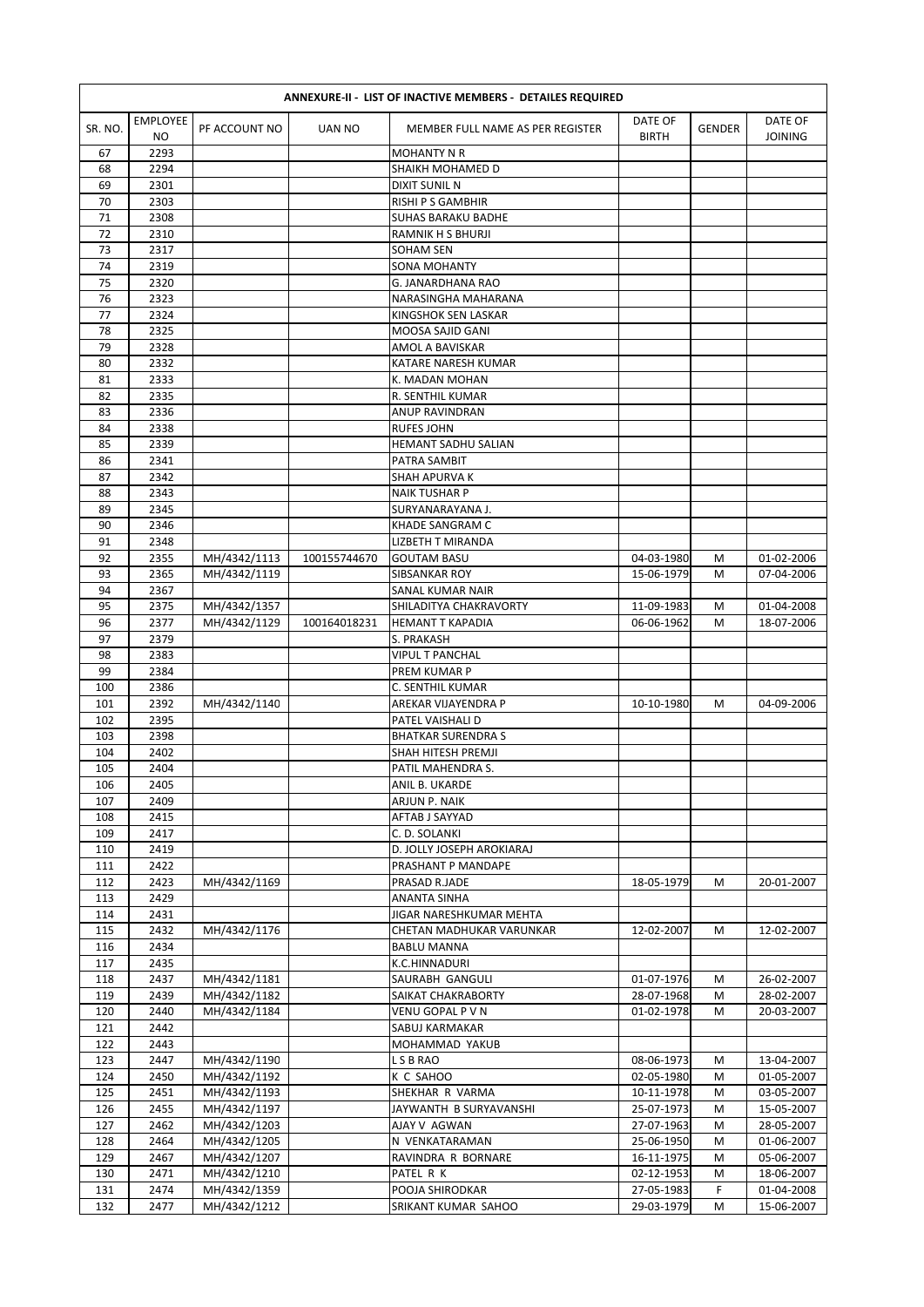| <b>ANNEXURE-II - LIST OF INACTIVE MEMBERS - DETAILES REQUIRED</b> |                        |                              |              |                                         |                          |               |                           |  |  |  |
|-------------------------------------------------------------------|------------------------|------------------------------|--------------|-----------------------------------------|--------------------------|---------------|---------------------------|--|--|--|
| SR. NO.                                                           | <b>EMPLOYEE</b><br>NO. | PF ACCOUNT NO                | UAN NO       | MEMBER FULL NAME AS PER REGISTER        | DATE OF<br><b>BIRTH</b>  | <b>GENDER</b> | DATE OF<br><b>JOINING</b> |  |  |  |
| 67                                                                | 2293                   |                              |              | <b>MOHANTY N R</b>                      |                          |               |                           |  |  |  |
| 68                                                                | 2294                   |                              |              | SHAIKH MOHAMED D                        |                          |               |                           |  |  |  |
| 69                                                                | 2301                   |                              |              | <b>DIXIT SUNIL N</b>                    |                          |               |                           |  |  |  |
| 70                                                                | 2303                   |                              |              | <b>RISHI P S GAMBHIR</b>                |                          |               |                           |  |  |  |
| 71                                                                | 2308                   |                              |              | SUHAS BARAKU BADHE                      |                          |               |                           |  |  |  |
| 72                                                                | 2310                   |                              |              | RAMNIK H S BHURJI                       |                          |               |                           |  |  |  |
| 73<br>74                                                          | 2317<br>2319           |                              |              | <b>SOHAM SEN</b><br>SONA MOHANTY        |                          |               |                           |  |  |  |
| 75                                                                | 2320                   |                              |              | G. JANARDHANA RAO                       |                          |               |                           |  |  |  |
| 76                                                                | 2323                   |                              |              | NARASINGHA MAHARANA                     |                          |               |                           |  |  |  |
| 77                                                                | 2324                   |                              |              | KINGSHOK SEN LASKAR                     |                          |               |                           |  |  |  |
| 78                                                                | 2325                   |                              |              | MOOSA SAJID GANI                        |                          |               |                           |  |  |  |
| 79                                                                | 2328                   |                              |              | AMOL A BAVISKAR                         |                          |               |                           |  |  |  |
| 80                                                                | 2332                   |                              |              | KATARE NARESH KUMAR                     |                          |               |                           |  |  |  |
| 81                                                                | 2333                   |                              |              | K. MADAN MOHAN                          |                          |               |                           |  |  |  |
| 82                                                                | 2335                   |                              |              | R. SENTHIL KUMAR                        |                          |               |                           |  |  |  |
| 83                                                                | 2336                   |                              |              | <b>ANUP RAVINDRAN</b>                   |                          |               |                           |  |  |  |
| 84                                                                | 2338                   |                              |              | <b>RUFES JOHN</b>                       |                          |               |                           |  |  |  |
| 85                                                                | 2339                   |                              |              | HEMANT SADHU SALIAN                     |                          |               |                           |  |  |  |
| 86<br>87                                                          | 2341<br>2342           |                              |              | PATRA SAMBIT<br>SHAH APURVA K           |                          |               |                           |  |  |  |
| 88                                                                | 2343                   |                              |              | <b>NAIK TUSHAR P</b>                    |                          |               |                           |  |  |  |
| 89                                                                | 2345                   |                              |              | SURYANARAYANA J.                        |                          |               |                           |  |  |  |
| 90                                                                | 2346                   |                              |              | KHADE SANGRAM C                         |                          |               |                           |  |  |  |
| 91                                                                | 2348                   |                              |              | LIZBETH T MIRANDA                       |                          |               |                           |  |  |  |
| 92                                                                | 2355                   | MH/4342/1113                 | 100155744670 | <b>GOUTAM BASU</b>                      | 04-03-1980               | M             | 01-02-2006                |  |  |  |
| 93                                                                | 2365                   | MH/4342/1119                 |              | SIBSANKAR ROY                           | 15-06-1979               | M             | 07-04-2006                |  |  |  |
| 94                                                                | 2367                   |                              |              | SANAL KUMAR NAIR                        |                          |               |                           |  |  |  |
| 95                                                                | 2375                   | MH/4342/1357                 |              | SHILADITYA CHAKRAVORTY                  | 11-09-1983               | M             | 01-04-2008                |  |  |  |
| 96                                                                | 2377                   | MH/4342/1129                 | 100164018231 | <b>HEMANT T KAPADIA</b>                 | 06-06-1962               | M             | 18-07-2006                |  |  |  |
| 97                                                                | 2379                   |                              |              | S. PRAKASH                              |                          |               |                           |  |  |  |
| 98                                                                | 2383                   |                              |              | <b>VIPUL T PANCHAL</b>                  |                          |               |                           |  |  |  |
| 99                                                                | 2384                   |                              |              | PREM KUMAR P                            |                          |               |                           |  |  |  |
| 100                                                               | 2386                   |                              |              | C. SENTHIL KUMAR                        |                          |               |                           |  |  |  |
| 101<br>102                                                        | 2392<br>2395           | MH/4342/1140                 |              | AREKAR VIJAYENDRA P<br>PATEL VAISHALI D | 10-10-1980               | М             | 04-09-2006                |  |  |  |
| 103                                                               | 2398                   |                              |              | <b>BHATKAR SURENDRA S</b>               |                          |               |                           |  |  |  |
| 104                                                               | 2402                   |                              |              | SHAH HITESH PREMJI                      |                          |               |                           |  |  |  |
| 105                                                               | 2404                   |                              |              | PATIL MAHENDRA S.                       |                          |               |                           |  |  |  |
| 106                                                               | 2405                   |                              |              | ANIL B. UKARDE                          |                          |               |                           |  |  |  |
| 107                                                               | 2409                   |                              |              | ARJUN P. NAIK                           |                          |               |                           |  |  |  |
| 108                                                               | 2415                   |                              |              | AFTAB J SAYYAD                          |                          |               |                           |  |  |  |
| 109                                                               | 2417                   |                              |              | C. D. SOLANKI                           |                          |               |                           |  |  |  |
| 110                                                               | 2419                   |                              |              | D. JOLLY JOSEPH AROKIARAJ               |                          |               |                           |  |  |  |
| 111                                                               | 2422                   |                              |              | PRASHANT P MANDAPE                      |                          |               |                           |  |  |  |
| 112                                                               | 2423                   | MH/4342/1169                 |              | PRASAD R.JADE                           | 18-05-1979               | M             | 20-01-2007                |  |  |  |
| 113<br>114                                                        | 2429<br>2431           |                              |              | ANANTA SINHA<br>JIGAR NARESHKUMAR MEHTA |                          |               |                           |  |  |  |
| 115                                                               | 2432                   | MH/4342/1176                 |              | CHETAN MADHUKAR VARUNKAR                | 12-02-2007               | М             | 12-02-2007                |  |  |  |
| 116                                                               | 2434                   |                              |              | <b>BABLU MANNA</b>                      |                          |               |                           |  |  |  |
| 117                                                               | 2435                   |                              |              | K.C.HINNADURI                           |                          |               |                           |  |  |  |
| 118                                                               | 2437                   | MH/4342/1181                 |              | SAURABH GANGULI                         | 01-07-1976               | M             | 26-02-2007                |  |  |  |
| 119                                                               | 2439                   | MH/4342/1182                 |              | SAIKAT CHAKRABORTY                      | 28-07-1968               | M             | 28-02-2007                |  |  |  |
| 120                                                               | 2440                   | MH/4342/1184                 |              | VENU GOPAL P V N                        | 01-02-1978               | М             | 20-03-2007                |  |  |  |
| 121                                                               | 2442                   |                              |              | SABUJ KARMAKAR                          |                          |               |                           |  |  |  |
| 122                                                               | 2443                   |                              |              | MOHAMMAD YAKUB                          |                          |               |                           |  |  |  |
| 123                                                               | 2447                   | MH/4342/1190                 |              | L S B RAO                               | 08-06-1973               | M             | 13-04-2007                |  |  |  |
| 124                                                               | 2450                   | MH/4342/1192                 |              | K C SAHOO                               | 02-05-1980               | М             | 01-05-2007                |  |  |  |
| 125                                                               | 2451                   | MH/4342/1193                 |              | SHEKHAR R VARMA                         | 10-11-1978               | M             | 03-05-2007                |  |  |  |
| 126<br>127                                                        | 2455<br>2462           | MH/4342/1197<br>MH/4342/1203 |              | JAYWANTH B SURYAVANSHI<br>AJAY V AGWAN  | 25-07-1973<br>27-07-1963 | M             | 15-05-2007                |  |  |  |
| 128                                                               | 2464                   | MH/4342/1205                 |              | N VENKATARAMAN                          | 25-06-1950               | M<br>М        | 28-05-2007<br>01-06-2007  |  |  |  |
| 129                                                               | 2467                   | MH/4342/1207                 |              | RAVINDRA R BORNARE                      | 16-11-1975               | M             | 05-06-2007                |  |  |  |
| 130                                                               | 2471                   | MH/4342/1210                 |              | PATEL R K                               | 02-12-1953               | M             | 18-06-2007                |  |  |  |
| 131                                                               | 2474                   | MH/4342/1359                 |              | POOJA SHIRODKAR                         | 27-05-1983               | F             | 01-04-2008                |  |  |  |
| 132                                                               | 2477                   | MH/4342/1212                 |              | SRIKANT KUMAR SAHOO                     | 29-03-1979               | M             | 15-06-2007                |  |  |  |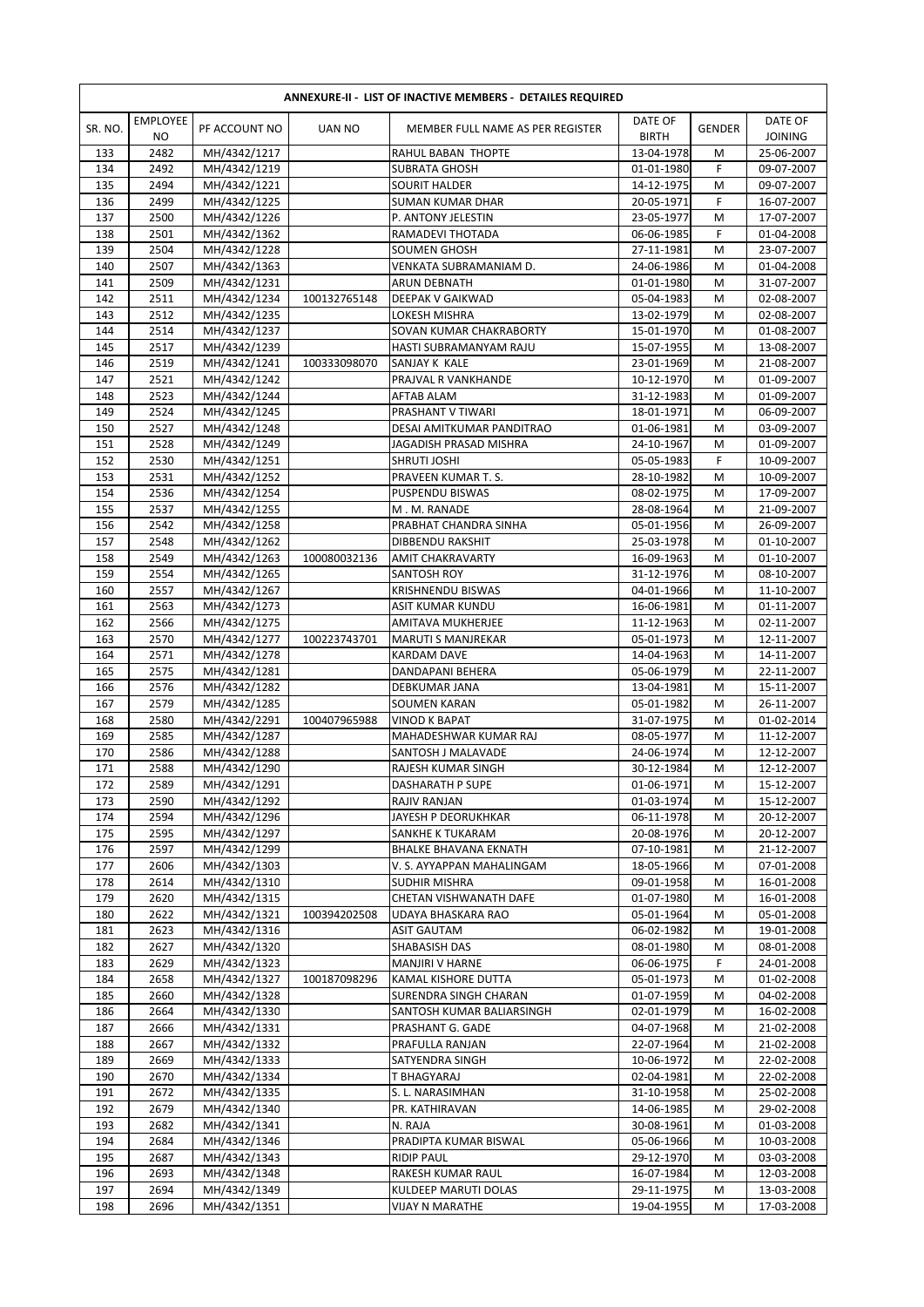|            | <b>ANNEXURE-II - LIST OF INACTIVE MEMBERS - DETAILES REQUIRED</b> |                              |               |                                             |                          |               |                           |  |  |  |  |
|------------|-------------------------------------------------------------------|------------------------------|---------------|---------------------------------------------|--------------------------|---------------|---------------------------|--|--|--|--|
| SR. NO.    | <b>EMPLOYEE</b><br>NO.                                            | PF ACCOUNT NO                | <b>UAN NO</b> | MEMBER FULL NAME AS PER REGISTER            | DATE OF<br><b>BIRTH</b>  | <b>GENDER</b> | DATE OF<br><b>JOINING</b> |  |  |  |  |
| 133        | 2482                                                              | MH/4342/1217                 |               | RAHUL BABAN THOPTE                          | 13-04-1978               | M             | 25-06-2007                |  |  |  |  |
| 134        | 2492                                                              | MH/4342/1219                 |               | <b>SUBRATA GHOSH</b>                        | 01-01-1980               | F             | 09-07-2007                |  |  |  |  |
| 135        | 2494                                                              | MH/4342/1221                 |               | SOURIT HALDER                               | 14-12-1975               | M             | 09-07-2007                |  |  |  |  |
| 136        | 2499                                                              | MH/4342/1225                 |               | SUMAN KUMAR DHAR                            | 20-05-1971               | F             | 16-07-2007                |  |  |  |  |
| 137        | 2500                                                              | MH/4342/1226                 |               | P. ANTONY JELESTIN                          | 23-05-1977               | M             | 17-07-2007                |  |  |  |  |
| 138        | 2501                                                              | MH/4342/1362                 |               | RAMADEVI THOTADA                            | 06-06-1985               | F             | 01-04-2008                |  |  |  |  |
| 139        | 2504                                                              | MH/4342/1228                 |               | <b>SOUMEN GHOSH</b>                         | 27-11-1981               | M             | 23-07-2007                |  |  |  |  |
| 140        | 2507                                                              | MH/4342/1363                 |               | VENKATA SUBRAMANIAM D.                      | 24-06-1986               | M             | 01-04-2008                |  |  |  |  |
| 141        | 2509                                                              | MH/4342/1231                 |               | <b>ARUN DEBNATH</b>                         | 01-01-1980               | M             | 31-07-2007                |  |  |  |  |
| 142        | 2511                                                              | MH/4342/1234                 | 100132765148  | DEEPAK V GAIKWAD                            | 05-04-1983               | M             | 02-08-2007                |  |  |  |  |
| 143        | 2512                                                              | MH/4342/1235                 |               | LOKESH MISHRA                               | 13-02-1979               | M             | 02-08-2007                |  |  |  |  |
| 144        | 2514                                                              | MH/4342/1237                 |               | SOVAN KUMAR CHAKRABORTY                     | 15-01-1970               | M             | 01-08-2007                |  |  |  |  |
| 145        | 2517                                                              | MH/4342/1239                 |               | HASTI SUBRAMANYAM RAJU                      | 15-07-1955               | M             | 13-08-2007                |  |  |  |  |
| 146<br>147 | 2519<br>2521                                                      | MH/4342/1241                 | 100333098070  | SANJAY K KALE                               | 23-01-1969<br>10-12-1970 | M             | 21-08-2007                |  |  |  |  |
|            |                                                                   | MH/4342/1242                 |               | PRAJVAL R VANKHANDE                         |                          | M<br>M        | 01-09-2007<br>01-09-2007  |  |  |  |  |
| 148<br>149 | 2523<br>2524                                                      | MH/4342/1244<br>MH/4342/1245 |               | AFTAB ALAM<br>PRASHANT V TIWARI             | 31-12-1983<br>18-01-1971 | M             | 06-09-2007                |  |  |  |  |
| 150        | 2527                                                              | MH/4342/1248                 |               | DESAI AMITKUMAR PANDITRAO                   | 01-06-1981               | M             | 03-09-2007                |  |  |  |  |
| 151        | 2528                                                              | MH/4342/1249                 |               | JAGADISH PRASAD MISHRA                      | 24-10-1967               | M             | 01-09-2007                |  |  |  |  |
| 152        | 2530                                                              | MH/4342/1251                 |               | SHRUTI JOSHI                                | 05-05-1983               | F             | 10-09-2007                |  |  |  |  |
| 153        | 2531                                                              | MH/4342/1252                 |               | PRAVEEN KUMAR T. S.                         | 28-10-1982               | M             | 10-09-2007                |  |  |  |  |
| 154        | 2536                                                              | MH/4342/1254                 |               | PUSPENDU BISWAS                             | 08-02-1975               | M             | 17-09-2007                |  |  |  |  |
| 155        | 2537                                                              | MH/4342/1255                 |               | M.M.RANADE                                  | 28-08-1964               | M             | 21-09-2007                |  |  |  |  |
| 156        | 2542                                                              | MH/4342/1258                 |               | PRABHAT CHANDRA SINHA                       | 05-01-1956               | M             | 26-09-2007                |  |  |  |  |
| 157        | 2548                                                              | MH/4342/1262                 |               | DIBBENDU RAKSHIT                            | 25-03-1978               | M             | 01-10-2007                |  |  |  |  |
| 158        | 2549                                                              | MH/4342/1263                 | 100080032136  | <b>AMIT CHAKRAVARTY</b>                     | 16-09-1963               | M             | 01-10-2007                |  |  |  |  |
| 159        | 2554                                                              | MH/4342/1265                 |               | SANTOSH ROY                                 | 31-12-1976               | M             | 08-10-2007                |  |  |  |  |
| 160        | 2557                                                              | MH/4342/1267                 |               | <b>KRISHNENDU BISWAS</b>                    | 04-01-1966               | M             | 11-10-2007                |  |  |  |  |
| 161        | 2563                                                              | MH/4342/1273                 |               | ASIT KUMAR KUNDU                            | 16-06-1981               | M             | 01-11-2007                |  |  |  |  |
| 162        | 2566                                                              | MH/4342/1275                 |               | AMITAVA MUKHERJEE                           | 11-12-1963               | M             | 02-11-2007                |  |  |  |  |
| 163        | 2570                                                              | MH/4342/1277                 | 100223743701  | <b>MARUTI S MANJREKAR</b>                   | 05-01-1973               | M             | 12-11-2007                |  |  |  |  |
| 164        | 2571                                                              | MH/4342/1278                 |               | KARDAM DAVE                                 | 14-04-1963               | M             | 14-11-2007                |  |  |  |  |
| 165        | 2575                                                              | MH/4342/1281                 |               | DANDAPANI BEHERA                            | 05-06-1979               | M             | 22-11-2007                |  |  |  |  |
| 166        | 2576                                                              | MH/4342/1282                 |               | DEBKUMAR JANA                               | 13-04-1981               | M             | 15-11-2007                |  |  |  |  |
| 167        | 2579                                                              | MH/4342/1285                 |               | <b>SOUMEN KARAN</b>                         | 05-01-1982               | M             | 26-11-2007                |  |  |  |  |
| 168        | 2580                                                              | MH/4342/2291                 | 100407965988  | <b>VINOD K BAPAT</b>                        | 31-07-1975               | M             | 01-02-2014                |  |  |  |  |
| 169<br>170 | 2585<br>2586                                                      | MH/4342/1287                 |               | MAHADESHWAR KUMAR RAJ<br>SANTOSH J MALAVADE | 08-05-1977               | M<br>M        | 11-12-2007<br>12-12-2007  |  |  |  |  |
| 171        | 2588                                                              | MH/4342/1288<br>MH/4342/1290 |               | RAJESH KUMAR SINGH                          | 24-06-1974<br>30-12-1984 | M             | 12-12-2007                |  |  |  |  |
| 172        | 2589                                                              | MH/4342/1291                 |               | DASHARATH P SUPE                            | 01-06-1971               | M             | 15-12-2007                |  |  |  |  |
| 173        | 2590                                                              | MH/4342/1292                 |               | RAJIV RANJAN                                | 01-03-1974               | М             | 15-12-2007                |  |  |  |  |
| 174        | 2594                                                              | MH/4342/1296                 |               | JAYESH P DEORUKHKAR                         | 06-11-1978               | М             | 20-12-2007                |  |  |  |  |
| 175        | 2595                                                              | MH/4342/1297                 |               | SANKHE K TUKARAM                            | 20-08-1976               | M             | 20-12-2007                |  |  |  |  |
| 176        | 2597                                                              | MH/4342/1299                 |               | <b>BHALKE BHAVANA EKNATH</b>                | 07-10-1981               | М             | 21-12-2007                |  |  |  |  |
| 177        | 2606                                                              | MH/4342/1303                 |               | V. S. AYYAPPAN MAHALINGAM                   | 18-05-1966               | M             | 07-01-2008                |  |  |  |  |
| 178        | 2614                                                              | MH/4342/1310                 |               | SUDHIR MISHRA                               | 09-01-1958               | M             | 16-01-2008                |  |  |  |  |
| 179        | 2620                                                              | MH/4342/1315                 |               | CHETAN VISHWANATH DAFE                      | 01-07-1980               | M             | 16-01-2008                |  |  |  |  |
| 180        | 2622                                                              | MH/4342/1321                 | 100394202508  | UDAYA BHASKARA RAO                          | 05-01-1964               | M             | 05-01-2008                |  |  |  |  |
| 181        | 2623                                                              | MH/4342/1316                 |               | ASIT GAUTAM                                 | 06-02-1982               | M             | 19-01-2008                |  |  |  |  |
| 182        | 2627                                                              | MH/4342/1320                 |               | SHABASISH DAS                               | 08-01-1980               | M             | 08-01-2008                |  |  |  |  |
| 183        | 2629                                                              | MH/4342/1323                 |               | <b>MANJIRI V HARNE</b>                      | 06-06-1975               | F             | 24-01-2008                |  |  |  |  |
| 184        | 2658                                                              | MH/4342/1327                 | 100187098296  | KAMAL KISHORE DUTTA                         | 05-01-1973               | M             | 01-02-2008                |  |  |  |  |
| 185        | 2660                                                              | MH/4342/1328                 |               | SURENDRA SINGH CHARAN                       | 01-07-1959               | M             | 04-02-2008                |  |  |  |  |
| 186        | 2664                                                              | MH/4342/1330                 |               | SANTOSH KUMAR BALIARSINGH                   | 02-01-1979               | M             | 16-02-2008                |  |  |  |  |
| 187        | 2666                                                              | MH/4342/1331                 |               | PRASHANT G. GADE                            | 04-07-1968               | М             | 21-02-2008                |  |  |  |  |
| 188<br>189 | 2667<br>2669                                                      | MH/4342/1332                 |               | PRAFULLA RANJAN                             | 22-07-1964               | M<br>M        | 21-02-2008                |  |  |  |  |
| 190        | 2670                                                              | MH/4342/1333<br>MH/4342/1334 |               | SATYENDRA SINGH<br>T BHAGYARAJ              | 10-06-1972<br>02-04-1981 | M             | 22-02-2008<br>22-02-2008  |  |  |  |  |
| 191        | 2672                                                              | MH/4342/1335                 |               | S. L. NARASIMHAN                            | 31-10-1958               | M             | 25-02-2008                |  |  |  |  |
| 192        | 2679                                                              | MH/4342/1340                 |               | PR. KATHIRAVAN                              | 14-06-1985               | M             | 29-02-2008                |  |  |  |  |
| 193        | 2682                                                              | MH/4342/1341                 |               | N. RAJA                                     | 30-08-1961               | M             | 01-03-2008                |  |  |  |  |
| 194        | 2684                                                              | MH/4342/1346                 |               | PRADIPTA KUMAR BISWAL                       | 05-06-1966               | M             | 10-03-2008                |  |  |  |  |
| 195        | 2687                                                              | MH/4342/1343                 |               | <b>RIDIP PAUL</b>                           | 29-12-1970               | М             | 03-03-2008                |  |  |  |  |
| 196        | 2693                                                              | MH/4342/1348                 |               | RAKESH KUMAR RAUL                           | 16-07-1984               | М             | 12-03-2008                |  |  |  |  |
| 197        | 2694                                                              | MH/4342/1349                 |               | KULDEEP MARUTI DOLAS                        | 29-11-1975               | М             | 13-03-2008                |  |  |  |  |
| 198        | 2696                                                              | MH/4342/1351                 |               | VIJAY N MARATHE                             | 19-04-1955               | M             | 17-03-2008                |  |  |  |  |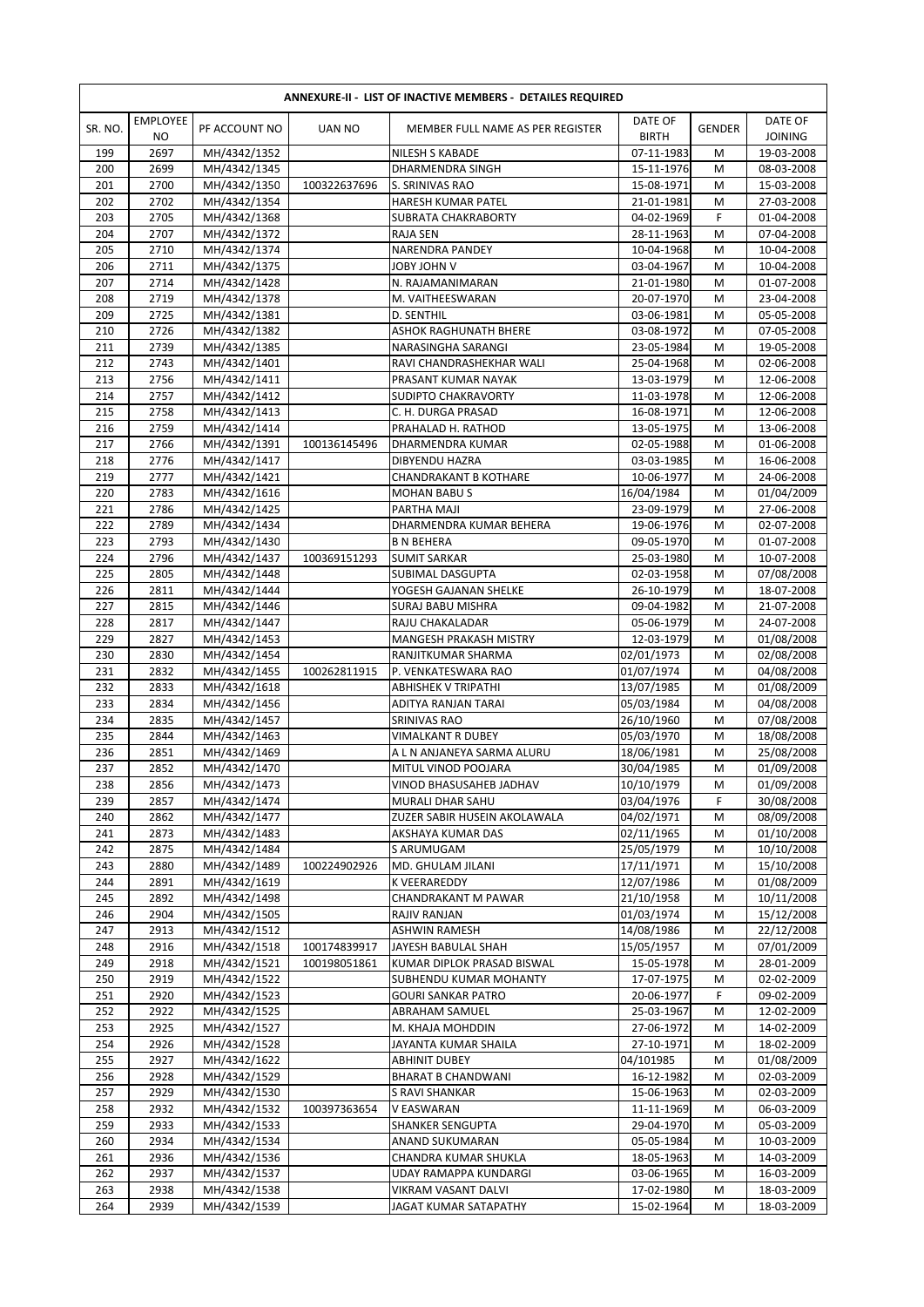|            | <b>EMPLOYEE</b> |                              |               | ANNEXURE-II - LIST OF INACTIVE MEMBERS - DETAILES REQUIRED | DATE OF                  |               | DATE OF                  |
|------------|-----------------|------------------------------|---------------|------------------------------------------------------------|--------------------------|---------------|--------------------------|
| SR. NO.    | <b>NO</b>       | PF ACCOUNT NO                | <b>UAN NO</b> | MEMBER FULL NAME AS PER REGISTER                           | <b>BIRTH</b>             | <b>GENDER</b> | <b>JOINING</b>           |
| 199        | 2697            | MH/4342/1352                 |               | <b>NILESH S KABADE</b>                                     | 07-11-1983               | М             | 19-03-2008               |
| 200        | 2699            | MH/4342/1345                 |               | DHARMENDRA SINGH                                           | 15-11-1976               | M             | 08-03-2008               |
| 201        | 2700            | MH/4342/1350                 | 100322637696  | S. SRINIVAS RAO                                            | 15-08-1971               | M             | 15-03-2008               |
| 202        | 2702            | MH/4342/1354                 |               | <b>HARESH KUMAR PATEL</b>                                  | 21-01-1981               | M             | 27-03-2008               |
| 203        | 2705            | MH/4342/1368                 |               | SUBRATA CHAKRABORTY                                        | 04-02-1969               | F             | 01-04-2008               |
| 204        | 2707            | MH/4342/1372                 |               | RAJA SEN                                                   | 28-11-1963               | M             | 07-04-2008               |
| 205        | 2710            | MH/4342/1374                 |               | <b>NARENDRA PANDEY</b>                                     | 10-04-1968               | M             | 10-04-2008               |
| 206        | 2711            | MH/4342/1375                 |               | V <i>MH</i> OL Y8OL                                        | 03-04-1967               | M             | 10-04-2008               |
| 207        | 2714            | MH/4342/1428                 |               | N. RAJAMANIMARAN                                           | 21-01-1980               | M             | 01-07-2008               |
| 208        | 2719            | MH/4342/1378                 |               | M. VAITHEESWARAN                                           | 20-07-1970               | M             | 23-04-2008               |
| 209        | 2725            | MH/4342/1381                 |               | D. SENTHIL                                                 | 03-06-1981               | M             | 05-05-2008               |
| 210        | 2726            | MH/4342/1382                 |               | <b>ASHOK RAGHUNATH BHERE</b>                               | 03-08-1972               | M             | 07-05-2008               |
| 211        | 2739            | MH/4342/1385                 |               | NARASINGHA SARANGI                                         | 23-05-1984               | M             | 19-05-2008               |
| 212        | 2743            | MH/4342/1401                 |               | RAVI CHANDRASHEKHAR WALI                                   | 25-04-1968               | M             | 02-06-2008               |
| 213        | 2756            | MH/4342/1411                 |               | PRASANT KUMAR NAYAK                                        | 13-03-1979               | M             | 12-06-2008               |
| 214        | 2757            | MH/4342/1412                 |               | <b>SUDIPTO CHAKRAVORTY</b>                                 | 11-03-1978               | M             | 12-06-2008               |
| 215        | 2758            | MH/4342/1413                 |               | C. H. DURGA PRASAD                                         | 16-08-1971               | M             | 12-06-2008               |
| 216        | 2759            | MH/4342/1414                 |               | PRAHALAD H. RATHOD                                         | 13-05-1975               | M             | 13-06-2008               |
| 217        | 2766            | MH/4342/1391                 | 100136145496  | DHARMENDRA KUMAR                                           | 02-05-1988               | M             | 01-06-2008               |
| 218        | 2776            | MH/4342/1417                 |               | <b>DIBYENDU HAZRA</b>                                      | 03-03-1985               | M             | 16-06-2008               |
| 219        | 2777            | MH/4342/1421                 |               | <b>CHANDRAKANT B KOTHARE</b>                               | 10-06-1977               | M             | 24-06-2008               |
| 220        | 2783            | MH/4342/1616                 |               | <b>MOHAN BABUS</b>                                         | 16/04/1984               | M             | 01/04/2009               |
| 221        | 2786            | MH/4342/1425                 |               | PARTHA MAJI                                                | 23-09-1979               | M             | 27-06-2008               |
| 222        | 2789            | MH/4342/1434                 |               | DHARMENDRA KUMAR BEHERA                                    | 19-06-1976               | M             | 02-07-2008               |
| 223        | 2793            | MH/4342/1430                 |               | <b>B N BEHERA</b>                                          | 09-05-1970               | M             | 01-07-2008               |
| 224        | 2796            | MH/4342/1437                 | 100369151293  | <b>SUMIT SARKAR</b>                                        | 25-03-1980               | M             | 10-07-2008               |
| 225        | 2805            | MH/4342/1448                 |               | SUBIMAL DASGUPTA                                           | 02-03-1958               | M             | 07/08/2008               |
| 226        | 2811            | MH/4342/1444                 |               | YOGESH GAJANAN SHELKE                                      | 26-10-1979               | M             | 18-07-2008               |
| 227        | 2815            | MH/4342/1446                 |               | SURAJ BABU MISHRA                                          | 09-04-1982               | M             | 21-07-2008               |
| 228        | 2817            | MH/4342/1447                 |               | RAJU CHAKALADAR                                            | 05-06-1979               | M             | 24-07-2008               |
| 229        | 2827            | MH/4342/1453                 |               | <b>MANGESH PRAKASH MISTRY</b>                              | 12-03-1979               | M             | 01/08/2008               |
| 230        | 2830            | MH/4342/1454                 |               | RANJITKUMAR SHARMA                                         | 02/01/1973               | M             | 02/08/2008               |
| 231        | 2832            | MH/4342/1455                 | 100262811915  | P. VENKATESWARA RAO                                        | 01/07/1974               | М             | 04/08/2008               |
| 232        | 2833            | MH/4342/1618                 |               | <b>ABHISHEK V TRIPATHI</b>                                 | 13/07/1985               | M             | 01/08/2009               |
| 233        | 2834            | MH/4342/1456                 |               | ADITYA RANJAN TARAI                                        | 05/03/1984               | M             | 04/08/2008               |
| 234        | 2835<br>2844    | MH/4342/1457                 |               | SRINIVAS RAO                                               | 26/10/1960               | M             | 07/08/2008               |
| 235<br>236 | 2851            | MH/4342/1463                 |               | <b>VIMALKANT R DUBEY</b><br>A L N ANJANEYA SARMA ALURU     | 05/03/1970<br>18/06/1981 | M<br>M        | 18/08/2008<br>25/08/2008 |
| 237        | 2852            | MH/4342/1469                 |               |                                                            | 30/04/1985               | M             |                          |
|            |                 | MH/4342/1470                 |               | MITUL VINOD POOJARA                                        |                          |               | 01/09/2008               |
| 238        | 2856            | MH/4342/1473                 |               | VINOD BHASUSAHEB JADHAV                                    | 10/10/1979               | М             | 01/09/2008               |
| 239        | 2857            | MH/4342/1474                 |               | MURALI DHAR SAHU                                           | 03/04/1976               | F.            | 30/08/2008               |
| 240        | 2862            | MH/4342/1477                 |               | ZUZER SABIR HUSEIN AKOLAWALA                               | 04/02/1971               | M             | 08/09/2008               |
| 241        | 2873            | MH/4342/1483                 |               | AKSHAYA KUMAR DAS                                          | 02/11/1965               | M             | 01/10/2008               |
| 242        | 2875<br>2880    | MH/4342/1484<br>MH/4342/1489 | 100224902926  | S ARUMUGAM<br>MD. GHULAM JILANI                            | 25/05/1979<br>17/11/1971 | M             | 10/10/2008               |
| 243<br>244 |                 |                              |               |                                                            |                          | M             | 15/10/2008               |
| 245        | 2891<br>2892    | MH/4342/1619<br>MH/4342/1498 |               | K VEERAREDDY<br>CHANDRAKANT M PAWAR                        | 12/07/1986<br>21/10/1958 | M             | 01/08/2009<br>10/11/2008 |
| 246        | 2904            | MH/4342/1505                 |               | <b>RAJIV RANJAN</b>                                        | 01/03/1974               | M             |                          |
| 247        | 2913            | MH/4342/1512                 |               |                                                            | 14/08/1986               | M             | 15/12/2008<br>22/12/2008 |
| 248        | 2916            | MH/4342/1518                 | 100174839917  | ASHWIN RAMESH<br>JAYESH BABULAL SHAH                       | 15/05/1957               | M<br>M        | 07/01/2009               |
| 249        | 2918            | MH/4342/1521                 | 100198051861  | KUMAR DIPLOK PRASAD BISWAL                                 | 15-05-1978               | М             | 28-01-2009               |
| 250        | 2919            | MH/4342/1522                 |               | SUBHENDU KUMAR MOHANTY                                     | 17-07-1975               | M             | 02-02-2009               |
| 251        | 2920            | MH/4342/1523                 |               | <b>GOURI SANKAR PATRO</b>                                  | 20-06-1977               | F             | 09-02-2009               |
| 252        | 2922            | MH/4342/1525                 |               | ABRAHAM SAMUEL                                             | 25-03-1967               | M             | 12-02-2009               |
| 253        | 2925            | MH/4342/1527                 |               | M. KHAJA MOHDDIN                                           | 27-06-1972               | M             | 14-02-2009               |
| 254        | 2926            | MH/4342/1528                 |               | JAYANTA KUMAR SHAILA                                       | 27-10-1971               | M             | 18-02-2009               |
| 255        | 2927            | MH/4342/1622                 |               | ABHINIT DUBEY                                              | 04/101985                | М             | 01/08/2009               |
| 256        | 2928            | MH/4342/1529                 |               | <b>BHARAT B CHANDWANI</b>                                  | 16-12-1982               | M             | 02-03-2009               |
| 257        | 2929            | MH/4342/1530                 |               | S RAVI SHANKAR                                             | 15-06-1963               | М             | 02-03-2009               |
| 258        | 2932            | MH/4342/1532                 | 100397363654  | V EASWARAN                                                 |                          |               |                          |
| 259        | 2933            | MH/4342/1533                 |               | <b>SHANKER SENGUPTA</b>                                    | 11-11-1969<br>29-04-1970 | M<br>М        | 06-03-2009<br>05-03-2009 |
| 260        | 2934            | MH/4342/1534                 |               | ANAND SUKUMARAN                                            | 05-05-1984               | M             | 10-03-2009               |
| 261        | 2936            | MH/4342/1536                 |               | CHANDRA KUMAR SHUKLA                                       | 18-05-1963               | М             | 14-03-2009               |
| 262        | 2937            |                              |               |                                                            | 03-06-1965               |               |                          |
| 263        | 2938            | MH/4342/1537<br>MH/4342/1538 |               | UDAY RAMAPPA KUNDARGI<br>VIKRAM VASANT DALVI               | 17-02-1980               | M<br>М        | 16-03-2009               |
|            |                 | MH/4342/1539                 |               |                                                            |                          |               | 18-03-2009               |
| 264        | 2939            |                              |               | JAGAT KUMAR SATAPATHY                                      | 15-02-1964               | М             | 18-03-2009               |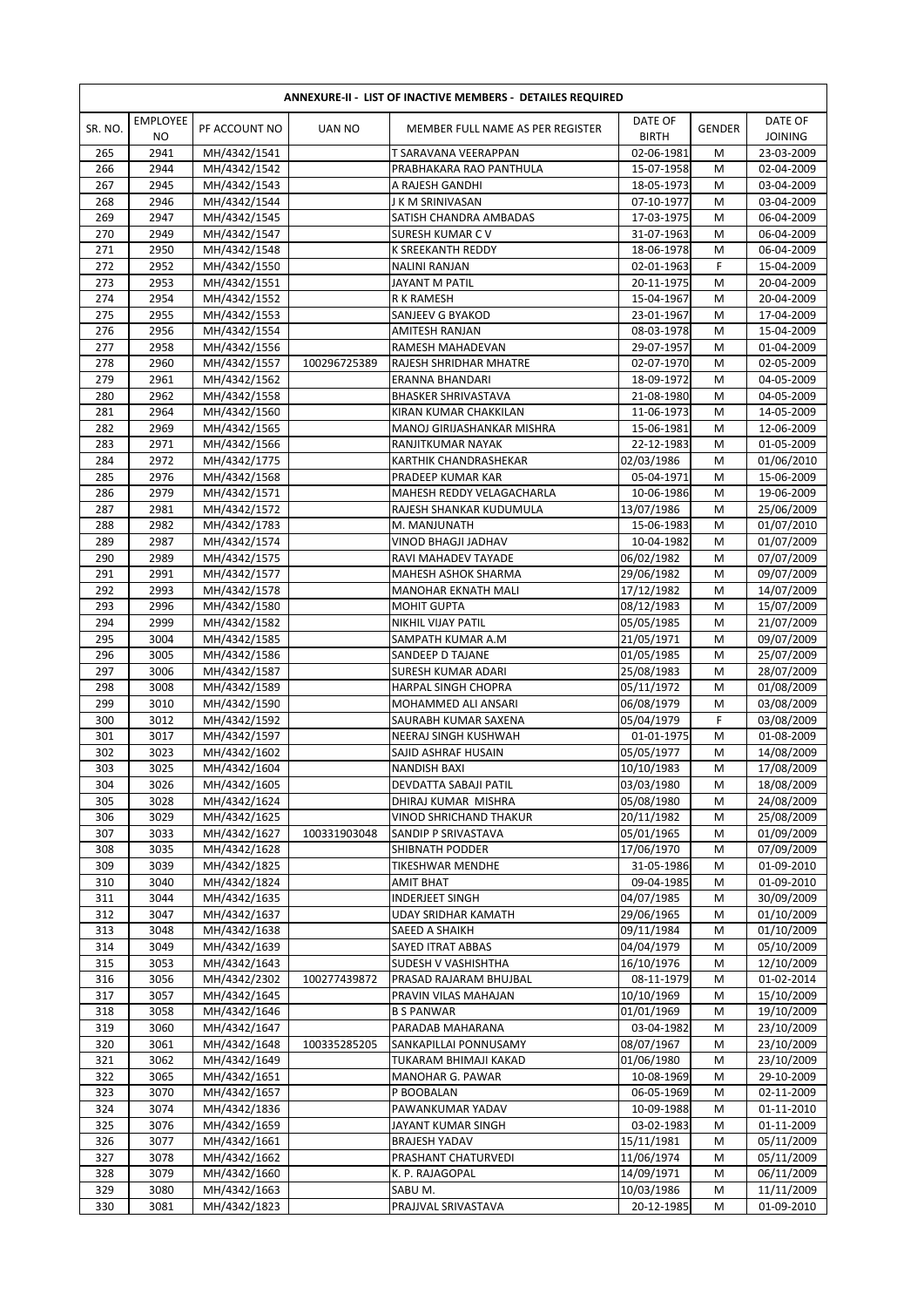|            | <b>ANNEXURE-II - LIST OF INACTIVE MEMBERS - DETAILES REQUIRED</b> |                              |               |                                              |                          |               |                           |  |  |  |  |
|------------|-------------------------------------------------------------------|------------------------------|---------------|----------------------------------------------|--------------------------|---------------|---------------------------|--|--|--|--|
| SR. NO.    | <b>EMPLOYEE</b><br>NO                                             | PF ACCOUNT NO                | <b>UAN NO</b> | MEMBER FULL NAME AS PER REGISTER             | DATE OF<br><b>BIRTH</b>  | <b>GENDER</b> | DATE OF<br><b>JOINING</b> |  |  |  |  |
| 265        | 2941                                                              | MH/4342/1541                 |               | T SARAVANA VEERAPPAN                         | 02-06-1981               | M             | 23-03-2009                |  |  |  |  |
| 266        | 2944                                                              | MH/4342/1542                 |               | PRABHAKARA RAO PANTHULA                      | 15-07-1958               | M             | 02-04-2009                |  |  |  |  |
| 267        | 2945                                                              | MH/4342/1543                 |               | A RAJESH GANDHI                              | 18-05-1973               | M             | 03-04-2009                |  |  |  |  |
| 268        | 2946                                                              | MH/4342/1544                 |               | J K M SRINIVASAN                             | 07-10-1977               | M             | 03-04-2009                |  |  |  |  |
| 269        | 2947                                                              | MH/4342/1545                 |               | SATISH CHANDRA AMBADAS                       | 17-03-1975               | M             | 06-04-2009                |  |  |  |  |
| 270        | 2949                                                              | MH/4342/1547                 |               | SURESH KUMAR CV                              | 31-07-1963               | M             | 06-04-2009                |  |  |  |  |
| 271        | 2950                                                              | MH/4342/1548                 |               | K SREEKANTH REDDY                            | 18-06-1978               | M             | 06-04-2009                |  |  |  |  |
| 272        | 2952                                                              | MH/4342/1550                 |               | <b>NALINI RANJAN</b>                         | 02-01-1963               | F             | 15-04-2009                |  |  |  |  |
| 273        | 2953                                                              | MH/4342/1551                 |               | JAYANT M PATIL                               | 20-11-1975               | M             | 20-04-2009                |  |  |  |  |
| 274        | 2954                                                              | MH/4342/1552                 |               | <b>R K RAMESH</b>                            | 15-04-1967               | M             | 20-04-2009                |  |  |  |  |
| 275        | 2955                                                              | MH/4342/1553                 |               | SANJEEV G BYAKOD                             | 23-01-1967               | M             | 17-04-2009                |  |  |  |  |
| 276        | 2956                                                              | MH/4342/1554                 |               | AMITESH RANJAN                               | 08-03-1978               | M             | 15-04-2009                |  |  |  |  |
| 277        | 2958                                                              | MH/4342/1556                 |               | RAMESH MAHADEVAN                             | 29-07-1957               | M             | 01-04-2009                |  |  |  |  |
| 278<br>279 | 2960<br>2961                                                      | MH/4342/1557<br>MH/4342/1562 | 100296725389  | RAJESH SHRIDHAR MHATRE<br>ERANNA BHANDARI    | 02-07-1970<br>18-09-1972 | M<br>M        | 02-05-2009<br>04-05-2009  |  |  |  |  |
| 280        | 2962                                                              | MH/4342/1558                 |               | <b>BHASKER SHRIVASTAVA</b>                   | 21-08-1980               | M             | 04-05-2009                |  |  |  |  |
| 281        | 2964                                                              | MH/4342/1560                 |               | KIRAN KUMAR CHAKKILAN                        | 11-06-1973               | M             | 14-05-2009                |  |  |  |  |
| 282        | 2969                                                              | MH/4342/1565                 |               | <b>MANOJ GIRIJASHANKAR MISHRA</b>            | 15-06-1981               | M             | 12-06-2009                |  |  |  |  |
| 283        | 2971                                                              | MH/4342/1566                 |               | RANJITKUMAR NAYAK                            | 22-12-1983               | M             | 01-05-2009                |  |  |  |  |
| 284        | 2972                                                              | MH/4342/1775                 |               | KARTHIK CHANDRASHEKAR                        | 02/03/1986               | M             | 01/06/2010                |  |  |  |  |
| 285        | 2976                                                              | MH/4342/1568                 |               | PRADEEP KUMAR KAR                            | 05-04-1971               | M             | 15-06-2009                |  |  |  |  |
| 286        | 2979                                                              | MH/4342/1571                 |               | MAHESH REDDY VELAGACHARLA                    | 10-06-1986               | M             | 19-06-2009                |  |  |  |  |
| 287        | 2981                                                              | MH/4342/1572                 |               | RAJESH SHANKAR KUDUMULA                      | 13/07/1986               | M             | 25/06/2009                |  |  |  |  |
| 288        | 2982                                                              | MH/4342/1783                 |               | M. MANJUNATH                                 | 15-06-1983               | M             | 01/07/2010                |  |  |  |  |
| 289        | 2987                                                              | MH/4342/1574                 |               | VINOD BHAGJI JADHAV                          | 10-04-1982               | M             | 01/07/2009                |  |  |  |  |
| 290        | 2989                                                              | MH/4342/1575                 |               | RAVI MAHADEV TAYADE                          | 06/02/1982               | M             | 07/07/2009                |  |  |  |  |
| 291        | 2991                                                              | MH/4342/1577                 |               | MAHESH ASHOK SHARMA                          | 29/06/1982               | M             | 09/07/2009                |  |  |  |  |
| 292        | 2993                                                              | MH/4342/1578                 |               | MANOHAR EKNATH MALI                          | 17/12/1982               | M             | 14/07/2009                |  |  |  |  |
| 293        | 2996                                                              | MH/4342/1580                 |               | <b>MOHIT GUPTA</b>                           | 08/12/1983               | M             | 15/07/2009                |  |  |  |  |
| 294        | 2999                                                              | MH/4342/1582                 |               | NIKHIL VIJAY PATIL                           | 05/05/1985               | M             | 21/07/2009                |  |  |  |  |
| 295        | 3004                                                              | MH/4342/1585                 |               | SAMPATH KUMAR A.M                            | 21/05/1971               | M             | 09/07/2009                |  |  |  |  |
| 296        | 3005                                                              | MH/4342/1586                 |               | SANDEEP D TAJANE                             | 01/05/1985               | M             | 25/07/2009                |  |  |  |  |
| 297        | 3006                                                              | MH/4342/1587                 |               | SURESH KUMAR ADARI                           | 25/08/1983               | M             | 28/07/2009                |  |  |  |  |
| 298        | 3008                                                              | MH/4342/1589                 |               | HARPAL SINGH CHOPRA                          | 05/11/1972               | M             | 01/08/2009                |  |  |  |  |
| 299        | 3010                                                              | MH/4342/1590                 |               | MOHAMMED ALI ANSARI                          | 06/08/1979               | M             | 03/08/2009                |  |  |  |  |
| 300        | 3012                                                              | MH/4342/1592                 |               | SAURABH KUMAR SAXENA                         | 05/04/1979               | F             | 03/08/2009                |  |  |  |  |
| 301        | 3017                                                              | MH/4342/1597                 |               | NEERAJ SINGH KUSHWAH                         | 01-01-1975               | M             | 01-08-2009                |  |  |  |  |
| 302        | 3023                                                              | MH/4342/1602                 |               | SAJID ASHRAF HUSAIN                          | 05/05/1977               | M<br>M        | 14/08/2009                |  |  |  |  |
| 303<br>304 | 3025                                                              | MH/4342/1604<br>MH/4342/1605 |               | <b>NANDISH BAXI</b>                          | 10/10/1983<br>03/03/1980 |               | 17/08/2009<br>18/08/2009  |  |  |  |  |
| 305        | 3026<br>3028                                                      | MH/4342/1624                 |               | DEVDATTA SABAJI PATIL<br>DHIRAJ KUMAR MISHRA | 05/08/1980               | M<br>M        | 24/08/2009                |  |  |  |  |
| 306        | 3029                                                              | MH/4342/1625                 |               | VINOD SHRICHAND THAKUR                       | 20/11/1982               | M             | 25/08/2009                |  |  |  |  |
| 307        | 3033                                                              | MH/4342/1627                 | 100331903048  | SANDIP P SRIVASTAVA                          | 05/01/1965               | M             | 01/09/2009                |  |  |  |  |
| 308        | 3035                                                              | MH/4342/1628                 |               | SHIBNATH PODDER                              | 17/06/1970               | M             | 07/09/2009                |  |  |  |  |
| 309        | 3039                                                              | MH/4342/1825                 |               | TIKESHWAR MENDHE                             | 31-05-1986               | M             | 01-09-2010                |  |  |  |  |
| 310        | 3040                                                              | MH/4342/1824                 |               | AMIT BHAT                                    | 09-04-1985               | M             | 01-09-2010                |  |  |  |  |
| 311        | 3044                                                              | MH/4342/1635                 |               | INDERJEET SINGH                              | 04/07/1985               | M             | 30/09/2009                |  |  |  |  |
| 312        | 3047                                                              | MH/4342/1637                 |               | UDAY SRIDHAR KAMATH                          | 29/06/1965               | M             | 01/10/2009                |  |  |  |  |
| 313        | 3048                                                              | MH/4342/1638                 |               | SAEED A SHAIKH                               | 09/11/1984               | M             | 01/10/2009                |  |  |  |  |
| 314        | 3049                                                              | MH/4342/1639                 |               | SAYED ITRAT ABBAS                            | 04/04/1979               | M             | 05/10/2009                |  |  |  |  |
| 315        | 3053                                                              | MH/4342/1643                 |               | SUDESH V VASHISHTHA                          | 16/10/1976               | M             | 12/10/2009                |  |  |  |  |
| 316        | 3056                                                              | MH/4342/2302                 | 100277439872  | PRASAD RAJARAM BHUJBAL                       | 08-11-1979               | M             | 01-02-2014                |  |  |  |  |
| 317        | 3057                                                              | MH/4342/1645                 |               | PRAVIN VILAS MAHAJAN                         | 10/10/1969               | M             | 15/10/2009                |  |  |  |  |
| 318        | 3058                                                              | MH/4342/1646                 |               | <b>B S PANWAR</b>                            | 01/01/1969               | М             | 19/10/2009                |  |  |  |  |
| 319        | 3060                                                              | MH/4342/1647                 |               | PARADAB MAHARANA                             | 03-04-1982               | M             | 23/10/2009                |  |  |  |  |
| 320        | 3061                                                              | MH/4342/1648                 | 100335285205  | SANKAPILLAI PONNUSAMY                        | 08/07/1967               | М             | 23/10/2009                |  |  |  |  |
| 321        | 3062                                                              | MH/4342/1649                 |               | TUKARAM BHIMAJI KAKAD                        | 01/06/1980               | M             | 23/10/2009                |  |  |  |  |
| 322        | 3065                                                              | MH/4342/1651                 |               | MANOHAR G. PAWAR                             | 10-08-1969               | M             | 29-10-2009                |  |  |  |  |
| 323        | 3070                                                              | MH/4342/1657                 |               | P BOOBALAN                                   | 06-05-1969               | M             | 02-11-2009                |  |  |  |  |
| 324        | 3074                                                              | MH/4342/1836                 |               | PAWANKUMAR YADAV                             | 10-09-1988               | M             | 01-11-2010                |  |  |  |  |
| 325        | 3076                                                              | MH/4342/1659                 |               | JAYANT KUMAR SINGH                           | 03-02-1983               | M             | 01-11-2009                |  |  |  |  |
| 326        | 3077                                                              | MH/4342/1661                 |               | <b>BRAJESH YADAV</b>                         | 15/11/1981               | M             | 05/11/2009                |  |  |  |  |
| 327<br>328 | 3078<br>3079                                                      | MH/4342/1662<br>MH/4342/1660 |               | PRASHANT CHATURVEDI<br>K. P. RAJAGOPAL       | 11/06/1974<br>14/09/1971 | M<br>M        | 05/11/2009<br>06/11/2009  |  |  |  |  |
| 329        | 3080                                                              | MH/4342/1663                 |               | SABU M.                                      | 10/03/1986               | M             | 11/11/2009                |  |  |  |  |
| 330        | 3081                                                              | MH/4342/1823                 |               | PRAJJVAL SRIVASTAVA                          | 20-12-1985               | M             | 01-09-2010                |  |  |  |  |
|            |                                                                   |                              |               |                                              |                          |               |                           |  |  |  |  |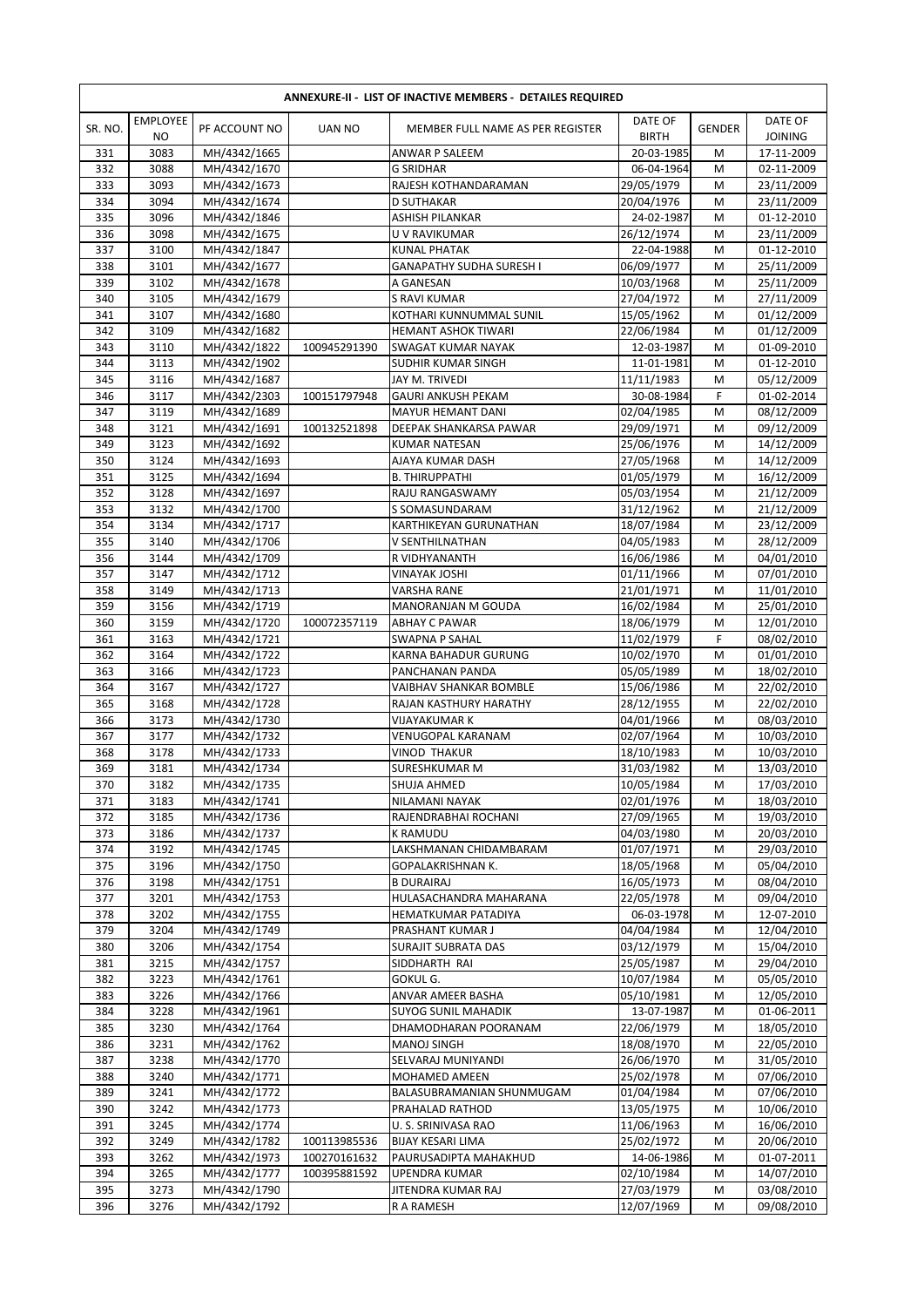|            | ANNEXURE-II - LIST OF INACTIVE MEMBERS - DETAILES REQUIRED |                              |               |                                         |                          |               |                           |  |  |  |  |
|------------|------------------------------------------------------------|------------------------------|---------------|-----------------------------------------|--------------------------|---------------|---------------------------|--|--|--|--|
| SR. NO.    | <b>EMPLOYEE</b><br>NO.                                     | PF ACCOUNT NO                | <b>UAN NO</b> | MEMBER FULL NAME AS PER REGISTER        | DATE OF<br><b>BIRTH</b>  | <b>GENDER</b> | DATE OF<br><b>JOINING</b> |  |  |  |  |
| 331        | 3083                                                       | MH/4342/1665                 |               | ANWAR P SALEEM                          | 20-03-1985               | M             | 17-11-2009                |  |  |  |  |
| 332        | 3088                                                       | MH/4342/1670                 |               | <b>G SRIDHAR</b>                        | 06-04-1964               | M             | 02-11-2009                |  |  |  |  |
| 333        | 3093                                                       | MH/4342/1673                 |               | RAJESH KOTHANDARAMAN                    | 29/05/1979               | M             | 23/11/2009                |  |  |  |  |
| 334        | 3094                                                       | MH/4342/1674                 |               | D SUTHAKAR                              | 20/04/1976               | M             | 23/11/2009                |  |  |  |  |
| 335        | 3096                                                       | MH/4342/1846                 |               | ASHISH PILANKAR                         | 24-02-1987               | M             | 01-12-2010                |  |  |  |  |
| 336        | 3098                                                       | MH/4342/1675                 |               | U V RAVIKUMAR                           | 26/12/1974               | M             | 23/11/2009                |  |  |  |  |
| 337        | 3100                                                       | MH/4342/1847                 |               | <b>KUNAL PHATAK</b>                     | 22-04-1988               | M             | 01-12-2010                |  |  |  |  |
| 338        | 3101<br>3102                                               | MH/4342/1677                 |               | <b>GANAPATHY SUDHA SURESH I</b>         | 06/09/1977               | M             | 25/11/2009                |  |  |  |  |
| 339<br>340 | 3105                                                       | MH/4342/1678<br>MH/4342/1679 |               | A GANESAN<br>S RAVI KUMAR               | 10/03/1968<br>27/04/1972 | M<br>M        | 25/11/2009<br>27/11/2009  |  |  |  |  |
| 341        | 3107                                                       | MH/4342/1680                 |               | KOTHARI KUNNUMMAL SUNIL                 | 15/05/1962               | M             | 01/12/2009                |  |  |  |  |
| 342        | 3109                                                       | MH/4342/1682                 |               | <b>HEMANT ASHOK TIWARI</b>              | 22/06/1984               | M             | 01/12/2009                |  |  |  |  |
| 343        | 3110                                                       | MH/4342/1822                 | 100945291390  | SWAGAT KUMAR NAYAK                      | 12-03-1987               | M             | 01-09-2010                |  |  |  |  |
| 344        | 3113                                                       | MH/4342/1902                 |               | SUDHIR KUMAR SINGH                      | 11-01-1981               | M             | 01-12-2010                |  |  |  |  |
| 345        | 3116                                                       | MH/4342/1687                 |               | JAY M. TRIVEDI                          | 11/11/1983               | M             | 05/12/2009                |  |  |  |  |
| 346        | 3117                                                       | MH/4342/2303                 | 100151797948  | <b>GAURI ANKUSH PEKAM</b>               | 30-08-1984               | F             | 01-02-2014                |  |  |  |  |
| 347        | 3119                                                       | MH/4342/1689                 |               | MAYUR HEMANT DANI                       | 02/04/1985               | M             | 08/12/2009                |  |  |  |  |
| 348        | 3121                                                       | MH/4342/1691                 | 100132521898  | DEEPAK SHANKARSA PAWAR                  | 29/09/1971               | M             | 09/12/2009                |  |  |  |  |
| 349        | 3123                                                       | MH/4342/1692                 |               | <b>KUMAR NATESAN</b>                    | 25/06/1976               | M             | 14/12/2009                |  |  |  |  |
| 350        | 3124                                                       | MH/4342/1693                 |               | AJAYA KUMAR DASH                        | 27/05/1968               | M             | 14/12/2009                |  |  |  |  |
| 351        | 3125                                                       | MH/4342/1694                 |               | <b>B. THIRUPPATHI</b>                   | 01/05/1979               | M             | 16/12/2009                |  |  |  |  |
| 352<br>353 | 3128<br>3132                                               | MH/4342/1697                 |               | RAJU RANGASWAMY<br>S SOMASUNDARAM       | 05/03/1954               | M             | 21/12/2009                |  |  |  |  |
| 354        | 3134                                                       | MH/4342/1700<br>MH/4342/1717 |               | KARTHIKEYAN GURUNATHAN                  | 31/12/1962<br>18/07/1984 | M<br>M        | 21/12/2009<br>23/12/2009  |  |  |  |  |
| 355        | 3140                                                       | MH/4342/1706                 |               | V SENTHILNATHAN                         | 04/05/1983               | M             | 28/12/2009                |  |  |  |  |
| 356        | 3144                                                       | MH/4342/1709                 |               | R VIDHYANANTH                           | 16/06/1986               | M             | 04/01/2010                |  |  |  |  |
| 357        | 3147                                                       | MH/4342/1712                 |               | VINAYAK JOSHI                           | 01/11/1966               | M             | 07/01/2010                |  |  |  |  |
| 358        | 3149                                                       | MH/4342/1713                 |               | VARSHA RANE                             | 21/01/1971               | M             | 11/01/2010                |  |  |  |  |
| 359        | 3156                                                       | MH/4342/1719                 |               | MANORANJAN M GOUDA                      | 16/02/1984               | M             | 25/01/2010                |  |  |  |  |
| 360        | 3159                                                       | MH/4342/1720                 | 100072357119  | <b>ABHAY C PAWAR</b>                    | 18/06/1979               | M             | 12/01/2010                |  |  |  |  |
| 361        | 3163                                                       | MH/4342/1721                 |               | SWAPNA P SAHAL                          | 11/02/1979               | F             | 08/02/2010                |  |  |  |  |
| 362        | 3164                                                       | MH/4342/1722                 |               | KARNA BAHADUR GURUNG                    | 10/02/1970               | M             | 01/01/2010                |  |  |  |  |
| 363        | 3166                                                       | MH/4342/1723                 |               | PANCHANAN PANDA                         | 05/05/1989               | M             | 18/02/2010                |  |  |  |  |
| 364        | 3167                                                       | MH/4342/1727                 |               | VAIBHAV SHANKAR BOMBLE                  | 15/06/1986               | M             | 22/02/2010                |  |  |  |  |
| 365        | 3168                                                       | MH/4342/1728                 |               | RAJAN KASTHURY HARATHY                  | 28/12/1955               | M             | 22/02/2010                |  |  |  |  |
| 366<br>367 | 3173<br>3177                                               | MH/4342/1730<br>MH/4342/1732 |               | VIJAYAKUMAR K<br>VENUGOPAL KARANAM      | 04/01/1966<br>02/07/1964 | M<br>M        | 08/03/2010<br>10/03/2010  |  |  |  |  |
| 368        | 3178                                                       | MH/4342/1733                 |               | <b>VINOD THAKUR</b>                     | 18/10/1983               | M             | 10/03/2010                |  |  |  |  |
| 369        | 3181                                                       | MH/4342/1734                 |               | <b>SURESHKUMAR M</b>                    | 31/03/1982               | M             | 13/03/2010                |  |  |  |  |
| 370        | 3182                                                       | MH/4342/1735                 |               | SHUJA AHMED                             | 10/05/1984               | M             | 17/03/2010                |  |  |  |  |
| 371        | 3183                                                       | MH/4342/1741                 |               | NILAMANI NAYAK                          | 02/01/1976               | M             | 18/03/2010                |  |  |  |  |
| 372        | 3185                                                       | MH/4342/1736                 |               | RAJENDRABHAI ROCHANI                    | 27/09/1965               | M             | 19/03/2010                |  |  |  |  |
| 373        | 3186                                                       | MH/4342/1737                 |               | K RAMUDU                                | 04/03/1980               | M             | 20/03/2010                |  |  |  |  |
| 374        | 3192                                                       | MH/4342/1745                 |               | LAKSHMANAN CHIDAMBARAM                  | 01/07/1971               | M             | 29/03/2010                |  |  |  |  |
| 375        | 3196                                                       | MH/4342/1750                 |               | GOPALAKRISHNAN K.                       | 18/05/1968               | M             | 05/04/2010                |  |  |  |  |
| 376        | 3198                                                       | MH/4342/1751                 |               | <b>B DURAIRAJ</b>                       | 16/05/1973               | M             | 08/04/2010                |  |  |  |  |
| 377        | 3201                                                       | MH/4342/1753                 |               | HULASACHANDRA MAHARANA                  | 22/05/1978               | M             | 09/04/2010                |  |  |  |  |
| 378<br>379 | 3202<br>3204                                               | MH/4342/1755<br>MH/4342/1749 |               | HEMATKUMAR PATADIYA<br>PRASHANT KUMAR J | 06-03-1978<br>04/04/1984 | M<br>M        | 12-07-2010<br>12/04/2010  |  |  |  |  |
| 380        | 3206                                                       | MH/4342/1754                 |               | SURAJIT SUBRATA DAS                     | 03/12/1979               | M             | 15/04/2010                |  |  |  |  |
| 381        | 3215                                                       | MH/4342/1757                 |               | SIDDHARTH RAI                           | 25/05/1987               | M             | 29/04/2010                |  |  |  |  |
| 382        | 3223                                                       | MH/4342/1761                 |               | GOKUL G.                                | 10/07/1984               | M             | 05/05/2010                |  |  |  |  |
| 383        | 3226                                                       | MH/4342/1766                 |               | ANVAR AMEER BASHA                       | 05/10/1981               | M             | 12/05/2010                |  |  |  |  |
| 384        | 3228                                                       | MH/4342/1961                 |               | <b>SUYOG SUNIL MAHADIK</b>              | 13-07-1987               | M             | 01-06-2011                |  |  |  |  |
| 385        | 3230                                                       | MH/4342/1764                 |               | DHAMODHARAN POORANAM                    | 22/06/1979               | M             | 18/05/2010                |  |  |  |  |
| 386        | 3231                                                       | MH/4342/1762                 |               | MANOJ SINGH                             | 18/08/1970               | М             | 22/05/2010                |  |  |  |  |
| 387        | 3238                                                       | MH/4342/1770                 |               | SELVARAJ MUNIYANDI                      | 26/06/1970               | М             | 31/05/2010                |  |  |  |  |
| 388        | 3240                                                       | MH/4342/1771                 |               | MOHAMED AMEEN                           | 25/02/1978               | М             | 07/06/2010                |  |  |  |  |
| 389        | 3241                                                       | MH/4342/1772                 |               | BALASUBRAMANIAN SHUNMUGAM               | 01/04/1984               | M             | 07/06/2010                |  |  |  |  |
| 390<br>391 | 3242<br>3245                                               | MH/4342/1773<br>MH/4342/1774 |               | PRAHALAD RATHOD                         | 13/05/1975<br>11/06/1963 | M             | 10/06/2010<br>16/06/2010  |  |  |  |  |
| 392        | 3249                                                       | MH/4342/1782                 | 100113985536  | U.S. SRINIVASA RAO<br>BIJAY KESARI LIMA | 25/02/1972               | M<br>M        | 20/06/2010                |  |  |  |  |
| 393        | 3262                                                       | MH/4342/1973                 | 100270161632  | PAURUSADIPTA MAHAKHUD                   | 14-06-1986               | M             | 01-07-2011                |  |  |  |  |
| 394        | 3265                                                       | MH/4342/1777                 | 100395881592  | UPENDRA KUMAR                           | 02/10/1984               | M             | 14/07/2010                |  |  |  |  |
| 395        | 3273                                                       | MH/4342/1790                 |               | JITENDRA KUMAR RAJ                      | 27/03/1979               | M             | 03/08/2010                |  |  |  |  |
| 396        | 3276                                                       | MH/4342/1792                 |               | R A RAMESH                              | 12/07/1969               | М             | 09/08/2010                |  |  |  |  |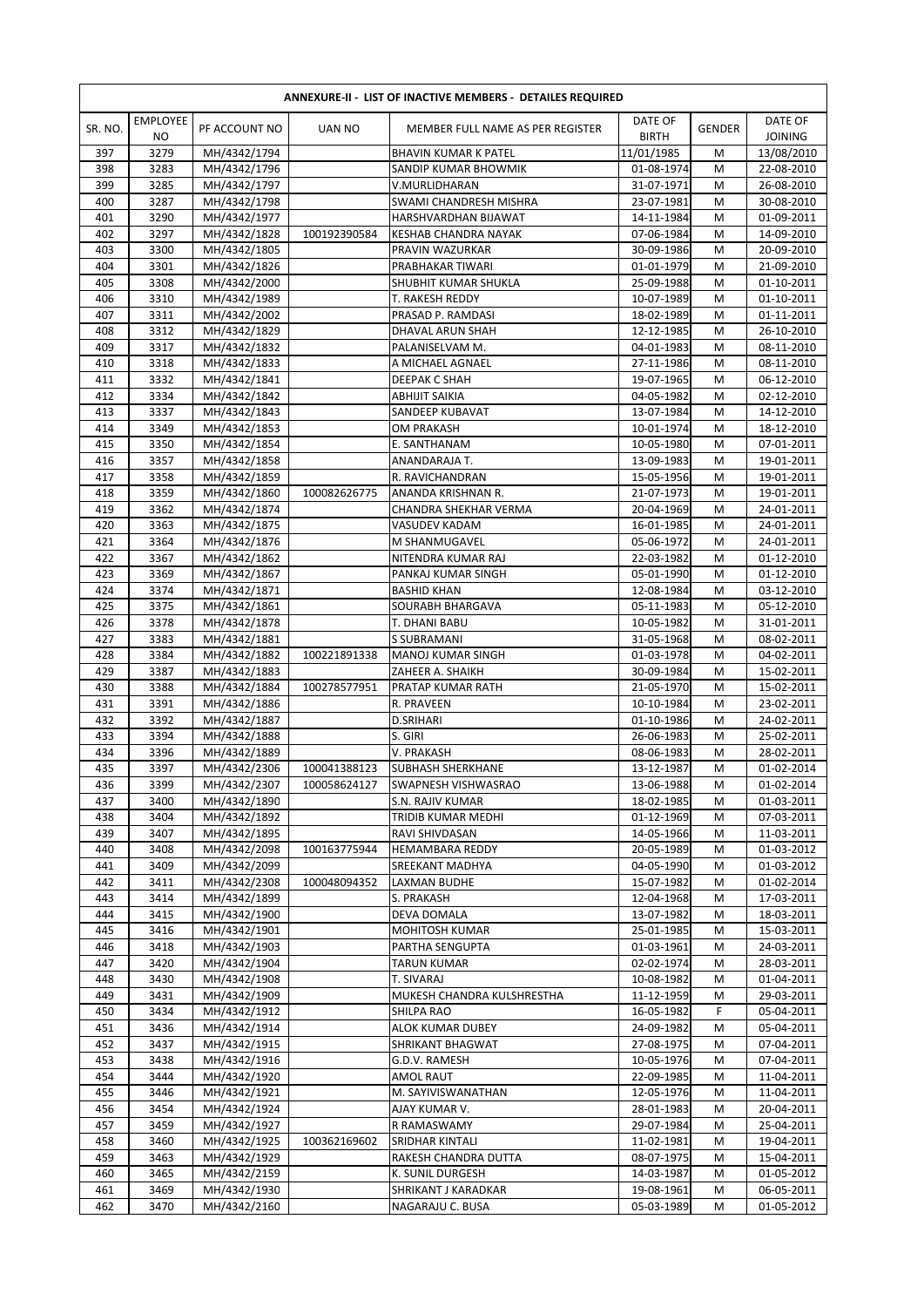|            | <b>EMPLOYEE</b> |                              |               |                                          | DATE OF                  |               | DATE OF                  |
|------------|-----------------|------------------------------|---------------|------------------------------------------|--------------------------|---------------|--------------------------|
| SR. NO.    | <b>NO</b>       | PF ACCOUNT NO                | <b>UAN NO</b> | MEMBER FULL NAME AS PER REGISTER         | <b>BIRTH</b>             | <b>GENDER</b> | <b>JOINING</b>           |
| 397        | 3279            | MH/4342/1794                 |               | <b>BHAVIN KUMAR K PATEL</b>              | 11/01/1985               | М             | 13/08/2010               |
| 398        | 3283            | MH/4342/1796                 |               | SANDIP KUMAR BHOWMIK                     | 01-08-1974               | M             | 22-08-2010               |
| 399        | 3285            | MH/4342/1797                 |               | V.MURLIDHARAN                            | 31-07-1971               | M             | 26-08-2010               |
| 400        | 3287            | MH/4342/1798                 |               | SWAMI CHANDRESH MISHRA                   | 23-07-1981               | M             | 30-08-2010               |
| 401        | 3290            | MH/4342/1977                 |               | HARSHVARDHAN BIJAWAT                     | 14-11-1984               | M             | 01-09-2011               |
| 402        | 3297            | MH/4342/1828                 | 100192390584  | <b>KESHAB CHANDRA NAYAK</b>              | 07-06-1984               | M             | 14-09-2010               |
| 403        | 3300            | MH/4342/1805                 |               | PRAVIN WAZURKAR                          | 30-09-1986               | M             | 20-09-2010               |
| 404        | 3301            | MH/4342/1826                 |               | PRABHAKAR TIWARI                         | 01-01-1979               | M             | 21-09-2010               |
| 405        | 3308            | MH/4342/2000                 |               | SHUBHIT KUMAR SHUKLA                     | 25-09-1988               | M             | 01-10-2011               |
| 406        | 3310            | MH/4342/1989                 |               | T. RAKESH REDDY                          | 10-07-1989               | M             | 01-10-2011               |
| 407        | 3311            | MH/4342/2002                 |               | PRASAD P. RAMDASI                        | 18-02-1989               | M             | 01-11-2011               |
| 408        | 3312            | MH/4342/1829                 |               | <b>DHAVAL ARUN SHAH</b>                  | 12-12-1985               | M             | 26-10-2010               |
| 409        | 3317            | MH/4342/1832                 |               | PALANISELVAM M.                          | 04-01-1983               | M             | 08-11-2010               |
| 410        | 3318            | MH/4342/1833                 |               | A MICHAEL AGNAEL                         | 27-11-1986               | M             | 08-11-2010               |
| 411        | 3332            | MH/4342/1841                 |               | DEEPAK C SHAH                            | 19-07-1965               | M             | 06-12-2010               |
| 412        | 3334            | MH/4342/1842                 |               | <b>ABHIJIT SAIKIA</b>                    | 04-05-1982               | M             | 02-12-2010               |
| 413        | 3337            | MH/4342/1843                 |               | SANDEEP KUBAVAT                          | 13-07-1984               | M             | 14-12-2010               |
| 414        | 3349            | MH/4342/1853                 |               | OM PRAKASH                               | 10-01-1974               | M             | 18-12-2010               |
| 415        | 3350            | MH/4342/1854                 |               | E. SANTHANAM                             | 10-05-1980               | M             | 07-01-2011               |
| 416        | 3357            | MH/4342/1858                 |               | ANANDARAJA T.                            | 13-09-1983               | M             | 19-01-2011               |
| 417        | 3358            | MH/4342/1859                 |               | R. RAVICHANDRAN                          | 15-05-1956               | M             | 19-01-2011               |
| 418        | 3359            | MH/4342/1860                 | 100082626775  | ANANDA KRISHNAN R.                       | 21-07-1973               | M             | 19-01-2011               |
| 419        | 3362            | MH/4342/1874                 |               | CHANDRA SHEKHAR VERMA                    | 20-04-1969               | M             | 24-01-2011               |
| 420        | 3363            | MH/4342/1875                 |               | <b>VASUDEV KADAM</b>                     | 16-01-1985               | M             | 24-01-2011               |
| 421<br>422 | 3364            | MH/4342/1876                 |               | M SHANMUGAVEL                            | 05-06-1972               | M             | 24-01-2011               |
| 423        | 3367<br>3369    | MH/4342/1862                 |               | NITENDRA KUMAR RAJ                       | 22-03-1982               | M<br>M        | 01-12-2010               |
| 424        | 3374            | MH/4342/1867<br>MH/4342/1871 |               | PANKAJ KUMAR SINGH<br><b>BASHID KHAN</b> | 05-01-1990<br>12-08-1984 | M             | 01-12-2010<br>03-12-2010 |
| 425        | 3375            | MH/4342/1861                 |               | SOURABH BHARGAVA                         | 05-11-1983               | M             | 05-12-2010               |
| 426        | 3378            | MH/4342/1878                 |               | T. DHANI BABU                            | 10-05-1982               | M             | 31-01-2011               |
| 427        | 3383            | MH/4342/1881                 |               | <b>S SUBRAMANI</b>                       | 31-05-1968               | M             | 08-02-2011               |
| 428        | 3384            | MH/4342/1882                 | 100221891338  | <b>MANOJ KUMAR SINGH</b>                 | 01-03-1978               | M             | 04-02-2011               |
| 429        | 3387            | MH/4342/1883                 |               | ZAHEER A. SHAIKH                         | 30-09-1984               | М             | 15-02-2011               |
| 430        | 3388            | MH/4342/1884                 | 100278577951  | PRATAP KUMAR RATH                        | 21-05-1970               | M             | 15-02-2011               |
| 431        | 3391            | MH/4342/1886                 |               | R. PRAVEEN                               | 10-10-1984               | M             | 23-02-2011               |
| 432        | 3392            | MH/4342/1887                 |               | <b>D.SRIHARI</b>                         | 01-10-1986               | M             | 24-02-2011               |
| 433        | 3394            | MH/4342/1888                 |               | S. GIRI                                  | 26-06-1983               | M             | 25-02-2011               |
| 434        | 3396            | MH/4342/1889                 |               | V. PRAKASH                               | 08-06-1983               | M             | 28-02-2011               |
| 435        | 3397            | MH/4342/2306                 | 100041388123  | <b>SUBHASH SHERKHANE</b>                 | 13-12-1987               | M             | 01-02-2014               |
| 436        | 3399            | MH/4342/2307                 | 100058624127  | SWAPNESH VISHWASRAO                      | 13-06-1988               | М             | 01-02-2014               |
| 437        | 3400            | MH/4342/1890                 |               | S.N. RAJIV KUMAR                         | 18-02-1985               | M             | 01-03-2011               |
| 438        | 3404            | MH/4342/1892                 |               | TRIDIB KUMAR MEDHI                       | 01-12-1969               | M             | 07-03-2011               |
| 439        | 3407            | MH/4342/1895                 |               | RAVI SHIVDASAN                           | 14-05-1966               | M             | 11-03-2011               |
| 440        | 3408            | MH/4342/2098                 | 100163775944  | <b>HEMAMBARA REDDY</b>                   | 20-05-1989               | M             | 01-03-2012               |
| 441        | 3409            | MH/4342/2099                 |               | SREEKANT MADHYA                          | 04-05-1990               | M             | 01-03-2012               |
| 442        | 3411            | MH/4342/2308                 | 100048094352  | LAXMAN BUDHE                             | 15-07-1982               | M             | 01-02-2014               |
| 443        | 3414            | MH/4342/1899                 |               | S. PRAKASH                               | 12-04-1968               | M             | 17-03-2011               |
| 444        | 3415            | MH/4342/1900                 |               | DEVA DOMALA                              | 13-07-1982               | M             | 18-03-2011               |
| 445        | 3416            | MH/4342/1901                 |               | <b>MOHITOSH KUMAR</b>                    | 25-01-1985               | M             | 15-03-2011               |
| 446        | 3418            | MH/4342/1903                 |               | PARTHA SENGUPTA                          | 01-03-1961               | M             | 24-03-2011               |
| 447        | 3420            | MH/4342/1904                 |               | TARUN KUMAR                              | 02-02-1974               | M             | 28-03-2011               |
| 448        | 3430            | MH/4342/1908                 |               | T. SIVARAJ                               | 10-08-1982               | M             | 01-04-2011               |
| 449        | 3431            | MH/4342/1909                 |               | MUKESH CHANDRA KULSHRESTHA               | 11-12-1959               | M             | 29-03-2011               |
| 450        | 3434            | MH/4342/1912                 |               | SHILPA RAO                               | 16-05-1982               | F             | 05-04-2011               |
| 451        | 3436            | MH/4342/1914                 |               | ALOK KUMAR DUBEY                         | 24-09-1982               | M             | 05-04-2011               |
| 452        | 3437            | MH/4342/1915                 |               | SHRIKANT BHAGWAT                         | 27-08-1975               | M             | 07-04-2011               |
| 453        | 3438            | MH/4342/1916                 |               | G.D.V. RAMESH                            | 10-05-1976               | M             | 07-04-2011               |
| 454        | 3444            | MH/4342/1920                 |               | AMOL RAUT                                | 22-09-1985               | M             | 11-04-2011               |
| 455        | 3446            | MH/4342/1921                 |               | M. SAYIVISWANATHAN                       | 12-05-1976               | M             | 11-04-2011               |
| 456        | 3454            | MH/4342/1924                 |               | AJAY KUMAR V.                            | 28-01-1983               | M             | 20-04-2011               |
| 457        | 3459            | MH/4342/1927                 |               | R RAMASWAMY                              | 29-07-1984               | М             | 25-04-2011               |
| 458        | 3460            | MH/4342/1925                 | 100362169602  | SRIDHAR KINTALI                          | 11-02-1981               | M             | 19-04-2011               |
| 459        | 3463            | MH/4342/1929                 |               | RAKESH CHANDRA DUTTA                     | 08-07-1975               | М             | 15-04-2011               |
| 460        | 3465            | MH/4342/2159                 |               | K. SUNIL DURGESH                         | 14-03-1987               | M             | 01-05-2012               |
| 461        | 3469            | MH/4342/1930                 |               | SHRIKANT J KARADKAR                      | 19-08-1961               | М             | 06-05-2011               |
| 462        | 3470            | MH/4342/2160                 |               | NAGARAJU C. BUSA                         | 05-03-1989               | M             | 01-05-2012               |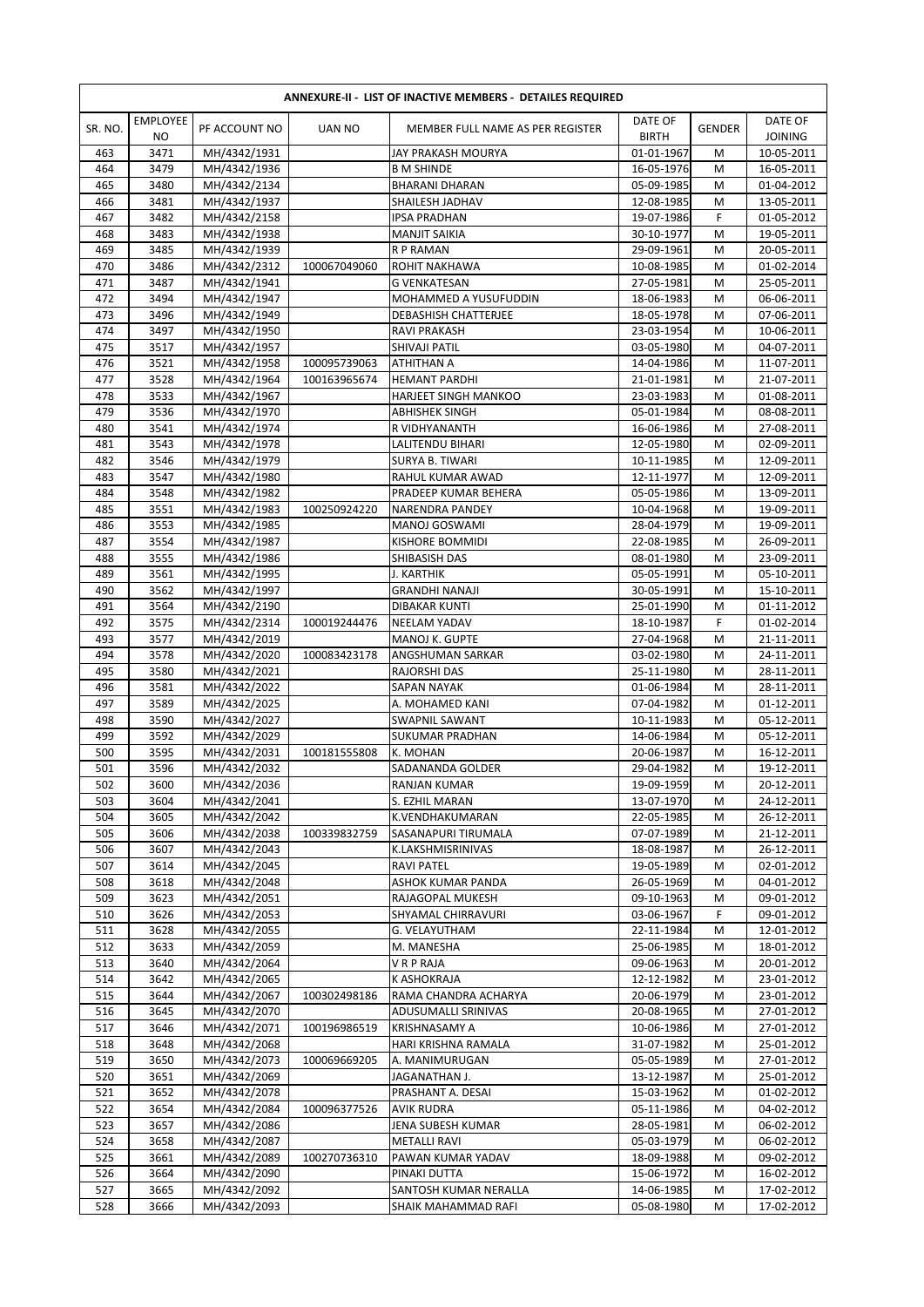| ANNEXURE-II - LIST OF INACTIVE MEMBERS - DETAILES REQUIRED |                       |                              |                              |                                       |                          |               |                           |  |  |  |
|------------------------------------------------------------|-----------------------|------------------------------|------------------------------|---------------------------------------|--------------------------|---------------|---------------------------|--|--|--|
| SR. NO.                                                    | <b>EMPLOYEE</b><br>NO | PF ACCOUNT NO                | <b>UAN NO</b>                | MEMBER FULL NAME AS PER REGISTER      | DATE OF<br><b>BIRTH</b>  | <b>GENDER</b> | DATE OF<br><b>JOINING</b> |  |  |  |
| 463                                                        | 3471                  | MH/4342/1931                 |                              | JAY PRAKASH MOURYA                    | 01-01-1967               | M             | 10-05-2011                |  |  |  |
| 464                                                        | 3479                  | MH/4342/1936                 |                              | <b>B M SHINDE</b>                     | 16-05-1976               | M             | 16-05-2011                |  |  |  |
| 465                                                        | 3480                  | MH/4342/2134                 |                              | <b>BHARANI DHARAN</b>                 | 05-09-1985               | M             | 01-04-2012                |  |  |  |
| 466                                                        | 3481                  | MH/4342/1937                 |                              | SHAILESH JADHAV                       | 12-08-1985               | M             | 13-05-2011                |  |  |  |
| 467                                                        | 3482                  | MH/4342/2158                 |                              | IPSA PRADHAN                          | 19-07-1986               | F             | 01-05-2012                |  |  |  |
| 468                                                        | 3483                  | MH/4342/1938                 |                              | <b>MANJIT SAIKIA</b>                  | 30-10-1977               | M             | 19-05-2011                |  |  |  |
| 469                                                        | 3485                  | MH/4342/1939                 |                              | <b>R P RAMAN</b>                      | 29-09-1961               | M             | 20-05-2011                |  |  |  |
| 470                                                        | 3486                  | MH/4342/2312                 | 100067049060                 | ROHIT NAKHAWA                         | 10-08-1985               | M             | 01-02-2014                |  |  |  |
| 471                                                        | 3487                  | MH/4342/1941                 |                              | <b>G VENKATESAN</b>                   | 27-05-1981               | M             | 25-05-2011                |  |  |  |
| 472                                                        | 3494                  | MH/4342/1947                 |                              | MOHAMMED A YUSUFUDDIN                 | 18-06-1983               | M             | 06-06-2011                |  |  |  |
| 473                                                        | 3496                  | MH/4342/1949                 |                              | DEBASHISH CHATTERJEE                  | 18-05-1978               | M             | 07-06-2011                |  |  |  |
| 474                                                        | 3497                  | MH/4342/1950                 |                              | RAVI PRAKASH                          | 23-03-1954               | M             | 10-06-2011                |  |  |  |
| 475                                                        | 3517                  | MH/4342/1957                 |                              | SHIVAJI PATIL                         | 03-05-1980               | M<br>M        | 04-07-2011                |  |  |  |
| 476<br>477                                                 | 3521<br>3528          | MH/4342/1958<br>MH/4342/1964 | 100095739063<br>100163965674 | ATHITHAN A<br><b>HEMANT PARDHI</b>    | 14-04-1986<br>21-01-1981 | M             | 11-07-2011<br>21-07-2011  |  |  |  |
| 478                                                        | 3533                  | MH/4342/1967                 |                              | HARJEET SINGH MANKOO                  | 23-03-1983               | M             | 01-08-2011                |  |  |  |
| 479                                                        | 3536                  | MH/4342/1970                 |                              | ABHISHEK SINGH                        | 05-01-1984               | M             | 08-08-2011                |  |  |  |
| 480                                                        | 3541                  | MH/4342/1974                 |                              | R VIDHYANANTH                         | 16-06-1986               | M             | 27-08-2011                |  |  |  |
| 481                                                        | 3543                  | MH/4342/1978                 |                              | LALITENDU BIHARI                      | 12-05-1980               | M             | 02-09-2011                |  |  |  |
| 482                                                        | 3546                  | MH/4342/1979                 |                              | <b>SURYA B. TIWARI</b>                | 10-11-1985               | M             | 12-09-2011                |  |  |  |
| 483                                                        | 3547                  | MH/4342/1980                 |                              | RAHUL KUMAR AWAD                      | 12-11-1977               | M             | 12-09-2011                |  |  |  |
| 484                                                        | 3548                  | MH/4342/1982                 |                              | PRADEEP KUMAR BEHERA                  | 05-05-1986               | M             | 13-09-2011                |  |  |  |
| 485                                                        | 3551                  | MH/4342/1983                 | 100250924220                 | <b>NARENDRA PANDEY</b>                | 10-04-1968               | M             | 19-09-2011                |  |  |  |
| 486                                                        | 3553                  | MH/4342/1985                 |                              | MANOJ GOSWAMI                         | 28-04-1979               | M             | 19-09-2011                |  |  |  |
| 487                                                        | 3554                  | MH/4342/1987                 |                              | KISHORE BOMMIDI                       | 22-08-1985               | M             | 26-09-2011                |  |  |  |
| 488                                                        | 3555                  | MH/4342/1986                 |                              | SHIBASISH DAS                         | 08-01-1980               | M             | 23-09-2011                |  |  |  |
| 489                                                        | 3561                  | MH/4342/1995                 |                              | J. KARTHIK                            | 05-05-1991               | M             | 05-10-2011                |  |  |  |
| 490                                                        | 3562                  | MH/4342/1997                 |                              | <b>GRANDHI NANAJI</b>                 | 30-05-1991               | M             | 15-10-2011                |  |  |  |
| 491                                                        | 3564                  | MH/4342/2190                 |                              | DIBAKAR KUNTI                         | 25-01-1990               | M             | 01-11-2012                |  |  |  |
| 492                                                        | 3575                  | MH/4342/2314                 | 100019244476                 | <b>NEELAM YADAV</b>                   | 18-10-1987               | F             | 01-02-2014                |  |  |  |
| 493                                                        | 3577                  | MH/4342/2019                 |                              | MANOJ K. GUPTE                        | 27-04-1968               | M             | 21-11-2011                |  |  |  |
| 494                                                        | 3578                  | MH/4342/2020                 | 100083423178                 | ANGSHUMAN SARKAR                      | 03-02-1980               | M             | 24-11-2011                |  |  |  |
| 495                                                        | 3580                  | MH/4342/2021                 |                              | RAJORSHI DAS                          | 25-11-1980               | M             | 28-11-2011                |  |  |  |
| 496                                                        | 3581                  | MH/4342/2022                 |                              | SAPAN NAYAK                           | 01-06-1984               | M             | 28-11-2011                |  |  |  |
| 497                                                        | 3589                  | MH/4342/2025                 |                              | A. MOHAMED KANI                       | 07-04-1982               | M             | 01-12-2011                |  |  |  |
| 498                                                        | 3590                  | MH/4342/2027                 |                              | <b>SWAPNIL SAWANT</b>                 | 10-11-1983               | M             | 05-12-2011                |  |  |  |
| 499                                                        | 3592                  | MH/4342/2029                 |                              | SUKUMAR PRADHAN                       | 14-06-1984               | M             | 05-12-2011                |  |  |  |
| 500                                                        | 3595                  | MH/4342/2031                 | 100181555808                 | K. MOHAN                              | 20-06-1987               | M             | 16-12-2011                |  |  |  |
| 501<br>502                                                 | 3596                  | MH/4342/2032                 |                              | SADANANDA GOLDER                      | 29-04-1982               | M             | 19-12-2011                |  |  |  |
| 503                                                        | 3600<br>3604          | MH/4342/2036<br>MH/4342/2041 |                              | RANJAN KUMAR                          | 19-09-1959<br>13-07-1970 | M<br>M        | 20-12-2011<br>24-12-2011  |  |  |  |
| 504                                                        | 3605                  | MH/4342/2042                 |                              | S. EZHIL MARAN<br>K.VENDHAKUMARAN     | 22-05-1985               | M             | 26-12-2011                |  |  |  |
| 505                                                        | 3606                  | MH/4342/2038                 | 100339832759                 | SASANAPURI TIRUMALA                   | 07-07-1989               | M             | 21-12-2011                |  |  |  |
| 506                                                        | 3607                  | MH/4342/2043                 |                              | K.LAKSHMISRINIVAS                     | 18-08-1987               | M             | 26-12-2011                |  |  |  |
| 507                                                        | 3614                  | MH/4342/2045                 |                              | RAVI PATEL                            | 19-05-1989               | M             | 02-01-2012                |  |  |  |
| 508                                                        | 3618                  | MH/4342/2048                 |                              | ASHOK KUMAR PANDA                     | 26-05-1969               | M             | 04-01-2012                |  |  |  |
| 509                                                        | 3623                  | MH/4342/2051                 |                              | RAJAGOPAL MUKESH                      | 09-10-1963               | M             | 09-01-2012                |  |  |  |
| 510                                                        | 3626                  | MH/4342/2053                 |                              | SHYAMAL CHIRRAVURI                    | 03-06-1967               | F             | 09-01-2012                |  |  |  |
| 511                                                        | 3628                  | MH/4342/2055                 |                              | G. VELAYUTHAM                         | 22-11-1984               | М             | 12-01-2012                |  |  |  |
| 512                                                        | 3633                  | MH/4342/2059                 |                              | M. MANESHA                            | 25-06-1985               | M             | 18-01-2012                |  |  |  |
| 513                                                        | 3640                  | MH/4342/2064                 |                              | V R P RAJA                            | 09-06-1963               | M             | 20-01-2012                |  |  |  |
| 514                                                        | 3642                  | MH/4342/2065                 |                              | K ASHOKRAJA                           | 12-12-1982               | M             | 23-01-2012                |  |  |  |
| 515                                                        | 3644                  | MH/4342/2067                 | 100302498186                 | RAMA CHANDRA ACHARYA                  | 20-06-1979               | M             | 23-01-2012                |  |  |  |
| 516                                                        | 3645                  | MH/4342/2070                 |                              | ADUSUMALLI SRINIVAS                   | 20-08-1965               | M             | 27-01-2012                |  |  |  |
| 517                                                        | 3646                  | MH/4342/2071                 | 100196986519                 | <b>KRISHNASAMY A</b>                  | 10-06-1986               | M             | 27-01-2012                |  |  |  |
| 518                                                        | 3648                  | MH/4342/2068                 |                              | HARI KRISHNA RAMALA                   | 31-07-1982               | М             | 25-01-2012                |  |  |  |
| 519                                                        | 3650                  | MH/4342/2073                 | 100069669205                 | A. MANIMURUGAN                        | 05-05-1989               | M             | 27-01-2012                |  |  |  |
| 520                                                        | 3651                  | MH/4342/2069                 |                              | JAGANATHAN J.                         | 13-12-1987               | М             | 25-01-2012                |  |  |  |
| 521                                                        | 3652                  | MH/4342/2078                 |                              | PRASHANT A. DESAI                     | 15-03-1962               | M             | 01-02-2012                |  |  |  |
| 522                                                        | 3654                  | MH/4342/2084                 | 100096377526                 | <b>AVIK RUDRA</b>                     | 05-11-1986               | M             | 04-02-2012                |  |  |  |
| 523                                                        | 3657                  | MH/4342/2086                 |                              | JENA SUBESH KUMAR                     | 28-05-1981               | М             | 06-02-2012                |  |  |  |
| 524                                                        | 3658                  | MH/4342/2087                 |                              | METALLI RAVI                          | 05-03-1979               | M             | 06-02-2012                |  |  |  |
| 525                                                        | 3661                  | MH/4342/2089                 | 100270736310                 | PAWAN KUMAR YADAV                     | 18-09-1988               | M             | 09-02-2012                |  |  |  |
| 526<br>527                                                 | 3664<br>3665          | MH/4342/2090<br>MH/4342/2092 |                              | PINAKI DUTTA<br>SANTOSH KUMAR NERALLA | 15-06-1972<br>14-06-1985 | M<br>M        | 16-02-2012<br>17-02-2012  |  |  |  |
| 528                                                        | 3666                  | MH/4342/2093                 |                              | SHAIK MAHAMMAD RAFI                   | 05-08-1980               | М             | 17-02-2012                |  |  |  |
|                                                            |                       |                              |                              |                                       |                          |               |                           |  |  |  |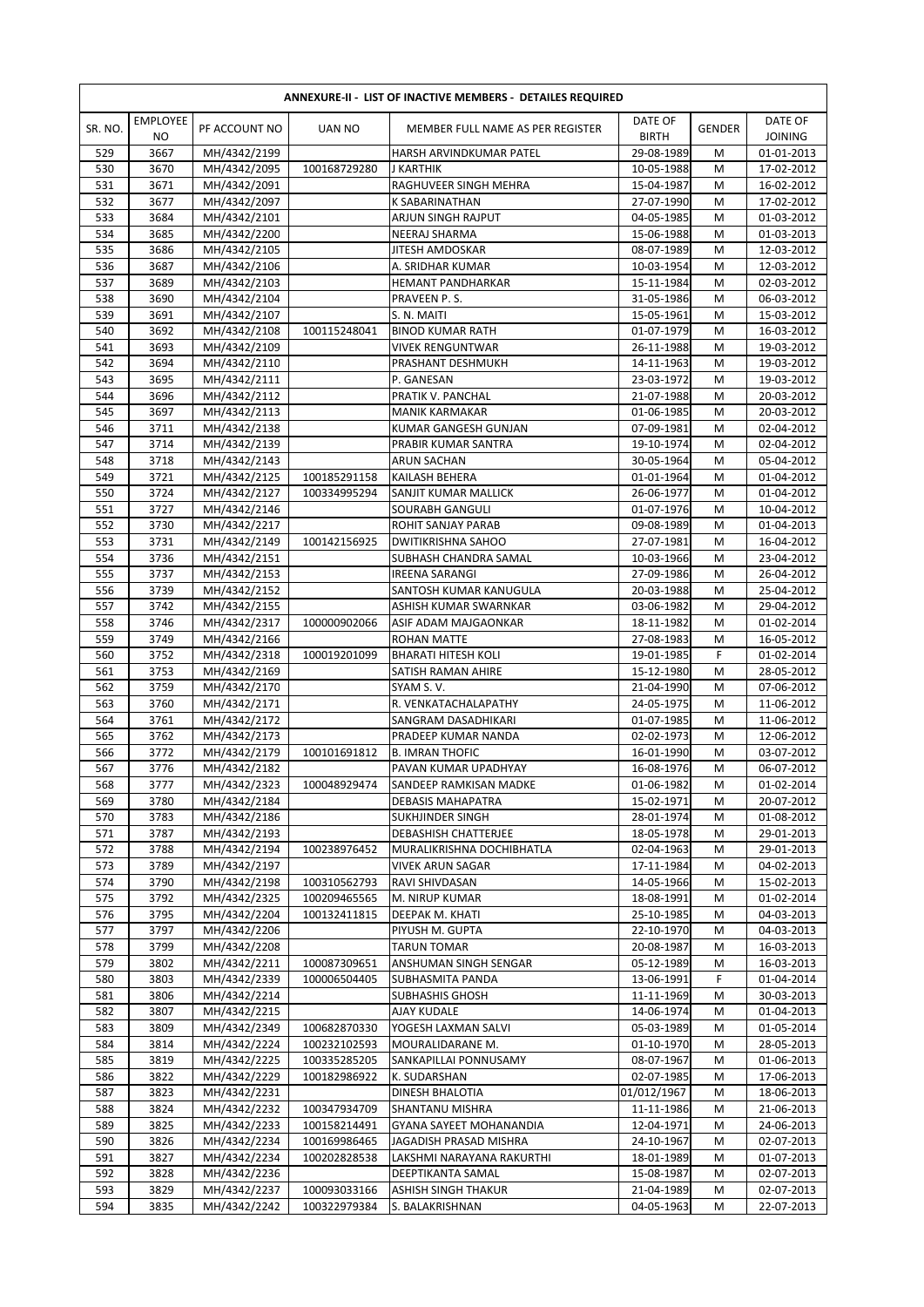|            | <b>ANNEXURE-II - LIST OF INACTIVE MEMBERS - DETAILES REQUIRED</b> |                              |                              |                                            |                          |               |                           |  |  |  |
|------------|-------------------------------------------------------------------|------------------------------|------------------------------|--------------------------------------------|--------------------------|---------------|---------------------------|--|--|--|
| SR. NO.    | <b>EMPLOYEE</b><br>N <sub>O</sub>                                 | PF ACCOUNT NO                | UAN NO                       | MEMBER FULL NAME AS PER REGISTER           | DATE OF<br><b>BIRTH</b>  | <b>GENDER</b> | DATE OF<br><b>JOINING</b> |  |  |  |
| 529        | 3667                                                              | MH/4342/2199                 |                              | HARSH ARVINDKUMAR PATEL                    | 29-08-1989               | M             | 01-01-2013                |  |  |  |
| 530        | 3670                                                              | MH/4342/2095                 | 100168729280                 | J KARTHIK                                  | 10-05-1988               | M             | 17-02-2012                |  |  |  |
| 531        | 3671                                                              | MH/4342/2091                 |                              | RAGHUVEER SINGH MEHRA                      | 15-04-1987               | M             | 16-02-2012                |  |  |  |
| 532        | 3677                                                              | MH/4342/2097                 |                              | K SABARINATHAN                             | 27-07-1990               | M             | 17-02-2012                |  |  |  |
| 533<br>534 | 3684<br>3685                                                      | MH/4342/2101<br>MH/4342/2200 |                              | ARJUN SINGH RAJPUT<br>NEERAJ SHARMA        | 04-05-1985<br>15-06-1988 | M<br>M        | 01-03-2012<br>01-03-2013  |  |  |  |
| 535        | 3686                                                              | MH/4342/2105                 |                              | <b>JITESH AMDOSKAR</b>                     | 08-07-1989               | M             | 12-03-2012                |  |  |  |
| 536        | 3687                                                              | MH/4342/2106                 |                              | A. SRIDHAR KUMAR                           | 10-03-1954               | M             | 12-03-2012                |  |  |  |
| 537        | 3689                                                              | MH/4342/2103                 |                              | HEMANT PANDHARKAR                          | 15-11-1984               | M             | 02-03-2012                |  |  |  |
| 538        | 3690                                                              | MH/4342/2104                 |                              | PRAVEEN P.S.                               | 31-05-1986               | M             | 06-03-2012                |  |  |  |
| 539        | 3691                                                              | MH/4342/2107                 |                              | S. N. MAITI                                | 15-05-1961               | M             | 15-03-2012                |  |  |  |
| 540        | 3692                                                              | MH/4342/2108                 | 100115248041                 | <b>BINOD KUMAR RATH</b>                    | 01-07-1979               | M             | 16-03-2012                |  |  |  |
| 541        | 3693                                                              | MH/4342/2109                 |                              | VIVEK RENGUNTWAR                           | 26-11-1988               | M             | 19-03-2012                |  |  |  |
| 542        | 3694                                                              | MH/4342/2110                 |                              | PRASHANT DESHMUKH                          | 14-11-1963               | M             | 19-03-2012                |  |  |  |
| 543        | 3695                                                              | MH/4342/2111                 |                              | P. GANESAN                                 | 23-03-1972               | M             | 19-03-2012                |  |  |  |
| 544        | 3696                                                              | MH/4342/2112                 |                              | PRATIK V. PANCHAL                          | 21-07-1988               | M             | 20-03-2012                |  |  |  |
| 545        | 3697                                                              | MH/4342/2113                 |                              | <b>MANIK KARMAKAR</b>                      | 01-06-1985               | M             | 20-03-2012                |  |  |  |
| 546        | 3711                                                              | MH/4342/2138                 |                              | KUMAR GANGESH GUNJAN                       | 07-09-1981               | M             | 02-04-2012                |  |  |  |
| 547<br>548 | 3714<br>3718                                                      | MH/4342/2139<br>MH/4342/2143 |                              | PRABIR KUMAR SANTRA<br><b>ARUN SACHAN</b>  | 19-10-1974<br>30-05-1964 | M<br>M        | 02-04-2012<br>05-04-2012  |  |  |  |
| 549        | 3721                                                              | MH/4342/2125                 | 100185291158                 | KAILASH BEHERA                             | 01-01-1964               | M             | 01-04-2012                |  |  |  |
| 550        | 3724                                                              | MH/4342/2127                 | 100334995294                 | SANJIT KUMAR MALLICK                       | 26-06-1977               | M             | 01-04-2012                |  |  |  |
| 551        | 3727                                                              | MH/4342/2146                 |                              | SOURABH GANGULI                            | 01-07-1976               | M             | 10-04-2012                |  |  |  |
| 552        | 3730                                                              | MH/4342/2217                 |                              | ROHIT SANJAY PARAB                         | 09-08-1989               | M             | 01-04-2013                |  |  |  |
| 553        | 3731                                                              | MH/4342/2149                 | 100142156925                 | DWITIKRISHNA SAHOO                         | 27-07-1981               | M             | 16-04-2012                |  |  |  |
| 554        | 3736                                                              | MH/4342/2151                 |                              | SUBHASH CHANDRA SAMAL                      | 10-03-1966               | M             | 23-04-2012                |  |  |  |
| 555        | 3737                                                              | MH/4342/2153                 |                              | <b>IREENA SARANGI</b>                      | 27-09-1986               | M             | 26-04-2012                |  |  |  |
| 556        | 3739                                                              | MH/4342/2152                 |                              | SANTOSH KUMAR KANUGULA                     | 20-03-1988               | M             | 25-04-2012                |  |  |  |
| 557        | 3742                                                              | MH/4342/2155                 |                              | ASHISH KUMAR SWARNKAR                      | 03-06-1982               | M             | 29-04-2012                |  |  |  |
| 558        | 3746                                                              | MH/4342/2317                 | 100000902066                 | ASIF ADAM MAJGAONKAR                       | 18-11-1982               | M             | 01-02-2014                |  |  |  |
| 559        | 3749                                                              | MH/4342/2166                 |                              | ROHAN MATTE                                | 27-08-1983               | M             | 16-05-2012                |  |  |  |
| 560        | 3752                                                              | MH/4342/2318                 | 100019201099                 | <b>BHARATI HITESH KOLI</b>                 | 19-01-1985               | F             | 01-02-2014                |  |  |  |
| 561        | 3753                                                              | MH/4342/2169                 |                              | SATISH RAMAN AHIRE                         | 15-12-1980               | M             | 28-05-2012                |  |  |  |
| 562<br>563 | 3759<br>3760                                                      | MH/4342/2170<br>MH/4342/2171 |                              | SYAM S.V.<br>R. VENKATACHALAPATHY          | 21-04-1990<br>24-05-1975 | M<br>M        | 07-06-2012<br>11-06-2012  |  |  |  |
| 564        | 3761                                                              | MH/4342/2172                 |                              | SANGRAM DASADHIKARI                        | 01-07-1985               | M             | 11-06-2012                |  |  |  |
| 565        | 3762                                                              | MH/4342/2173                 |                              | PRADEEP KUMAR NANDA                        | 02-02-1973               | M             | 12-06-2012                |  |  |  |
| 566        | 3772                                                              | MH/4342/2179                 | 100101691812                 | <b>B. IMRAN THOFIC</b>                     | 16-01-1990               | M             | 03-07-2012                |  |  |  |
| 567        | 3776                                                              | MH/4342/2182                 |                              | PAVAN KUMAR UPADHYAY                       | 16-08-1976               | M             | 06-07-2012                |  |  |  |
| 568        | 3777                                                              | MH/4342/2323                 | 100048929474                 | SANDEEP RAMKISAN MADKE                     | 01-06-1982               | М             | 01-02-2014                |  |  |  |
| 569        | 3780                                                              | MH/4342/2184                 |                              | DEBASIS MAHAPATRA                          | 15-02-1971               | M             | 20-07-2012                |  |  |  |
| 570        | 3783                                                              | MH/4342/2186                 |                              | <b>SUKHJINDER SINGH</b>                    | 28-01-1974               | M             | 01-08-2012                |  |  |  |
| 571        | 3787                                                              | MH/4342/2193                 |                              | DEBASHISH CHATTERJEE                       | 18-05-1978               | М             | 29-01-2013                |  |  |  |
| 572        | 3788                                                              | MH/4342/2194                 | 100238976452                 | MURALIKRISHNA DOCHIBHATLA                  | 02-04-1963               | M             | 29-01-2013                |  |  |  |
| 573        | 3789                                                              | MH/4342/2197                 |                              | VIVEK ARUN SAGAR                           | 17-11-1984               | M             | 04-02-2013                |  |  |  |
| 574<br>575 | 3790<br>3792                                                      | MH/4342/2198<br>MH/4342/2325 | 100310562793<br>100209465565 | RAVI SHIVDASAN<br>M. NIRUP KUMAR           | 14-05-1966<br>18-08-1991 | M<br>M        | 15-02-2013<br>01-02-2014  |  |  |  |
| 576        | 3795                                                              | MH/4342/2204                 | 100132411815                 | DEEPAK M. KHATI                            | 25-10-1985               | M             | 04-03-2013                |  |  |  |
| 577        | 3797                                                              | MH/4342/2206                 |                              | PIYUSH M. GUPTA                            | 22-10-1970               | M             | 04-03-2013                |  |  |  |
| 578        | 3799                                                              | MH/4342/2208                 |                              | <b>TARUN TOMAR</b>                         | 20-08-1987               | M             | 16-03-2013                |  |  |  |
| 579        | 3802                                                              | MH/4342/2211                 | 100087309651                 | ANSHUMAN SINGH SENGAR                      | 05-12-1989               | M             | 16-03-2013                |  |  |  |
| 580        | 3803                                                              | MH/4342/2339                 | 100006504405                 | SUBHASMITA PANDA                           | 13-06-1991               | F             | 01-04-2014                |  |  |  |
| 581        | 3806                                                              | MH/4342/2214                 |                              | <b>SUBHASHIS GHOSH</b>                     | 11-11-1969               | M             | 30-03-2013                |  |  |  |
| 582        | 3807                                                              | MH/4342/2215                 |                              | AJAY KUDALE                                | 14-06-1974               | M             | 01-04-2013                |  |  |  |
| 583        | 3809                                                              | MH/4342/2349                 | 100682870330                 | YOGESH LAXMAN SALVI                        | 05-03-1989               | M             | 01-05-2014                |  |  |  |
| 584        | 3814                                                              | MH/4342/2224                 | 100232102593                 | MOURALIDARANE M.                           | 01-10-1970               | M             | 28-05-2013                |  |  |  |
| 585        | 3819                                                              | MH/4342/2225                 | 100335285205                 | SANKAPILLAI PONNUSAMY                      | 08-07-1967               | M             | 01-06-2013                |  |  |  |
| 586        | 3822                                                              | MH/4342/2229                 | 100182986922                 | K. SUDARSHAN                               | 02-07-1985               | M             | 17-06-2013                |  |  |  |
| 587        | 3823                                                              | MH/4342/2231                 |                              | DINESH BHALOTIA                            | 01/012/1967              | M             | 18-06-2013                |  |  |  |
| 588<br>589 | 3824<br>3825                                                      | MH/4342/2232<br>MH/4342/2233 | 100347934709<br>100158214491 | SHANTANU MISHRA<br>GYANA SAYEET MOHANANDIA | 11-11-1986<br>12-04-1971 | М<br>M        | 21-06-2013<br>24-06-2013  |  |  |  |
| 590        | 3826                                                              | MH/4342/2234                 | 100169986465                 | JAGADISH PRASAD MISHRA                     | 24-10-1967               | M             | 02-07-2013                |  |  |  |
| 591        | 3827                                                              | MH/4342/2234                 | 100202828538                 | LAKSHMI NARAYANA RAKURTHI                  | 18-01-1989               | M             | 01-07-2013                |  |  |  |
| 592        | 3828                                                              | MH/4342/2236                 |                              | DEEPTIKANTA SAMAL                          | 15-08-1987               | М             | 02-07-2013                |  |  |  |
| 593        | 3829                                                              | MH/4342/2237                 | 100093033166                 | ASHISH SINGH THAKUR                        | 21-04-1989               | M             | 02-07-2013                |  |  |  |
| 594        | 3835                                                              | MH/4342/2242                 | 100322979384                 | S. BALAKRISHNAN                            | 04-05-1963               | М             | 22-07-2013                |  |  |  |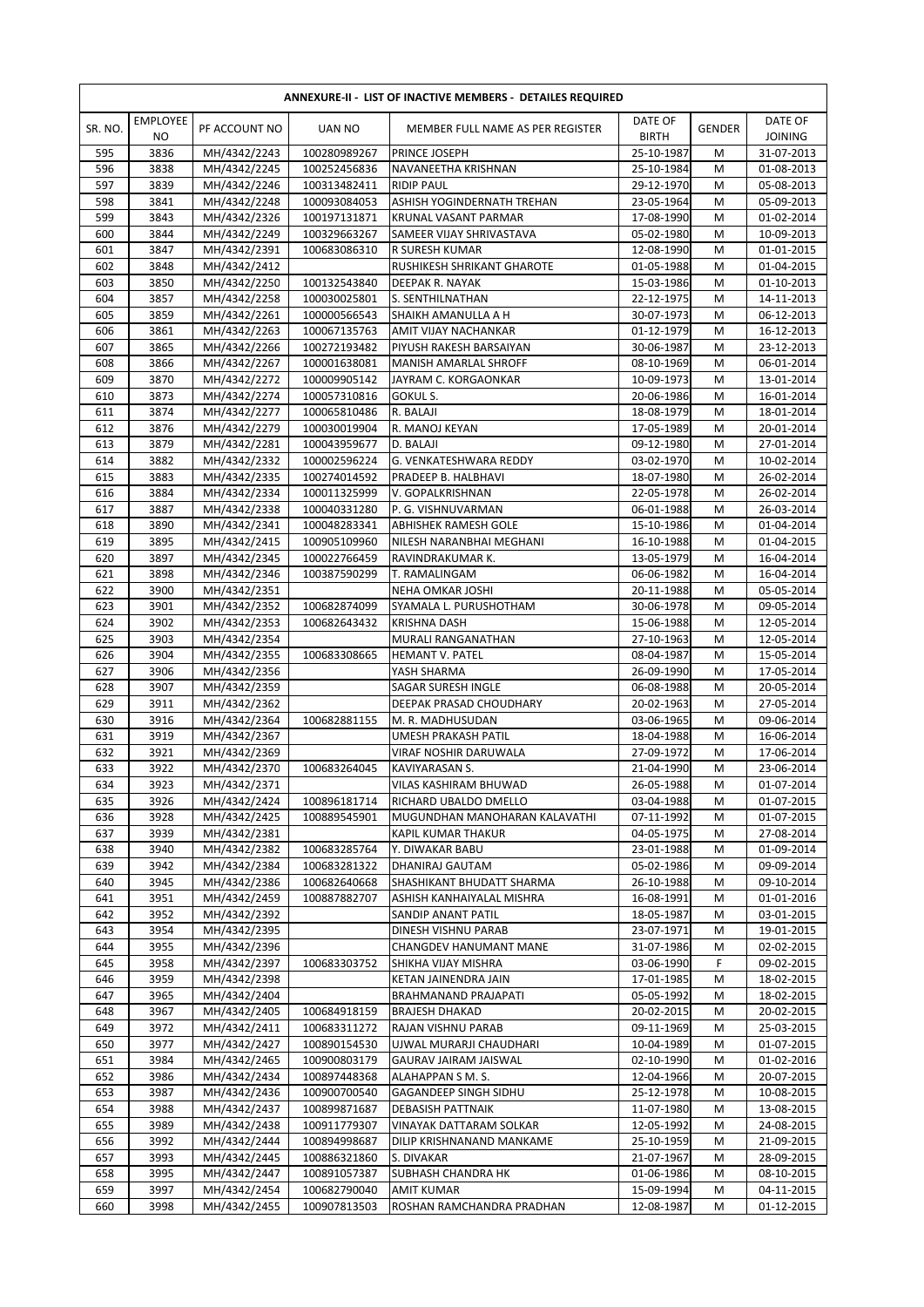| <b>ANNEXURE-II - LIST OF INACTIVE MEMBERS - DETAILES REQUIRED</b> |                                   |                              |                              |                                                      |                          |               |                           |  |
|-------------------------------------------------------------------|-----------------------------------|------------------------------|------------------------------|------------------------------------------------------|--------------------------|---------------|---------------------------|--|
| SR. NO.                                                           | <b>EMPLOYEE</b><br>N <sub>O</sub> | PF ACCOUNT NO                | UAN NO                       | MEMBER FULL NAME AS PER REGISTER                     | DATE OF<br><b>BIRTH</b>  | <b>GENDER</b> | DATE OF<br><b>JOINING</b> |  |
| 595                                                               | 3836                              | MH/4342/2243                 | 100280989267                 | PRINCE JOSEPH                                        | 25-10-1987               | M             | 31-07-2013                |  |
| 596                                                               | 3838                              | MH/4342/2245                 | 100252456836                 | NAVANEETHA KRISHNAN                                  | 25-10-1984               | M             | 01-08-2013                |  |
| 597                                                               | 3839                              | MH/4342/2246                 | 100313482411                 | <b>RIDIP PAUL</b>                                    | 29-12-1970               | M             | 05-08-2013                |  |
| 598                                                               | 3841                              | MH/4342/2248                 | 100093084053                 | ASHISH YOGINDERNATH TREHAN                           | 23-05-1964               | M             | 05-09-2013                |  |
| 599<br>600                                                        | 3843<br>3844                      | MH/4342/2326                 | 100197131871                 | KRUNAL VASANT PARMAR                                 | 17-08-1990               | M             | 01-02-2014                |  |
| 601                                                               | 3847                              | MH/4342/2249<br>MH/4342/2391 | 100329663267<br>100683086310 | SAMEER VIJAY SHRIVASTAVA<br>R SURESH KUMAR           | 05-02-1980<br>12-08-1990 | M<br>M        | 10-09-2013<br>01-01-2015  |  |
| 602                                                               | 3848                              | MH/4342/2412                 |                              | RUSHIKESH SHRIKANT GHAROTE                           | 01-05-1988               | M             | 01-04-2015                |  |
| 603                                                               | 3850                              | MH/4342/2250                 | 100132543840                 | DEEPAK R. NAYAK                                      | 15-03-1986               | M             | 01-10-2013                |  |
| 604                                                               | 3857                              | MH/4342/2258                 | 100030025801                 | S. SENTHILNATHAN                                     | 22-12-1975               | M             | 14-11-2013                |  |
| 605                                                               | 3859                              | MH/4342/2261                 | 100000566543                 | SHAIKH AMANULLA A H                                  | 30-07-1973               | M             | 06-12-2013                |  |
| 606                                                               | 3861                              | MH/4342/2263                 | 100067135763                 | AMIT VIJAY NACHANKAR                                 | 01-12-1979               | M             | 16-12-2013                |  |
| 607                                                               | 3865                              | MH/4342/2266                 | 100272193482                 | PIYUSH RAKESH BARSAIYAN                              | 30-06-1987               | M             | 23-12-2013                |  |
| 608                                                               | 3866                              | MH/4342/2267                 | 100001638081                 | MANISH AMARLAL SHROFF                                | 08-10-1969               | M             | 06-01-2014                |  |
| 609                                                               | 3870                              | MH/4342/2272                 | 100009905142                 | JAYRAM C. KORGAONKAR                                 | 10-09-1973               | M             | 13-01-2014                |  |
| 610<br>611                                                        | 3873<br>3874                      | MH/4342/2274<br>MH/4342/2277 | 100057310816<br>100065810486 | GOKUL S.<br>R. BALAJI                                | 20-06-1986<br>18-08-1979 | M<br>M        | 16-01-2014<br>18-01-2014  |  |
| 612                                                               | 3876                              | MH/4342/2279                 | 100030019904                 | R. MANOJ KEYAN                                       | 17-05-1989               | M             | 20-01-2014                |  |
| 613                                                               | 3879                              | MH/4342/2281                 | 100043959677                 | D. BALAJI                                            | 09-12-1980               | M             | 27-01-2014                |  |
| 614                                                               | 3882                              | MH/4342/2332                 | 100002596224                 | G. VENKATESHWARA REDDY                               | 03-02-1970               | M             | 10-02-2014                |  |
| 615                                                               | 3883                              | MH/4342/2335                 | 100274014592                 | PRADEEP B. HALBHAVI                                  | 18-07-1980               | M             | 26-02-2014                |  |
| 616                                                               | 3884                              | MH/4342/2334                 | 100011325999                 | V. GOPALKRISHNAN                                     | 22-05-1978               | M             | 26-02-2014                |  |
| 617                                                               | 3887                              | MH/4342/2338                 | 100040331280                 | P. G. VISHNUVARMAN                                   | 06-01-1988               | M             | 26-03-2014                |  |
| 618                                                               | 3890                              | MH/4342/2341                 | 100048283341                 | <b>ABHISHEK RAMESH GOLE</b>                          | 15-10-1986               | M             | 01-04-2014                |  |
| 619                                                               | 3895                              | MH/4342/2415                 | 100905109960                 | NILESH NARANBHAI MEGHANI                             | 16-10-1988               | M             | 01-04-2015                |  |
| 620                                                               | 3897                              | MH/4342/2345                 | 100022766459                 | RAVINDRAKUMAR K.                                     | 13-05-1979               | M             | 16-04-2014                |  |
| 621                                                               | 3898                              | MH/4342/2346                 | 100387590299                 | T. RAMALINGAM                                        | 06-06-1982               | M             | 16-04-2014                |  |
| 622<br>623                                                        | 3900<br>3901                      | MH/4342/2351<br>MH/4342/2352 | 100682874099                 | NEHA OMKAR JOSHI<br>SYAMALA L. PURUSHOTHAM           | 20-11-1988<br>30-06-1978 | M<br>M        | 05-05-2014<br>09-05-2014  |  |
| 624                                                               | 3902                              | MH/4342/2353                 | 100682643432                 | <b>KRISHNA DASH</b>                                  | 15-06-1988               | M             | 12-05-2014                |  |
| 625                                                               | 3903                              | MH/4342/2354                 |                              | MURALI RANGANATHAN                                   | 27-10-1963               | M             | 12-05-2014                |  |
| 626                                                               | 3904                              | MH/4342/2355                 | 100683308665                 | HEMANT V. PATEL                                      | 08-04-1987               | M             | 15-05-2014                |  |
| 627                                                               | 3906                              | MH/4342/2356                 |                              | YASH SHARMA                                          | 26-09-1990               | M             | 17-05-2014                |  |
| 628                                                               | 3907                              | MH/4342/2359                 |                              | SAGAR SURESH INGLE                                   | 06-08-1988               | M             | 20-05-2014                |  |
| 629                                                               | 3911                              | MH/4342/2362                 |                              | DEEPAK PRASAD CHOUDHARY                              | 20-02-1963               | M             | 27-05-2014                |  |
| 630                                                               | 3916                              | MH/4342/2364                 | 100682881155                 | M. R. MADHUSUDAN                                     | 03-06-1965               | M             | 09-06-2014                |  |
| 631                                                               | 3919                              | MH/4342/2367                 |                              | UMESH PRAKASH PATIL                                  | 18-04-1988               | M             | 16-06-2014                |  |
| 632<br>633                                                        | 3921<br>3922                      | MH/4342/2369<br>MH/4342/2370 | 100683264045                 | VIRAF NOSHIR DARUWALA<br>KAVIYARASAN S.              | 27-09-1972<br>21-04-1990 | M<br>M        | 17-06-2014                |  |
| 634                                                               | 3923                              | MH/4342/2371                 |                              | VILAS KASHIRAM BHUWAD                                | 26-05-1988               | М             | 23-06-2014<br>01-07-2014  |  |
| 635                                                               | 3926                              | MH/4342/2424                 | 100896181714                 | RICHARD UBALDO DMELLO                                | 03-04-1988               | М             | 01-07-2015                |  |
| 636                                                               | 3928                              | MH/4342/2425                 | 100889545901                 | MUGUNDHAN MANOHARAN KALAVATHI                        | 07-11-1992               | M             | 01-07-2015                |  |
| 637                                                               | 3939                              | MH/4342/2381                 |                              | KAPIL KUMAR THAKUR                                   | 04-05-1975               | M             | 27-08-2014                |  |
| 638                                                               | 3940                              | MH/4342/2382                 | 100683285764                 | Y. DIWAKAR BABU                                      | 23-01-1988               | M             | 01-09-2014                |  |
| 639                                                               | 3942                              | MH/4342/2384                 | 100683281322                 | DHANIRAJ GAUTAM                                      | 05-02-1986               | M             | 09-09-2014                |  |
| 640                                                               | 3945                              | MH/4342/2386                 | 100682640668                 | SHASHIKANT BHUDATT SHARMA                            | 26-10-1988               | M             | 09-10-2014                |  |
| 641                                                               | 3951                              | MH/4342/2459                 | 100887882707                 | ASHISH KANHAIYALAL MISHRA                            | 16-08-1991               | M             | 01-01-2016                |  |
| 642                                                               | 3952                              | MH/4342/2392                 |                              | SANDIP ANANT PATIL                                   | 18-05-1987               | M             | 03-01-2015                |  |
| 643<br>644                                                        | 3954<br>3955                      | MH/4342/2395<br>MH/4342/2396 |                              | DINESH VISHNU PARAB<br>CHANGDEV HANUMANT MANE        | 23-07-1971<br>31-07-1986 | М<br>M        | 19-01-2015<br>02-02-2015  |  |
| 645                                                               | 3958                              | MH/4342/2397                 | 100683303752                 | SHIKHA VIJAY MISHRA                                  | 03-06-1990               | F             | 09-02-2015                |  |
| 646                                                               | 3959                              | MH/4342/2398                 |                              | KETAN JAINENDRA JAIN                                 | 17-01-1985               | M             | 18-02-2015                |  |
| 647                                                               | 3965                              | MH/4342/2404                 |                              | BRAHMANAND PRAJAPATI                                 | 05-05-1992               | M             | 18-02-2015                |  |
| 648                                                               | 3967                              | MH/4342/2405                 | 100684918159                 | <b>BRAJESH DHAKAD</b>                                | 20-02-2015               | M             | 20-02-2015                |  |
| 649                                                               | 3972                              | MH/4342/2411                 | 100683311272                 | RAJAN VISHNU PARAB                                   | 09-11-1969               | M             | 25-03-2015                |  |
| 650                                                               | 3977                              | MH/4342/2427                 | 100890154530                 | UJWAL MURARJI CHAUDHARI                              | 10-04-1989               | M             | 01-07-2015                |  |
| 651                                                               | 3984                              | MH/4342/2465                 | 100900803179                 | GAURAV JAIRAM JAISWAL                                | 02-10-1990               | M             | 01-02-2016                |  |
| 652                                                               | 3986                              | MH/4342/2434                 | 100897448368                 | ALAHAPPAN S M. S.                                    | 12-04-1966               | M             | 20-07-2015                |  |
| 653                                                               | 3987                              | MH/4342/2436                 | 100900700540                 | <b>GAGANDEEP SINGH SIDHU</b>                         | 25-12-1978               | M             | 10-08-2015                |  |
| 654                                                               | 3988                              | MH/4342/2437                 | 100899871687                 | DEBASISH PATTNAIK                                    | 11-07-1980               | М             | 13-08-2015                |  |
| 655<br>656                                                        | 3989<br>3992                      | MH/4342/2438<br>MH/4342/2444 | 100911779307<br>100894998687 | VINAYAK DATTARAM SOLKAR<br>DILIP KRISHNANAND MANKAME | 12-05-1992<br>25-10-1959 | М<br>M        | 24-08-2015<br>21-09-2015  |  |
| 657                                                               | 3993                              | MH/4342/2445                 | 100886321860                 | S. DIVAKAR                                           | 21-07-1967               | M             | 28-09-2015                |  |
| 658                                                               | 3995                              | MH/4342/2447                 | 100891057387                 | SUBHASH CHANDRA HK                                   | 01-06-1986               | М             | 08-10-2015                |  |
| 659                                                               | 3997                              | MH/4342/2454                 | 100682790040                 | <b>AMIT KUMAR</b>                                    | 15-09-1994               | М             | 04-11-2015                |  |
| 660                                                               | 3998                              | MH/4342/2455                 | 100907813503                 | ROSHAN RAMCHANDRA PRADHAN                            | 12-08-1987               | M             | 01-12-2015                |  |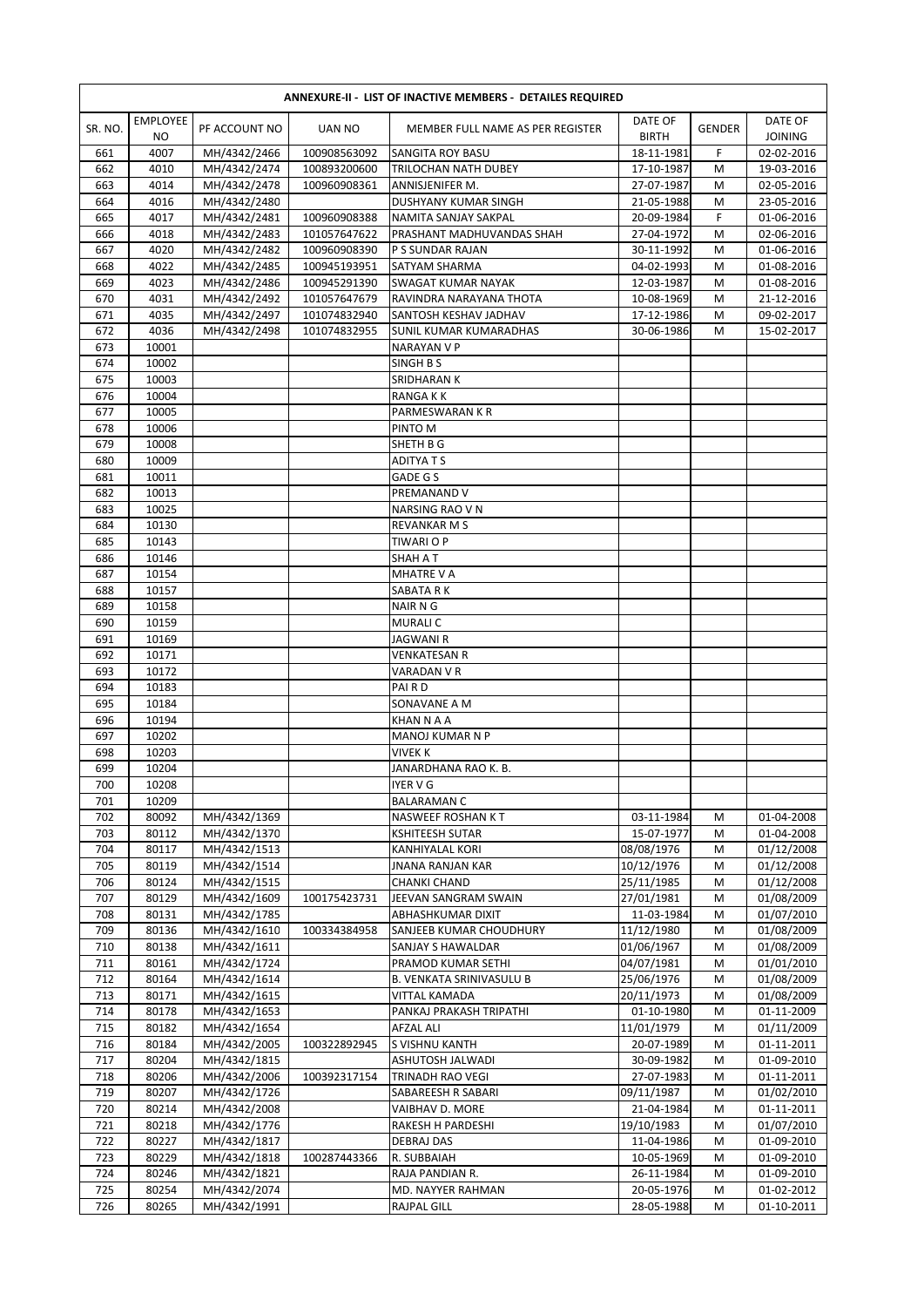| <b>ANNEXURE-II - LIST OF INACTIVE MEMBERS - DETAILES REQUIRED</b> |                                   |                              |                              |                                               |                          |        |                           |
|-------------------------------------------------------------------|-----------------------------------|------------------------------|------------------------------|-----------------------------------------------|--------------------------|--------|---------------------------|
| SR. NO.                                                           | <b>EMPLOYEE</b><br>N <sub>O</sub> | PF ACCOUNT NO                | <b>UAN NO</b>                | MEMBER FULL NAME AS PER REGISTER              | DATE OF<br><b>BIRTH</b>  | GENDER | DATE OF<br><b>JOINING</b> |
| 661                                                               | 4007                              | MH/4342/2466                 | 100908563092                 | SANGITA ROY BASU                              | 18-11-1981               | F      | 02-02-2016                |
| 662                                                               | 4010                              | MH/4342/2474                 | 100893200600                 | TRILOCHAN NATH DUBEY                          | 17-10-1987               | M      | 19-03-2016                |
| 663                                                               | 4014                              | MH/4342/2478                 | 100960908361                 | ANNISJENIFER M.                               | 27-07-1987               | M      | 02-05-2016                |
| 664                                                               | 4016                              | MH/4342/2480                 |                              | <b>DUSHYANY KUMAR SINGH</b>                   | 21-05-1988               | M      | 23-05-2016                |
| 665                                                               | 4017<br>4018                      | MH/4342/2481                 | 100960908388                 | NAMITA SANJAY SAKPAL                          | 20-09-1984<br>27-04-1972 | F      | 01-06-2016                |
| 666<br>667                                                        | 4020                              | MH/4342/2483<br>MH/4342/2482 | 101057647622<br>100960908390 | PRASHANT MADHUVANDAS SHAH<br>P S SUNDAR RAJAN | 30-11-1992               | M<br>M | 02-06-2016<br>01-06-2016  |
| 668                                                               | 4022                              | MH/4342/2485                 | 100945193951                 | SATYAM SHARMA                                 | 04-02-1993               | M      | 01-08-2016                |
| 669                                                               | 4023                              | MH/4342/2486                 | 100945291390                 | <b>SWAGAT KUMAR NAYAK</b>                     | 12-03-1987               | M      | 01-08-2016                |
| 670                                                               | 4031                              | MH/4342/2492                 | 101057647679                 | RAVINDRA NARAYANA THOTA                       | 10-08-1969               | M      | 21-12-2016                |
| 671                                                               | 4035                              | MH/4342/2497                 | 101074832940                 | SANTOSH KESHAV JADHAV                         | 17-12-1986               | M      | 09-02-2017                |
| 672                                                               | 4036                              | MH/4342/2498                 | 101074832955                 | <b>SUNIL KUMAR KUMARADHAS</b>                 | 30-06-1986               | M      | 15-02-2017                |
| 673                                                               | 10001                             |                              |                              | <b>NARAYAN V P</b>                            |                          |        |                           |
| 674                                                               | 10002                             |                              |                              | SINGH B S                                     |                          |        |                           |
| 675                                                               | 10003                             |                              |                              | SRIDHARAN K                                   |                          |        |                           |
| 676                                                               | 10004                             |                              |                              | RANGA K K                                     |                          |        |                           |
| 677                                                               | 10005                             |                              |                              | PARMESWARAN K R                               |                          |        |                           |
| 678                                                               | 10006                             |                              |                              | PINTO M                                       |                          |        |                           |
| 679                                                               | 10008<br>10009                    |                              |                              | SHETH B G<br><b>ADITYATS</b>                  |                          |        |                           |
| 680<br>681                                                        | 10011                             |                              |                              | GADE G S                                      |                          |        |                           |
| 682                                                               | 10013                             |                              |                              | PREMANAND V                                   |                          |        |                           |
| 683                                                               | 10025                             |                              |                              | NARSING RAO V N                               |                          |        |                           |
| 684                                                               | 10130                             |                              |                              | REVANKAR M S                                  |                          |        |                           |
| 685                                                               | 10143                             |                              |                              | TIWARI O P                                    |                          |        |                           |
| 686                                                               | 10146                             |                              |                              | SHAH A T                                      |                          |        |                           |
| 687                                                               | 10154                             |                              |                              | MHATRE V A                                    |                          |        |                           |
| 688                                                               | 10157                             |                              |                              | SABATA R K                                    |                          |        |                           |
| 689                                                               | 10158                             |                              |                              | NAIR N G                                      |                          |        |                           |
| 690                                                               | 10159                             |                              |                              | <b>MURALIC</b>                                |                          |        |                           |
| 691                                                               | 10169                             |                              |                              | <b>JAGWANI R</b>                              |                          |        |                           |
| 692                                                               | 10171                             |                              |                              | <b>VENKATESAN R</b>                           |                          |        |                           |
| 693                                                               | 10172                             |                              |                              | VARADAN V R                                   |                          |        |                           |
| 694<br>695                                                        | 10183<br>10184                    |                              |                              | PAIRD<br>SONAVANE A M                         |                          |        |                           |
| 696                                                               | 10194                             |                              |                              | <b>KHAN N A A</b>                             |                          |        |                           |
| 697                                                               | 10202                             |                              |                              | MANOJ KUMAR N P                               |                          |        |                           |
| 698                                                               | 10203                             |                              |                              | <b>VIVEK K</b>                                |                          |        |                           |
| 699                                                               | 10204                             |                              |                              | JANARDHANA RAO K. B.                          |                          |        |                           |
| 700                                                               | 10208                             |                              |                              | IYER V G                                      |                          |        |                           |
| 701                                                               | 10209                             |                              |                              | <b>BALARAMAN C</b>                            |                          |        |                           |
| 702                                                               | 80092                             | MH/4342/1369                 |                              | NASWEEF ROSHAN KT                             | 03-11-1984               | M      | 01-04-2008                |
| 703                                                               | 80112                             | MH/4342/1370                 |                              | KSHITEESH SUTAR                               | 15-07-1977               | M      | 01-04-2008                |
| 704                                                               | 80117                             | MH/4342/1513                 |                              | KANHIYALAL KORI                               | 08/08/1976               | M      | 01/12/2008                |
| 705                                                               | 80119                             | MH/4342/1514                 |                              | JNANA RANJAN KAR                              | 10/12/1976               | M      | 01/12/2008                |
| 706<br>707                                                        | 80124<br>80129                    | MH/4342/1515<br>MH/4342/1609 | 100175423731                 | CHANKI CHAND<br>JEEVAN SANGRAM SWAIN          | 25/11/1985<br>27/01/1981 | M<br>M | 01/12/2008<br>01/08/2009  |
| 708                                                               | 80131                             | MH/4342/1785                 |                              | ABHASHKUMAR DIXIT                             | 11-03-1984               | M      | 01/07/2010                |
| 709                                                               | 80136                             | MH/4342/1610                 | 100334384958                 | SANJEEB KUMAR CHOUDHURY                       | 11/12/1980               | M      | 01/08/2009                |
| 710                                                               | 80138                             | MH/4342/1611                 |                              | SANJAY S HAWALDAR                             | 01/06/1967               | M      | 01/08/2009                |
| 711                                                               | 80161                             | MH/4342/1724                 |                              | PRAMOD KUMAR SETHI                            | 04/07/1981               | M      | 01/01/2010                |
| 712                                                               | 80164                             | MH/4342/1614                 |                              | <b>B. VENKATA SRINIVASULU B</b>               | 25/06/1976               | M      | 01/08/2009                |
| 713                                                               | 80171                             | MH/4342/1615                 |                              | VITTAL KAMADA                                 | 20/11/1973               | M      | 01/08/2009                |
| 714                                                               | 80178                             | MH/4342/1653                 |                              | PANKAJ PRAKASH TRIPATHI                       | 01-10-1980               | M      | 01-11-2009                |
| 715                                                               | 80182                             | MH/4342/1654                 |                              | <b>AFZAL ALI</b>                              | 11/01/1979               | M      | 01/11/2009                |
| 716                                                               | 80184                             | MH/4342/2005                 | 100322892945                 | S VISHNU KANTH                                | 20-07-1989               | M      | 01-11-2011                |
| 717                                                               | 80204                             | MH/4342/1815                 |                              | ASHUTOSH JALWADI                              | 30-09-1982               | M      | 01-09-2010                |
| 718                                                               | 80206                             | MH/4342/2006                 | 100392317154                 | TRINADH RAO VEGI                              | 27-07-1983               | М      | 01-11-2011                |
| 719<br>720                                                        | 80207<br>80214                    | MH/4342/1726<br>MH/4342/2008 |                              | SABAREESH R SABARI<br>VAIBHAV D. MORE         | 09/11/1987<br>21-04-1984 | M<br>M | 01/02/2010<br>01-11-2011  |
| 721                                                               | 80218                             | MH/4342/1776                 |                              | RAKESH H PARDESHI                             | 19/10/1983               | M      | 01/07/2010                |
| 722                                                               | 80227                             | MH/4342/1817                 |                              | DEBRAJ DAS                                    | 11-04-1986               | M      | 01-09-2010                |
| 723                                                               | 80229                             | MH/4342/1818                 | 100287443366                 | R. SUBBAIAH                                   | 10-05-1969               | M      | 01-09-2010                |
| 724                                                               | 80246                             | MH/4342/1821                 |                              | RAJA PANDIAN R.                               | 26-11-1984               | M      | 01-09-2010                |
| 725                                                               | 80254                             | MH/4342/2074                 |                              | MD. NAYYER RAHMAN                             | 20-05-1976               | М      | 01-02-2012                |
| 726                                                               | 80265                             | MH/4342/1991                 |                              | RAJPAL GILL                                   | 28-05-1988               | M      | 01-10-2011                |